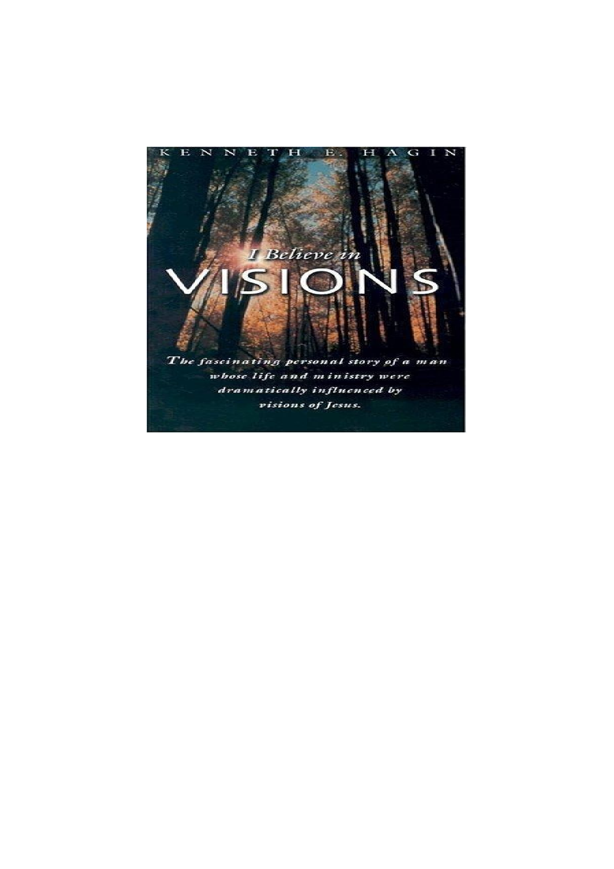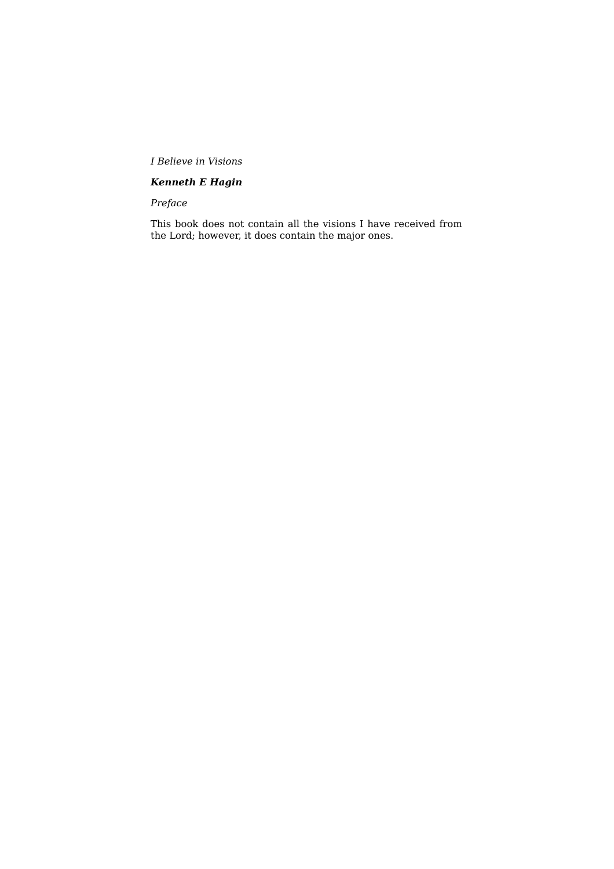*I Believe in Visions*

# *Kenneth E Hagin*

*Preface*

This book does not contain all the visions I have received from the Lord; however, it does contain the major ones.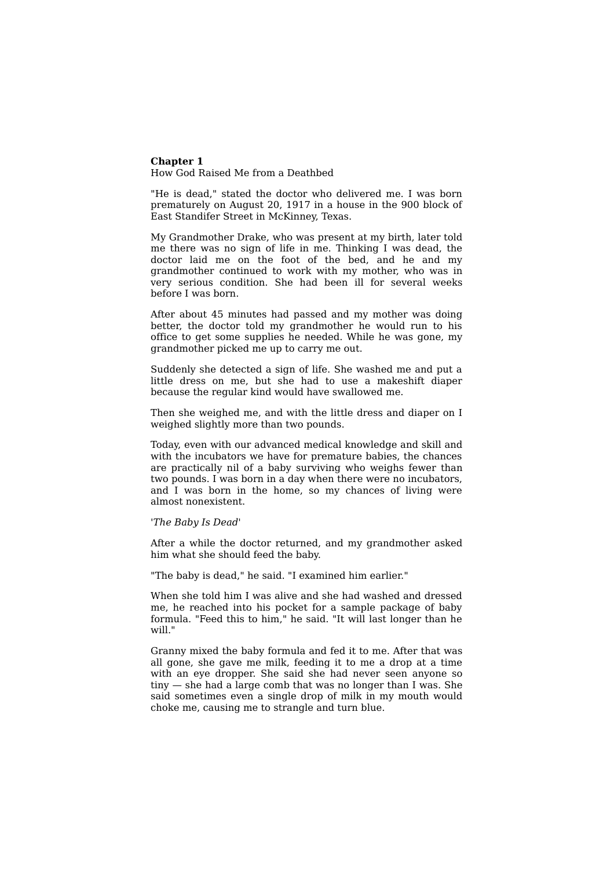#### **Chapter 1** How God Raised Me from a Deathbed

"He is dead," stated the doctor who delivered me. I was born prematurely on August 20, 1917 in a house in the 900 block of East Standifer Street in McKinney, Texas.

My Grandmother Drake, who was present at my birth, later told me there was no sign of life in me. Thinking I was dead, the doctor laid me on the foot of the bed, and he and my grandmother continued to work with my mother, who was in very serious condition. She had been ill for several weeks before I was born.

After about 45 minutes had passed and my mother was doing better, the doctor told my grandmother he would run to his office to get some supplies he needed. While he was gone, my grandmother picked me up to carry me out.

Suddenly she detected a sign of life. She washed me and put a little dress on me, but she had to use a makeshift diaper because the regular kind would have swallowed me.

Then she weighed me, and with the little dress and diaper on I weighed slightly more than two pounds.

Today, even with our advanced medical knowledge and skill and with the incubators we have for premature babies, the chances are practically nil of a baby surviving who weighs fewer than two pounds. I was born in a day when there were no incubators, and I was born in the home, so my chances of living were almost nonexistent.

# *'The Baby Is Dead'*

After a while the doctor returned, and my grandmother asked him what she should feed the baby.

"The baby is dead," he said. "I examined him earlier."

When she told him I was alive and she had washed and dressed me, he reached into his pocket for a sample package of baby formula. "Feed this to him," he said. "It will last longer than he will."

Granny mixed the baby formula and fed it to me. After that was all gone, she gave me milk, feeding it to me a drop at a time with an eye dropper. She said she had never seen anyone so  $tiny$  — she had a large comb that was no longer than I was. She said sometimes even a single drop of milk in my mouth would choke me, causing me to strangle and turn blue.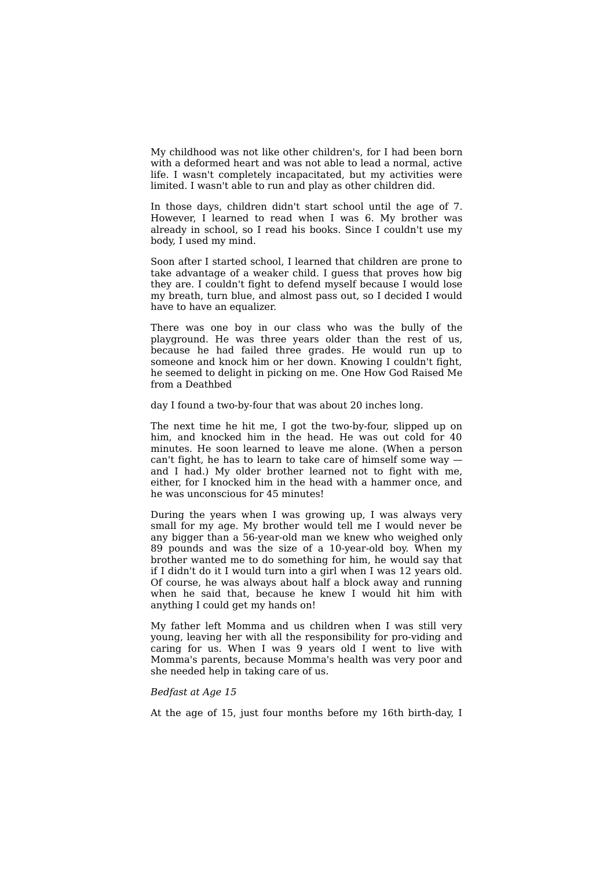My childhood was not like other children's, for I had been born with a deformed heart and was not able to lead a normal, active life. I wasn't completely incapacitated, but my activities were limited. I wasn't able to run and play as other children did.

In those days, children didn't start school until the age of 7. However, I learned to read when I was 6. My brother was already in school, so I read his books. Since I couldn't use my body, I used my mind.

Soon after I started school, I learned that children are prone to take advantage of a weaker child. I guess that proves how big they are. I couldn't fight to defend myself because I would lose my breath, turn blue, and almost pass out, so I decided I would have to have an equalizer.

There was one boy in our class who was the bully of the playground. He was three years older than the rest of us, because he had failed three grades. He would run up to someone and knock him or her down. Knowing I couldn't fight, he seemed to delight in picking on me. One How God Raised Me from a Deathbed

day I found a two-by-four that was about 20 inches long.

The next time he hit me, I got the two-by-four, slipped up on him, and knocked him in the head. He was out cold for 40 minutes. He soon learned to leave me alone. (When a person can't fight, he has to learn to take care of himself some way and I had.) My older brother learned not to fight with me, either, for I knocked him in the head with a hammer once, and he was unconscious for 45 minutes!

During the years when I was growing up, I was always very small for my age. My brother would tell me I would never be any bigger than a 56-year-old man we knew who weighed only 89 pounds and was the size of a 10-year-old boy. When my brother wanted me to do something for him, he would say that if I didn't do it I would turn into a girl when I was 12 years old. Of course, he was always about half a block away and running when he said that, because he knew I would hit him with anything I could get my hands on!

My father left Momma and us children when I was still very young, leaving her with all the responsibility for pro-viding and caring for us. When I was 9 years old I went to live with Momma's parents, because Momma's health was very poor and she needed help in taking care of us.

### *Bedfast at Age 15*

At the age of 15, just four months before my 16th birth-day, I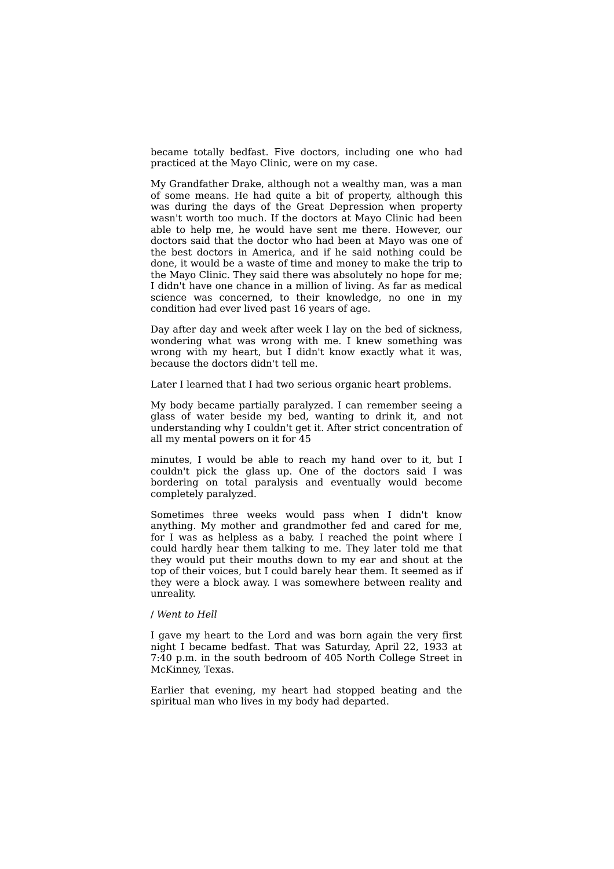became totally bedfast. Five doctors, including one who had practiced at the Mayo Clinic, were on my case.

My Grandfather Drake, although not a wealthy man, was a man of some means. He had quite a bit of property, although this was during the days of the Great Depression when property wasn't worth too much. If the doctors at Mayo Clinic had been able to help me, he would have sent me there. However, our doctors said that the doctor who had been at Mayo was one of the best doctors in America, and if he said nothing could be done, it would be a waste of time and money to make the trip to the Mayo Clinic. They said there was absolutely no hope for me; I didn't have one chance in a million of living. As far as medical science was concerned, to their knowledge, no one in my condition had ever lived past 16 years of age.

Day after day and week after week I lay on the bed of sickness, wondering what was wrong with me. I knew something was wrong with my heart, but I didn't know exactly what it was, because the doctors didn't tell me.

Later I learned that I had two serious organic heart problems.

My body became partially paralyzed. I can remember seeing a glass of water beside my bed, wanting to drink it, and not understanding why I couldn't get it. After strict concentration of all my mental powers on it for 45

minutes, I would be able to reach my hand over to it, but I couldn't pick the glass up. One of the doctors said I was bordering on total paralysis and eventually would become completely paralyzed.

Sometimes three weeks would pass when I didn't know anything. My mother and grandmother fed and cared for me, for I was as helpless as a baby. I reached the point where I could hardly hear them talking to me. They later told me that they would put their mouths down to my ear and shout at the top of their voices, but I could barely hear them. It seemed as if they were a block away. I was somewhere between reality and unreality.

# / *Went to Hell*

I gave my heart to the Lord and was born again the very first night I became bedfast. That was Saturday, April 22, 1933 at 7:40 p.m. in the south bedroom of 405 North College Street in McKinney, Texas.

Earlier that evening, my heart had stopped beating and the spiritual man who lives in my body had departed.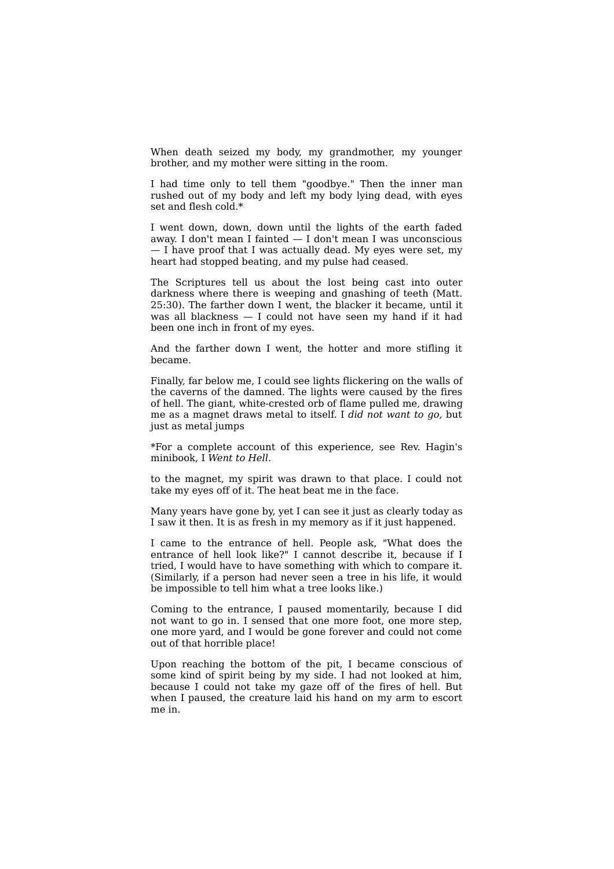When death seized my body, my grandmother, my younger brother, and my mother were sitting in the room.

I had time only to tell them "goodbye." Then the inner man rushed out of my body and left my body lying dead, with eyes set and flesh cold.\*

I went down, down, down until the lights of the earth faded away. I don't mean I fainted — I don't mean I was unconscious — I have proof that I was actually dead. My eyes were set, my heart had stopped beating, and my pulse had ceased.

The Scriptures tell us about the lost being cast into outer darkness where there is weeping and gnashing of teeth (Matt. 25:30). The farther down I went, the blacker it became, until it was all blackness — I could not have seen my hand if it had been one inch in front of my eyes.

And the farther down I went, the hotter and more stifling it became.

Finally, far below me, I could see lights flickering on the walls of the caverns of the damned. The lights were caused by the fires of hell. The giant, white-crested orb of flame pulled me, drawing me as a magnet draws metal to itself. I *did not want to go,* but just as metal jumps

\*For a complete account of this experience, see Rev. Hagin's minibook, I *Went to Hell.*

to the magnet, my spirit was drawn to that place. I could not take my eyes off of it. The heat beat me in the face.

Many years have gone by, yet I can see it just as clearly today as I saw it then. It is as fresh in my memory as if it just happened.

I came to the entrance of hell. People ask, "What does the entrance of hell look like?" I cannot describe it, because if I tried, I would have to have something with which to compare it. (Similarly, if a person had never seen a tree in his life, it would be impossible to tell him what a tree looks like.)

Coming to the entrance, I paused momentarily, because I did not want to go in. I sensed that one more foot, one more step, one more yard, and I would be gone forever and could not come out of that horrible place!

Upon reaching the bottom of the pit, I became conscious of some kind of spirit being by my side. I had not looked at him, because I could not take my gaze off of the fires of hell. But when I paused, the creature laid his hand on my arm to escort me in.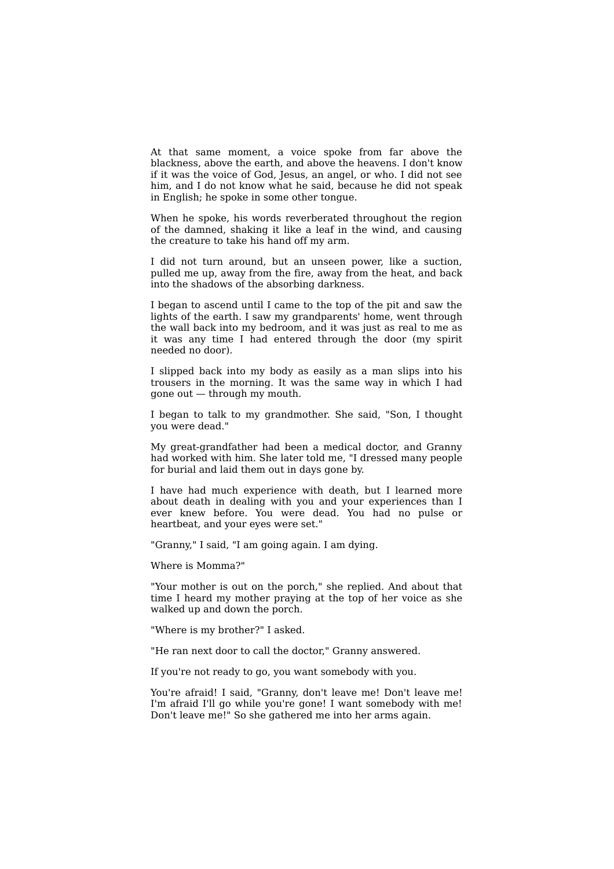At that same moment, a voice spoke from far above the blackness, above the earth, and above the heavens. I don't know if it was the voice of God, Jesus, an angel, or who. I did not see him, and I do not know what he said, because he did not speak in English; he spoke in some other tongue.

When he spoke, his words reverberated throughout the region of the damned, shaking it like a leaf in the wind, and causing the creature to take his hand off my arm.

I did not turn around, but an unseen power, like a suction, pulled me up, away from the fire, away from the heat, and back into the shadows of the absorbing darkness.

I began to ascend until I came to the top of the pit and saw the lights of the earth. I saw my grandparents' home, went through the wall back into my bedroom, and it was just as real to me as it was any time I had entered through the door (my spirit needed no door).

I slipped back into my body as easily as a man slips into his trousers in the morning. It was the same way in which I had gone out — through my mouth.

I began to talk to my grandmother. She said, "Son, I thought you were dead."

My great-grandfather had been a medical doctor, and Granny had worked with him. She later told me, "I dressed many people for burial and laid them out in days gone by.

I have had much experience with death, but I learned more about death in dealing with you and your experiences than I ever knew before. You were dead. You had no pulse or heartbeat, and your eyes were set."

"Granny," I said, "I am going again. I am dying.

Where is Momma?"

"Your mother is out on the porch," she replied. And about that time I heard my mother praying at the top of her voice as she walked up and down the porch.

"Where is my brother?" I asked.

"He ran next door to call the doctor," Granny answered.

If you're not ready to go, you want somebody with you.

You're afraid! I said, "Granny, don't leave me! Don't leave me! I'm afraid I'll go while you're gone! I want somebody with me! Don't leave me!" So she gathered me into her arms again.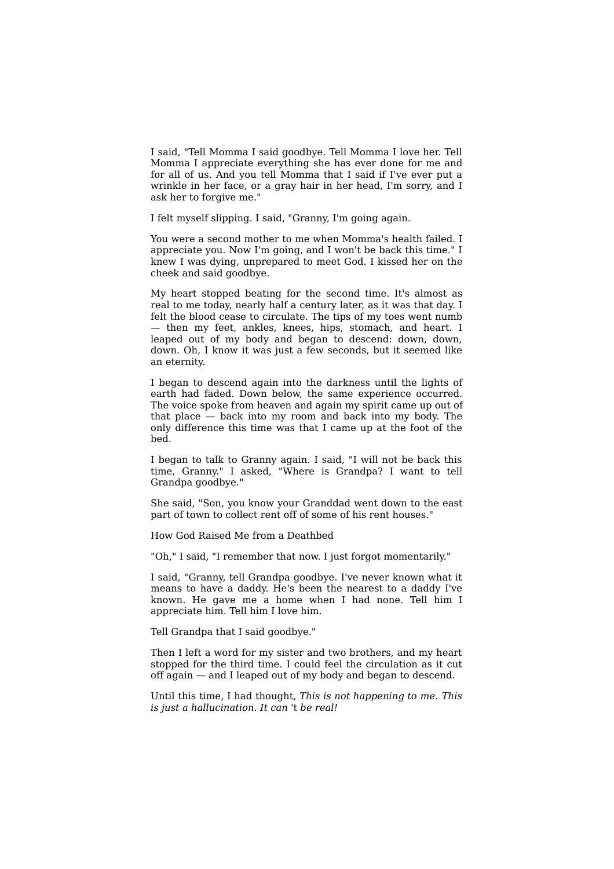I said, "Tell Momma I said goodbye. Tell Momma I love her. Tell Momma I appreciate everything she has ever done for me and for all of us. And you tell Momma that I said if I've ever put a wrinkle in her face, or a gray hair in her head, I'm sorry, and I ask her to forgive me."

I felt myself slipping. I said, "Granny, I'm going again.

You were a second mother to me when Momma's health failed. I appreciate you. Now I'm going, and I won't be back this time." I knew I was dying, unprepared to meet God. I kissed her on the cheek and said goodbye.

My heart stopped beating for the second time. It's almost as real to me today, nearly half a century later, as it was that day. I felt the blood cease to circulate. The tips of my toes went numb — then my feet, ankles, knees, hips, stomach, and heart. I leaped out of my body and began to descend: down, down, down. Oh, I know it was just a few seconds, but it seemed like an eternity.

I began to descend again into the darkness until the lights of earth had faded. Down below, the same experience occurred. The voice spoke from heaven and again my spirit came up out of that place — back into my room and back into my body. The only difference this time was that I came up at the foot of the bed.

I began to talk to Granny again. I said, "I will not be back this time, Granny." I asked, "Where is Grandpa? I want to tell Grandpa goodbye."

She said, "Son, you know your Granddad went down to the east part of town to collect rent off of some of his rent houses."

How God Raised Me from a Deathbed

"Oh," I said, "I remember that now. I just forgot momentarily."

I said, "Granny, tell Grandpa goodbye. I've never known what it means to have a daddy. He's been the nearest to a daddy I've known. He gave me a home when I had none. Tell him I appreciate him. Tell him I love him.

Tell Grandpa that I said goodbye."

Then I left a word for my sister and two brothers, and my heart stopped for the third time. I could feel the circulation as it cut off again — and I leaped out of my body and began to descend.

Until this time, I had thought, *This is not happening to me. This is just a hallucination. It can* 't *be real!*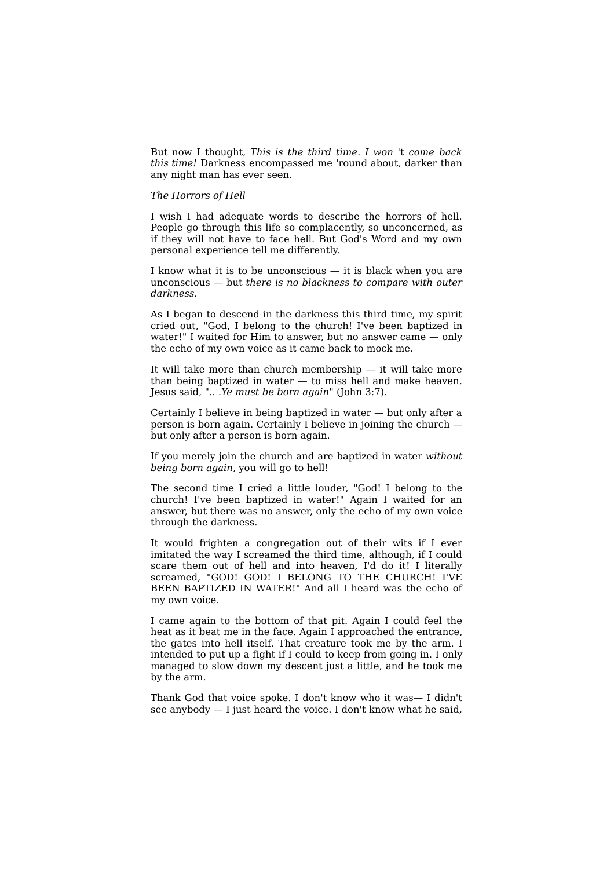But now I thought, *This is the third time. I won* 't *come back this time!* Darkness encompassed me 'round about, darker than any night man has ever seen.

### *The Horrors of Hell*

I wish I had adequate words to describe the horrors of hell. People go through this life so complacently, so unconcerned, as if they will not have to face hell. But God's Word and my own personal experience tell me differently.

I know what it is to be unconscious — it is black when you are unconscious — but *there is no blackness to compare with outer darkness.*

As I began to descend in the darkness this third time, my spirit cried out, "God, I belong to the church! I've been baptized in water!" I waited for Him to answer, but no answer came — only the echo of my own voice as it came back to mock me.

It will take more than church membership — it will take more than being baptized in water — to miss hell and make heaven. Jesus said, ".. *.Ye must be born again"* (John 3:7).

Certainly I believe in being baptized in water — but only after a person is born again. Certainly I believe in joining the church but only after a person is born again.

If you merely join the church and are baptized in water *without being born again,* you will go to hell!

The second time I cried a little louder, "God! I belong to the church! I've been baptized in water!" Again I waited for an answer, but there was no answer, only the echo of my own voice through the darkness.

It would frighten a congregation out of their wits if I ever imitated the way I screamed the third time, although, if I could scare them out of hell and into heaven, I'd do it! I literally screamed, "GOD! GOD! I BELONG TO THE CHURCH! I'VE BEEN BAPTIZED IN WATER!" And all I heard was the echo of my own voice.

I came again to the bottom of that pit. Again I could feel the heat as it beat me in the face. Again I approached the entrance, the gates into hell itself. That creature took me by the arm. I intended to put up a fight if I could to keep from going in. I only managed to slow down my descent just a little, and he took me by the arm.

Thank God that voice spoke. I don't know who it was— I didn't see anybody  $-$  I just heard the voice. I don't know what he said,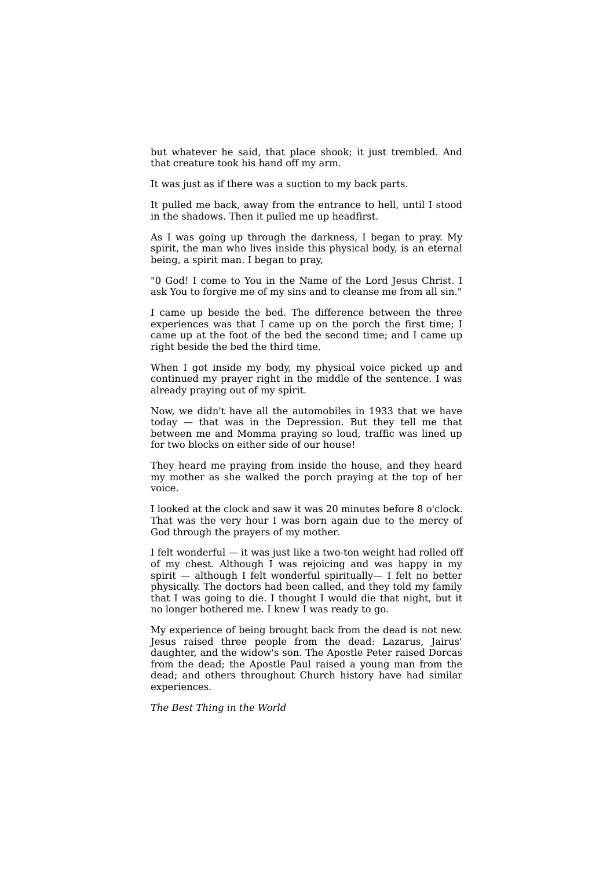but whatever he said, that place shook; it just trembled. And that creature took his hand off my arm.

It was just as if there was a suction to my back parts.

It pulled me back, away from the entrance to hell, until I stood in the shadows. Then it pulled me up headfirst.

As I was going up through the darkness, I began to pray. My spirit, the man who lives inside this physical body, is an eternal being, a spirit man. I began to pray,

"0 God! I come to You in the Name of the Lord Jesus Christ. I ask You to forgive me of my sins and to cleanse me from all sin."

I came up beside the bed. The difference between the three experiences was that I came up on the porch the first time; I came up at the foot of the bed the second time; and I came up right beside the bed the third time.

When I got inside my body, my physical voice picked up and continued my prayer right in the middle of the sentence. I was already praying out of my spirit.

Now, we didn't have all the automobiles in 1933 that we have today — that was in the Depression. But they tell me that between me and Momma praying so loud, traffic was lined up for two blocks on either side of our house!

They heard me praying from inside the house, and they heard my mother as she walked the porch praying at the top of her voice.

I looked at the clock and saw it was 20 minutes before 8 o'clock. That was the very hour I was born again due to the mercy of God through the prayers of my mother.

I felt wonderful — it was just like a two-ton weight had rolled off of my chest. Although I was rejoicing and was happy in my spirit — although I felt wonderful spiritually— I felt no better physically. The doctors had been called, and they told my family that I was going to die. I thought I would die that night, but it no longer bothered me. I knew I was ready to go.

My experience of being brought back from the dead is not new. Jesus raised three people from the dead: Lazarus, Jairus' daughter, and the widow's son. The Apostle Peter raised Dorcas from the dead; the Apostle Paul raised a young man from the dead; and others throughout Church history have had similar experiences.

*The Best Thing in the World*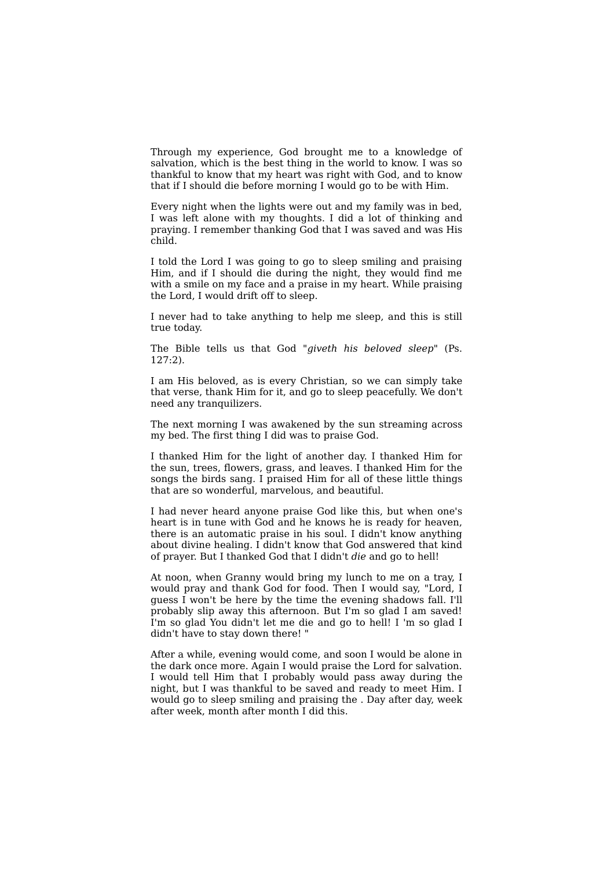Through my experience, God brought me to a knowledge of salvation, which is the best thing in the world to know. I was so thankful to know that my heart was right with God, and to know that if I should die before morning I would go to be with Him.

Every night when the lights were out and my family was in bed, I was left alone with my thoughts. I did a lot of thinking and praying. I remember thanking God that I was saved and was His child.

I told the Lord I was going to go to sleep smiling and praising Him, and if I should die during the night, they would find me with a smile on my face and a praise in my heart. While praising the Lord, I would drift off to sleep.

I never had to take anything to help me sleep, and this is still true today.

The Bible tells us that God *"giveth his beloved sleep"* (Ps.  $127:2$ ).

I am His beloved, as is every Christian, so we can simply take that verse, thank Him for it, and go to sleep peacefully. We don't need any tranquilizers.

The next morning I was awakened by the sun streaming across my bed. The first thing I did was to praise God.

I thanked Him for the light of another day. I thanked Him for the sun, trees, flowers, grass, and leaves. I thanked Him for the songs the birds sang. I praised Him for all of these little things that are so wonderful, marvelous, and beautiful.

I had never heard anyone praise God like this, but when one's heart is in tune with God and he knows he is ready for heaven, there is an automatic praise in his soul. I didn't know anything about divine healing. I didn't know that God answered that kind of prayer. But I thanked God that I didn't *die* and go to hell!

At noon, when Granny would bring my lunch to me on a tray, I would pray and thank God for food. Then I would say, "Lord, I guess I won't be here by the time the evening shadows fall. I'll probably slip away this afternoon. But I'm so glad I am saved! I'm so glad You didn't let me die and go to hell! I 'm so glad I didn't have to stay down there! "

After a while, evening would come, and soon I would be alone in the dark once more. Again I would praise the Lord for salvation. I would tell Him that I probably would pass away during the night, but I was thankful to be saved and ready to meet Him. I would go to sleep smiling and praising the . Day after day, week after week, month after month I did this.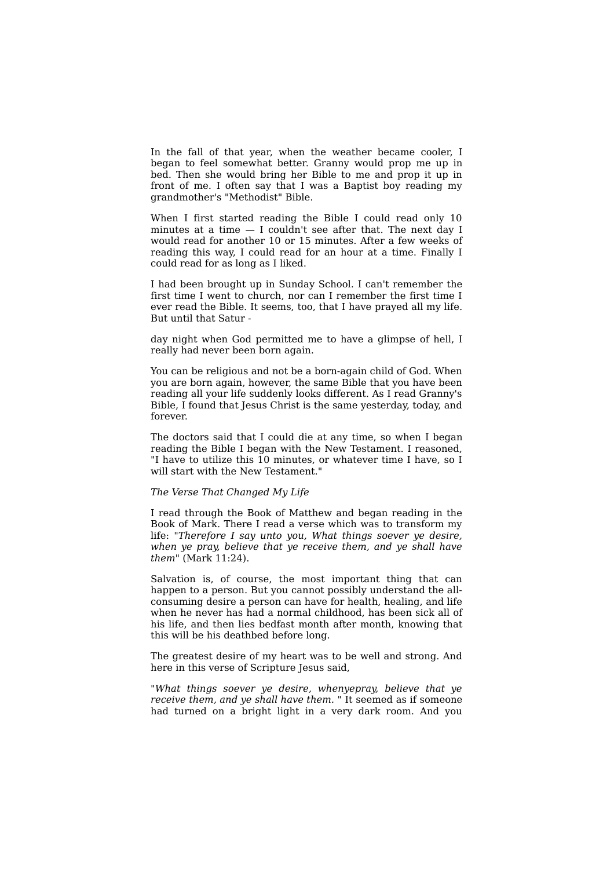In the fall of that year, when the weather became cooler, I began to feel somewhat better. Granny would prop me up in bed. Then she would bring her Bible to me and prop it up in front of me. I often say that I was a Baptist boy reading my grandmother's "Methodist" Bible.

When I first started reading the Bible I could read only 10 minutes at a time  $-$  I couldn't see after that. The next day I would read for another 10 or 15 minutes. After a few weeks of reading this way, I could read for an hour at a time. Finally I could read for as long as I liked.

I had been brought up in Sunday School. I can't remember the first time I went to church, nor can I remember the first time I ever read the Bible. It seems, too, that I have prayed all my life. But until that Satur -

day night when God permitted me to have a glimpse of hell, I really had never been born again.

You can be religious and not be a born-again child of God. When you are born again, however, the same Bible that you have been reading all your life suddenly looks different. As I read Granny's Bible, I found that Jesus Christ is the same yesterday, today, and forever.

The doctors said that I could die at any time, so when I began reading the Bible I began with the New Testament. I reasoned, "I have to utilize this 10 minutes, or whatever time I have, so I will start with the New Testament."

# *The Verse That Changed My Life*

I read through the Book of Matthew and began reading in the Book of Mark. There I read a verse which was to transform my life: *"Therefore I say unto you, What things soever ye desire, when ye pray, believe that ye receive them, and ye shall have them"* (Mark 11:24).

Salvation is, of course, the most important thing that can happen to a person. But you cannot possibly understand the allconsuming desire a person can have for health, healing, and life when he never has had a normal childhood, has been sick all of his life, and then lies bedfast month after month, knowing that this will be his deathbed before long.

The greatest desire of my heart was to be well and strong. And here in this verse of Scripture Jesus said,

*"What things soever ye desire, whenyepray, believe that ye receive them, and ye shall have them. "* It seemed as if someone had turned on a bright light in a very dark room. And you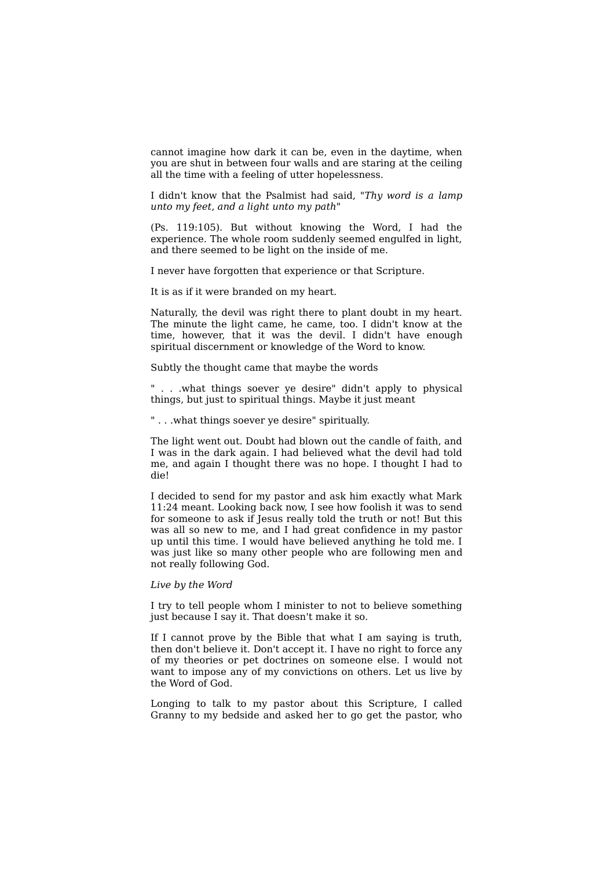cannot imagine how dark it can be, even in the daytime, when you are shut in between four walls and are staring at the ceiling all the time with a feeling of utter hopelessness.

I didn't know that the Psalmist had said, *"Thy word is a lamp unto my feet, and a light unto my path"*

(Ps. 119:105). But without knowing the Word, I had the experience. The whole room suddenly seemed engulfed in light, and there seemed to be light on the inside of me.

I never have forgotten that experience or that Scripture.

It is as if it were branded on my heart.

Naturally, the devil was right there to plant doubt in my heart. The minute the light came, he came, too. I didn't know at the time, however, that it was the devil. I didn't have enough spiritual discernment or knowledge of the Word to know.

Subtly the thought came that maybe the words

" . . .what things soever ye desire" didn't apply to physical things, but just to spiritual things. Maybe it just meant

" . . .what things soever ye desire" spiritually.

The light went out. Doubt had blown out the candle of faith, and I was in the dark again. I had believed what the devil had told me, and again I thought there was no hope. I thought I had to die!

I decided to send for my pastor and ask him exactly what Mark 11:24 meant. Looking back now, I see how foolish it was to send for someone to ask if Jesus really told the truth or not! But this was all so new to me, and I had great confidence in my pastor up until this time. I would have believed anything he told me. I was just like so many other people who are following men and not really following God.

*Live by the Word*

I try to tell people whom I minister to not to believe something just because I say it. That doesn't make it so.

If I cannot prove by the Bible that what I am saying is truth, then don't believe it. Don't accept it. I have no right to force any of my theories or pet doctrines on someone else. I would not want to impose any of my convictions on others. Let us live by the Word of God.

Longing to talk to my pastor about this Scripture, I called Granny to my bedside and asked her to go get the pastor, who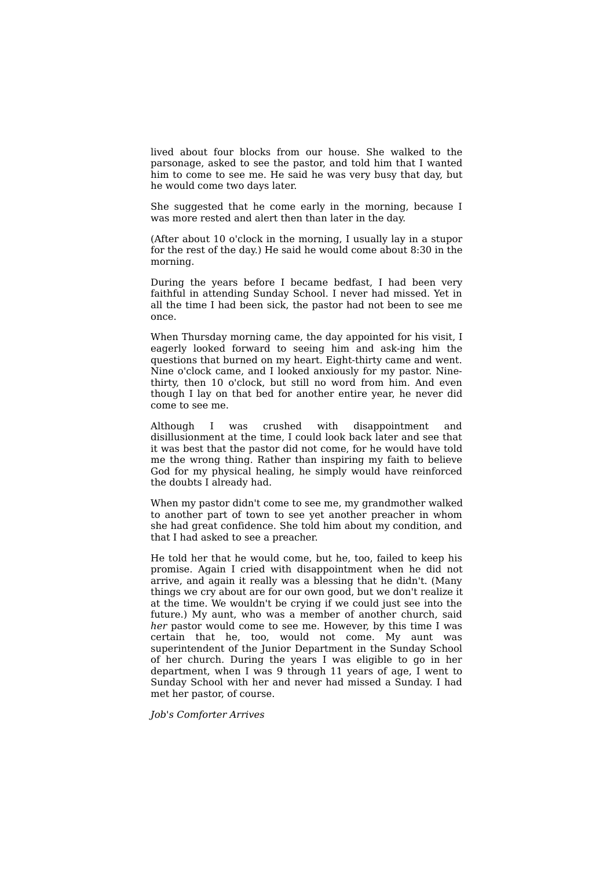lived about four blocks from our house. She walked to the parsonage, asked to see the pastor, and told him that I wanted him to come to see me. He said he was very busy that day, but he would come two days later.

She suggested that he come early in the morning, because I was more rested and alert then than later in the day.

(After about 10 o'clock in the morning, I usually lay in a stupor for the rest of the day.) He said he would come about 8:30 in the morning.

During the years before I became bedfast, I had been very faithful in attending Sunday School. I never had missed. Yet in all the time I had been sick, the pastor had not been to see me once.

When Thursday morning came, the day appointed for his visit, I eagerly looked forward to seeing him and ask-ing him the questions that burned on my heart. Eight-thirty came and went. Nine o'clock came, and I looked anxiously for my pastor. Ninethirty, then 10 o'clock, but still no word from him. And even though I lay on that bed for another entire year, he never did come to see me.

Although I was crushed with disappointment and disillusionment at the time, I could look back later and see that it was best that the pastor did not come, for he would have told me the wrong thing. Rather than inspiring my faith to believe God for my physical healing, he simply would have reinforced the doubts I already had.

When my pastor didn't come to see me, my grandmother walked to another part of town to see yet another preacher in whom she had great confidence. She told him about my condition, and that I had asked to see a preacher.

He told her that he would come, but he, too, failed to keep his promise. Again I cried with disappointment when he did not arrive, and again it really was a blessing that he didn't. (Many things we cry about are for our own good, but we don't realize it at the time. We wouldn't be crying if we could just see into the future.) My aunt, who was a member of another church, said *her* pastor would come to see me. However, by this time I was certain that he, too, would not come. My aunt was superintendent of the Junior Department in the Sunday School of her church. During the years I was eligible to go in her department, when I was 9 through 11 years of age, I went to Sunday School with her and never had missed a Sunday. I had met her pastor, of course.

*Job's Comforter Arrives*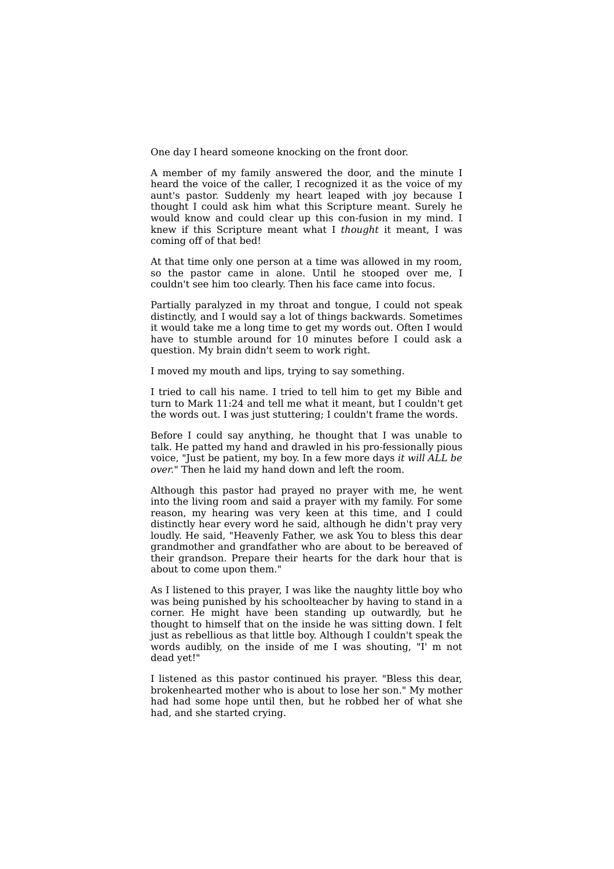One day I heard someone knocking on the front door.

A member of my family answered the door, and the minute I heard the voice of the caller, I recognized it as the voice of my aunt's pastor. Suddenly my heart leaped with joy because I thought I could ask him what this Scripture meant. Surely he would know and could clear up this con-fusion in my mind. I knew if this Scripture meant what I *thought* it meant, I was coming off of that bed!

At that time only one person at a time was allowed in my room, so the pastor came in alone. Until he stooped over me, I couldn't see him too clearly. Then his face came into focus.

Partially paralyzed in my throat and tongue, I could not speak distinctly, and I would say a lot of things backwards. Sometimes it would take me a long time to get my words out. Often I would have to stumble around for 10 minutes before I could ask a question. My brain didn't seem to work right.

I moved my mouth and lips, trying to say something.

I tried to call his name. I tried to tell him to get my Bible and turn to Mark 11:24 and tell me what it meant, but I couldn't get the words out. I was just stuttering; I couldn't frame the words.

Before I could say anything, he thought that I was unable to talk. He patted my hand and drawled in his pro-fessionally pious voice, "Just be patient, my boy. In a few more days *it will ALL be over."* Then he laid my hand down and left the room.

Although this pastor had prayed no prayer with me, he went into the living room and said a prayer with my family. For some reason, my hearing was very keen at this time, and I could distinctly hear every word he said, although he didn't pray very loudly. He said, "Heavenly Father, we ask You to bless this dear grandmother and grandfather who are about to be bereaved of their grandson. Prepare their hearts for the dark hour that is about to come upon them."

As I listened to this prayer, I was like the naughty little boy who was being punished by his schoolteacher by having to stand in a corner. He might have been standing up outwardly, but he thought to himself that on the inside he was sitting down. I felt just as rebellious as that little boy. Although I couldn't speak the words audibly, on the inside of me I was shouting, "I' m not dead yet!"

I listened as this pastor continued his prayer. "Bless this dear, brokenhearted mother who is about to lose her son." My mother had had some hope until then, but he robbed her of what she had, and she started crying.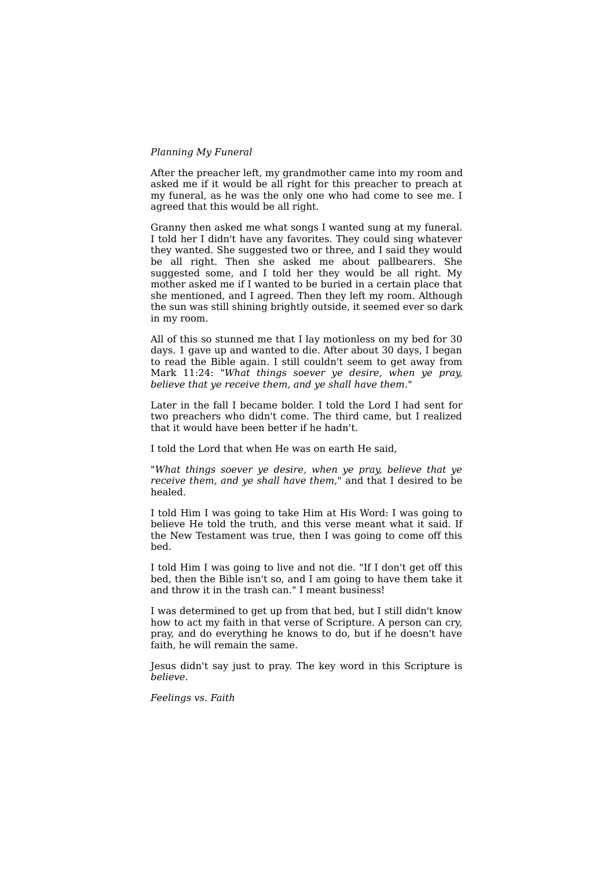### *Planning My Funeral*

After the preacher left, my grandmother came into my room and asked me if it would be all right for this preacher to preach at my funeral, as he was the only one who had come to see me. I agreed that this would be all right.

Granny then asked me what songs I wanted sung at my funeral. I told her I didn't have any favorites. They could sing whatever they wanted. She suggested two or three, and I said they would be all right. Then she asked me about pallbearers. She suggested some, and I told her they would be all right. My mother asked me if I wanted to be buried in a certain place that she mentioned, and I agreed. Then they left my room. Although the sun was still shining brightly outside, it seemed ever so dark in my room.

All of this so stunned me that I lay motionless on my bed for 30 days. 1 gave up and wanted to die. After about 30 days, I began to read the Bible again. I still couldn't seem to get away from Mark 11:24: *"What things soever ye desire, when ye pray, believe that ye receive them, and ye shall have them."*

Later in the fall I became bolder. I told the Lord I had sent for two preachers who didn't come. The third came, but I realized that it would have been better if he hadn't.

I told the Lord that when He was on earth He said,

*"What things soever ye desire, when ye pray, believe that ye receive them, and ye shall have them,"* and that I desired to be healed.

I told Him I was going to take Him at His Word: I was going to believe He told the truth, and this verse meant what it said. If the New Testament was true, then I was going to come off this bed.

I told Him I was going to live and not die. "If I don't get off this bed, then the Bible isn't so, and I am going to have them take it and throw it in the trash can." I meant business!

I was determined to get up from that bed, but I still didn't know how to act my faith in that verse of Scripture. A person can cry, pray, and do everything he knows to do, but if he doesn't have faith, he will remain the same.

Jesus didn't say just to pray. The key word in this Scripture is *believe.*

*Feelings vs. Faith*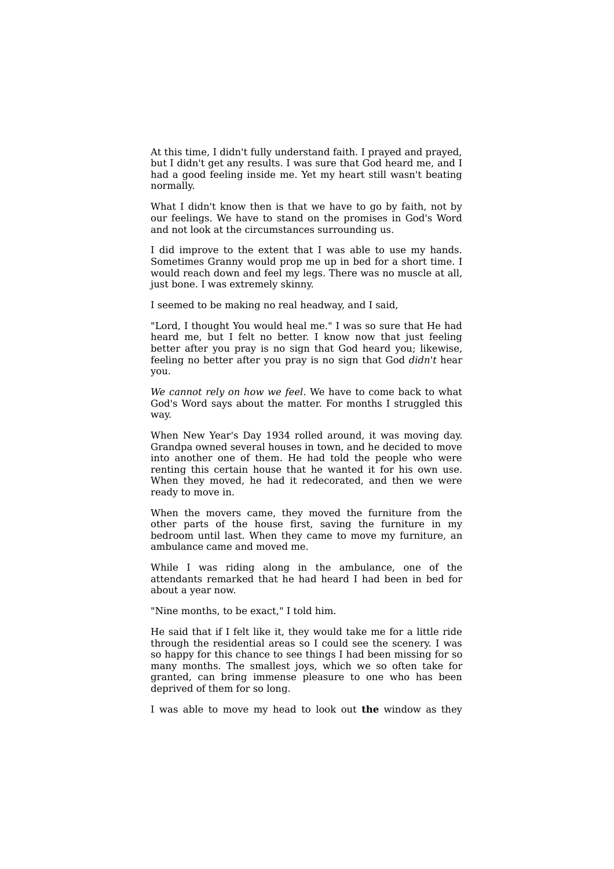At this time, I didn't fully understand faith. I prayed and prayed, but I didn't get any results. I was sure that God heard me, and I had a good feeling inside me. Yet my heart still wasn't beating normally.

What I didn't know then is that we have to go by faith, not by our feelings. We have to stand on the promises in God's Word and not look at the circumstances surrounding us.

I did improve to the extent that I was able to use my hands. Sometimes Granny would prop me up in bed for a short time. I would reach down and feel my legs. There was no muscle at all, just bone. I was extremely skinny.

I seemed to be making no real headway, and I said,

"Lord, I thought You would heal me." I was so sure that He had heard me, but I felt no better. I know now that just feeling better after you pray is no sign that God heard you; likewise, feeling no better after you pray is no sign that God *didn't* hear you.

*We cannot rely on how we feel.* We have to come back to what God's Word says about the matter. For months I struggled this way.

When New Year's Day 1934 rolled around, it was moving day. Grandpa owned several houses in town, and he decided to move into another one of them. He had told the people who were renting this certain house that he wanted it for his own use. When they moved, he had it redecorated, and then we were ready to move in.

When the movers came, they moved the furniture from the other parts of the house first, saving the furniture in my bedroom until last. When they came to move my furniture, an ambulance came and moved me.

While I was riding along in the ambulance, one of the attendants remarked that he had heard I had been in bed for about a year now.

"Nine months, to be exact," I told him.

He said that if I felt like it, they would take me for a little ride through the residential areas so I could see the scenery. I was so happy for this chance to see things I had been missing for so many months. The smallest joys, which we so often take for granted, can bring immense pleasure to one who has been deprived of them for so long.

I was able to move my head to look out **the** window as they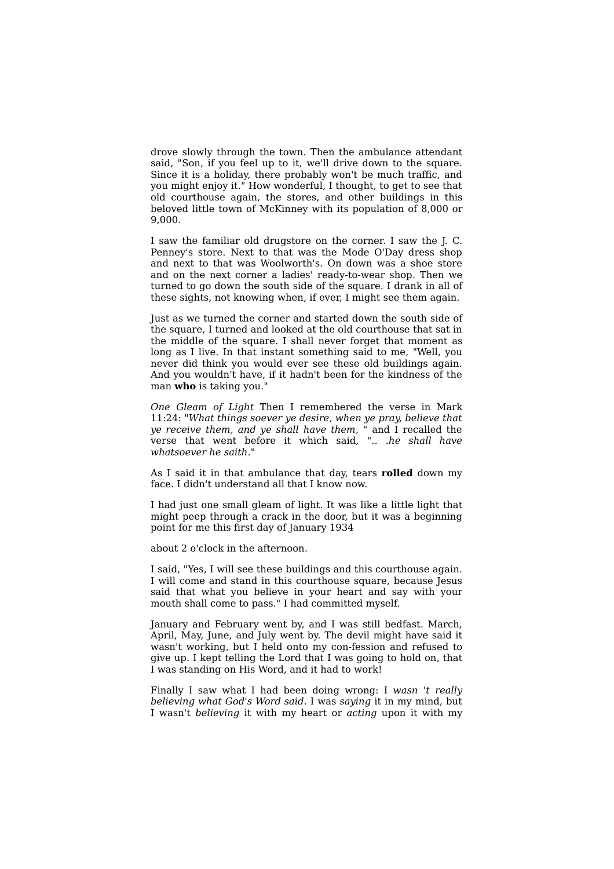drove slowly through the town. Then the ambulance attendant said, "Son, if you feel up to it, we'll drive down to the square. Since it is a holiday, there probably won't be much traffic, and you might enjoy it." How wonderful, I thought, to get to see that old courthouse again, the stores, and other buildings in this beloved little town of McKinney with its population of 8,000 or 9,000.

I saw the familiar old drugstore on the corner. I saw the J. C. Penney's store. Next to that was the Mode O'Day dress shop and next to that was Woolworth's. On down was a shoe store and on the next corner a ladies' ready-to-wear shop. Then we turned to go down the south side of the square. I drank in all of these sights, not knowing when, if ever, I might see them again.

Just as we turned the corner and started down the south side of the square, I turned and looked at the old courthouse that sat in the middle of the square. I shall never forget that moment as long as I live. In that instant something said to me, "Well, you never did think you would ever see these old buildings again. And you wouldn't have, if it hadn't been for the kindness of the man **who** is taking you."

*One Gleam of Light* Then I remembered the verse in Mark 11:24: *"What things soever ye desire, when ye pray, believe that ye receive them, and ye shall have them,* " and I recalled the verse that went before it which said, ".. *.he shall have whatsoever he saith."*

As I said it in that ambulance that day, tears **rolled** down my face. I didn't understand all that I know now.

I had just one small gleam of light. It was like a little light that might peep through a crack in the door, but it was a beginning point for me this first day of January 1934

about 2 o'clock in the afternoon.

I said, "Yes, I will see these buildings and this courthouse again. I will come and stand in this courthouse square, because Jesus said that what you believe in your heart and say with your mouth shall come to pass." I had committed myself.

January and February went by, and I was still bedfast. March, April, May, June, and July went by. The devil might have said it wasn't working, but I held onto my con-fession and refused to give up. I kept telling the Lord that I was going to hold on, that I was standing on His Word, and it had to work!

Finally I saw what I had been doing wrong: I *wasn 't really believing what God's Word said.* I was *saying* it in my mind, but I wasn't *believing* it with my heart or *acting* upon it with my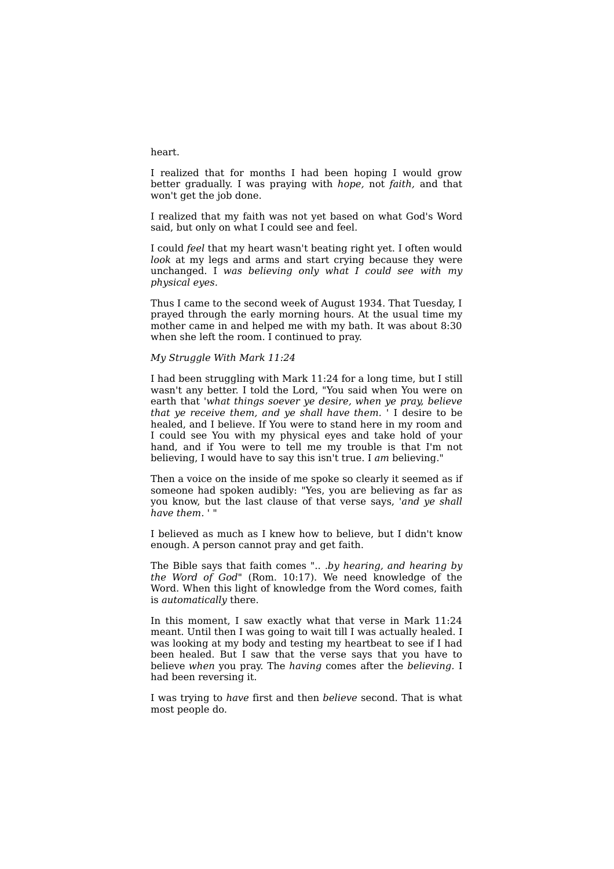## heart.

I realized that for months I had been hoping I would grow better gradually. I was praying with *hope,* not *faith,* and that won't get the job done.

I realized that my faith was not yet based on what God's Word said, but only on what I could see and feel.

I could *feel* that my heart wasn't beating right yet. I often would *look* at my legs and arms and start crying because they were unchanged. I *was believing only what I could see with my physical eyes.*

Thus I came to the second week of August 1934. That Tuesday, I prayed through the early morning hours. At the usual time my mother came in and helped me with my bath. It was about 8:30 when she left the room. I continued to pray.

# *My Struggle With Mark 11:24*

I had been struggling with Mark 11:24 for a long time, but I still wasn't any better. I told the Lord, "You said when You were on earth that *'what things soever ye desire, when ye pray, believe that ye receive them, and ye shall have them.* ' I desire to be healed, and I believe. If You were to stand here in my room and I could see You with my physical eyes and take hold of your hand, and if You were to tell me my trouble is that I'm not believing, I would have to say this isn't true. I *am* believing."

Then a voice on the inside of me spoke so clearly it seemed as if someone had spoken audibly: "Yes, you are believing as far as you know, but the last clause of that verse says, *'and ye shall have them.* ' "

I believed as much as I knew how to believe, but I didn't know enough. A person cannot pray and get faith.

The Bible says that faith comes ".. *.by hearing, and hearing by the Word of God"* (Rom. 10:17). We need knowledge of the Word. When this light of knowledge from the Word comes, faith is *automatically* there.

In this moment, I saw exactly what that verse in Mark 11:24 meant. Until then I was going to wait till I was actually healed. I was looking at my body and testing my heartbeat to see if I had been healed. But I saw that the verse says that you have to believe *when* you pray. The *having* comes after the *believing.* I had been reversing it.

I was trying to *have* first and then *believe* second. That is what most people do.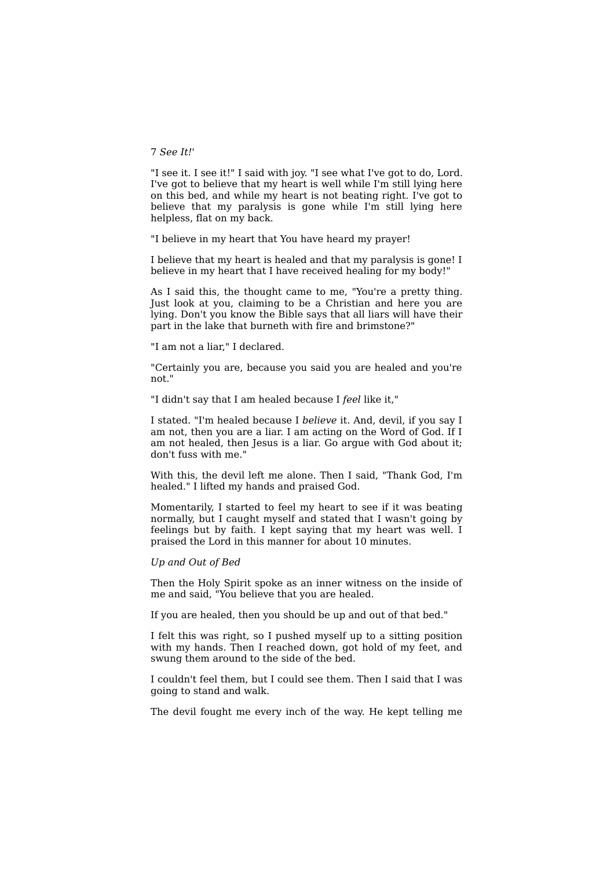# 7 *See It!'*

"I see it. I see it!" I said with joy. "I see what I've got to do, Lord. I've got to believe that my heart is well while I'm still lying here on this bed, and while my heart is not beating right. I've got to believe that my paralysis is gone while I'm still lying here helpless, flat on my back.

"I believe in my heart that You have heard my prayer!

I believe that my heart is healed and that my paralysis is gone! I believe in my heart that I have received healing for my body!"

As I said this, the thought came to me, "You're a pretty thing. Just look at you, claiming to be a Christian and here you are lying. Don't you know the Bible says that all liars will have their part in the lake that burneth with fire and brimstone?"

"I am not a liar," I declared.

"Certainly you are, because you said you are healed and you're not."

"I didn't say that I am healed because I *feel* like it,"

I stated. "I'm healed because I *believe* it. And, devil, if you say I am not, then you are a liar. I am acting on the Word of God. If I am not healed, then Jesus is a liar. Go argue with God about it; don't fuss with me."

With this, the devil left me alone. Then I said, "Thank God, I'm healed." I lifted my hands and praised God.

Momentarily, I started to feel my heart to see if it was beating normally, but I caught myself and stated that I wasn't going by feelings but by faith. I kept saying that my heart was well. I praised the Lord in this manner for about 10 minutes.

*Up and Out of Bed*

Then the Holy Spirit spoke as an inner witness on the inside of me and said, "You believe that you are healed.

If you are healed, then you should be up and out of that bed."

I felt this was right, so I pushed myself up to a sitting position with my hands. Then I reached down, got hold of my feet, and swung them around to the side of the bed.

I couldn't feel them, but I could see them. Then I said that I was going to stand and walk.

The devil fought me every inch of the way. He kept telling me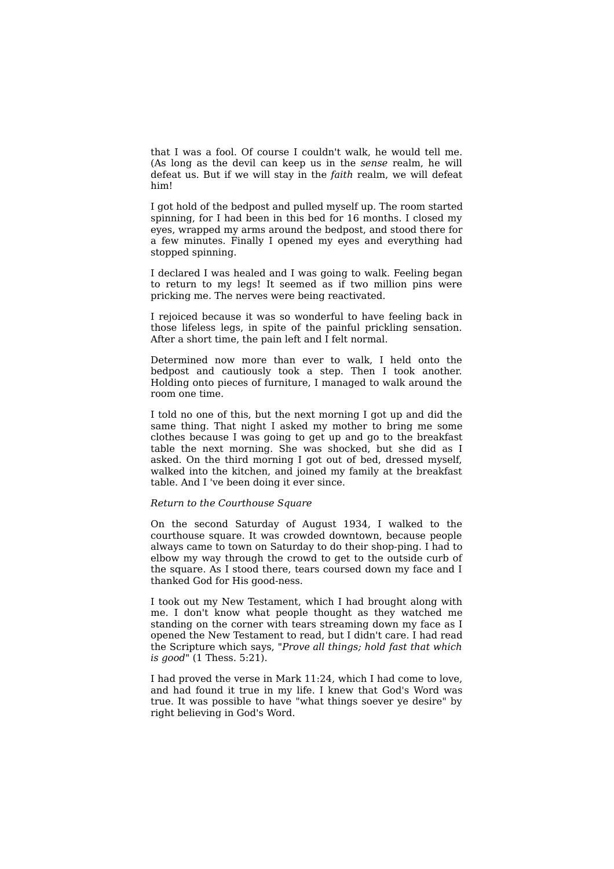that I was a fool. Of course I couldn't walk, he would tell me. (As long as the devil can keep us in the *sense* realm, he will defeat us. But if we will stay in the *faith* realm, we will defeat him!

I got hold of the bedpost and pulled myself up. The room started spinning, for I had been in this bed for 16 months. I closed my eyes, wrapped my arms around the bedpost, and stood there for a few minutes. Finally I opened my eyes and everything had stopped spinning.

I declared I was healed and I was going to walk. Feeling began to return to my legs! It seemed as if two million pins were pricking me. The nerves were being reactivated.

I rejoiced because it was so wonderful to have feeling back in those lifeless legs, in spite of the painful prickling sensation. After a short time, the pain left and I felt normal.

Determined now more than ever to walk, I held onto the bedpost and cautiously took a step. Then I took another. Holding onto pieces of furniture, I managed to walk around the room one time.

I told no one of this, but the next morning I got up and did the same thing. That night I asked my mother to bring me some clothes because I was going to get up and go to the breakfast table the next morning. She was shocked, but she did as I asked. On the third morning I got out of bed, dressed myself, walked into the kitchen, and joined my family at the breakfast table. And I 've been doing it ever since.

# *Return to the Courthouse Square*

On the second Saturday of August 1934, I walked to the courthouse square. It was crowded downtown, because people always came to town on Saturday to do their shop-ping. I had to elbow my way through the crowd to get to the outside curb of the square. As I stood there, tears coursed down my face and I thanked God for His good-ness.

I took out my New Testament, which I had brought along with me. I don't know what people thought as they watched me standing on the corner with tears streaming down my face as I opened the New Testament to read, but I didn't care. I had read the Scripture which says, *"Prove all things; hold fast that which is good"* (1 Thess. 5:21).

I had proved the verse in Mark 11:24, which I had come to love, and had found it true in my life. I knew that God's Word was true. It was possible to have "what things soever ye desire" by right believing in God's Word.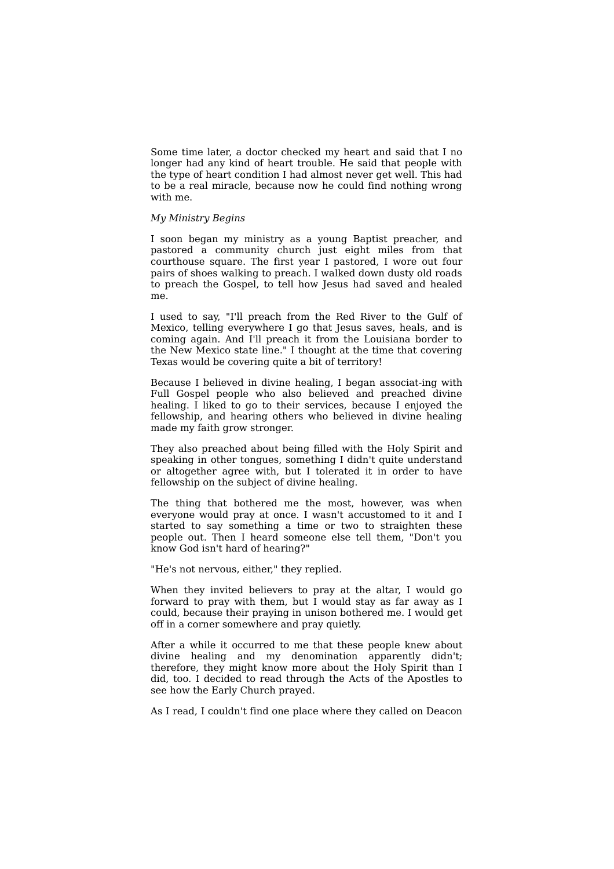Some time later, a doctor checked my heart and said that I no longer had any kind of heart trouble. He said that people with the type of heart condition I had almost never get well. This had to be a real miracle, because now he could find nothing wrong with me.

# *My Ministry Begins*

I soon began my ministry as a young Baptist preacher, and pastored a community church just eight miles from that courthouse square. The first year I pastored, I wore out four pairs of shoes walking to preach. I walked down dusty old roads to preach the Gospel, to tell how Jesus had saved and healed me.

I used to say, "I'll preach from the Red River to the Gulf of Mexico, telling everywhere I go that Jesus saves, heals, and is coming again. And I'll preach it from the Louisiana border to the New Mexico state line." I thought at the time that covering Texas would be covering quite a bit of territory!

Because I believed in divine healing, I began associat-ing with Full Gospel people who also believed and preached divine healing. I liked to go to their services, because I enjoyed the fellowship, and hearing others who believed in divine healing made my faith grow stronger.

They also preached about being filled with the Holy Spirit and speaking in other tongues, something I didn't quite understand or altogether agree with, but I tolerated it in order to have fellowship on the subject of divine healing.

The thing that bothered me the most, however, was when everyone would pray at once. I wasn't accustomed to it and I started to say something a time or two to straighten these people out. Then I heard someone else tell them, "Don't you know God isn't hard of hearing?"

"He's not nervous, either," they replied.

When they invited believers to pray at the altar, I would go forward to pray with them, but I would stay as far away as I could, because their praying in unison bothered me. I would get off in a corner somewhere and pray quietly.

After a while it occurred to me that these people knew about divine healing and my denomination apparently didn't; therefore, they might know more about the Holy Spirit than I did, too. I decided to read through the Acts of the Apostles to see how the Early Church prayed.

As I read, I couldn't find one place where they called on Deacon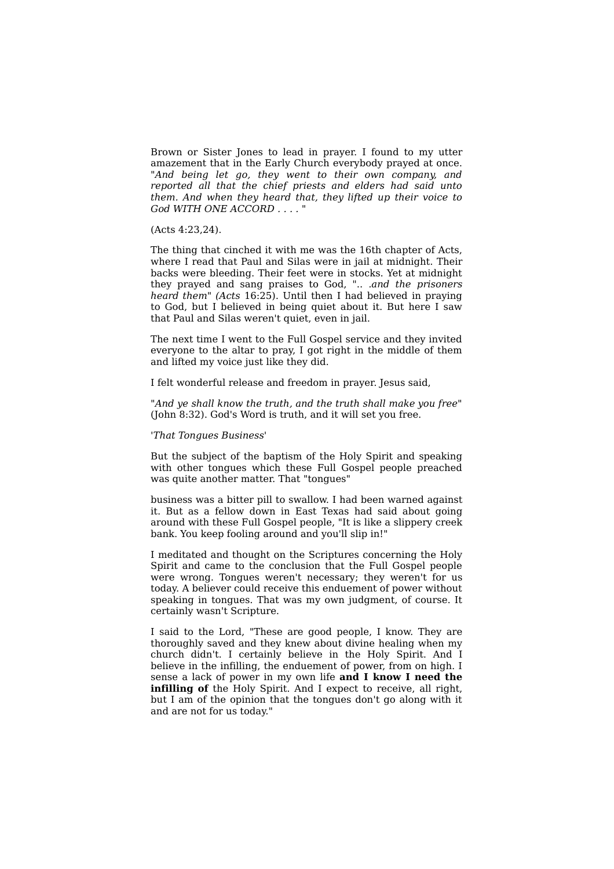Brown or Sister Jones to lead in prayer. I found to my utter amazement that in the Early Church everybody prayed at once. *"And being let go, they went to their own company, and reported all that the chief priests and elders had said unto them. And when they heard that, they lifted up their voice to God WITH ONE ACCORD . . . .* "

(Acts 4:23,24).

The thing that cinched it with me was the 16th chapter of Acts, where I read that Paul and Silas were in jail at midnight. Their backs were bleeding. Their feet were in stocks. Yet at midnight they prayed and sang praises to God, ".. *.and the prisoners heard them" (Acts* 16:25). Until then I had believed in praying to God, but I believed in being quiet about it. But here I saw that Paul and Silas weren't quiet, even in jail.

The next time I went to the Full Gospel service and they invited everyone to the altar to pray, I got right in the middle of them and lifted my voice just like they did.

I felt wonderful release and freedom in prayer. Jesus said,

*"And ye shall know the truth, and the truth shall make you free"* (John 8:32). God's Word is truth, and it will set you free.

## *'That Tongues Business'*

But the subject of the baptism of the Holy Spirit and speaking with other tongues which these Full Gospel people preached was quite another matter. That "tongues"

business was a bitter pill to swallow. I had been warned against it. But as a fellow down in East Texas had said about going around with these Full Gospel people, "It is like a slippery creek bank. You keep fooling around and you'll slip in!"

I meditated and thought on the Scriptures concerning the Holy Spirit and came to the conclusion that the Full Gospel people were wrong. Tongues weren't necessary; they weren't for us today. A believer could receive this enduement of power without speaking in tongues. That was my own judgment, of course. It certainly wasn't Scripture.

I said to the Lord, "These are good people, I know. They are thoroughly saved and they knew about divine healing when my church didn't. I certainly believe in the Holy Spirit. And I believe in the infilling, the enduement of power, from on high. I sense a lack of power in my own life **and I know I need the infilling of** the Holy Spirit. And I expect to receive, all right, but I am of the opinion that the tongues don't go along with it and are not for us today."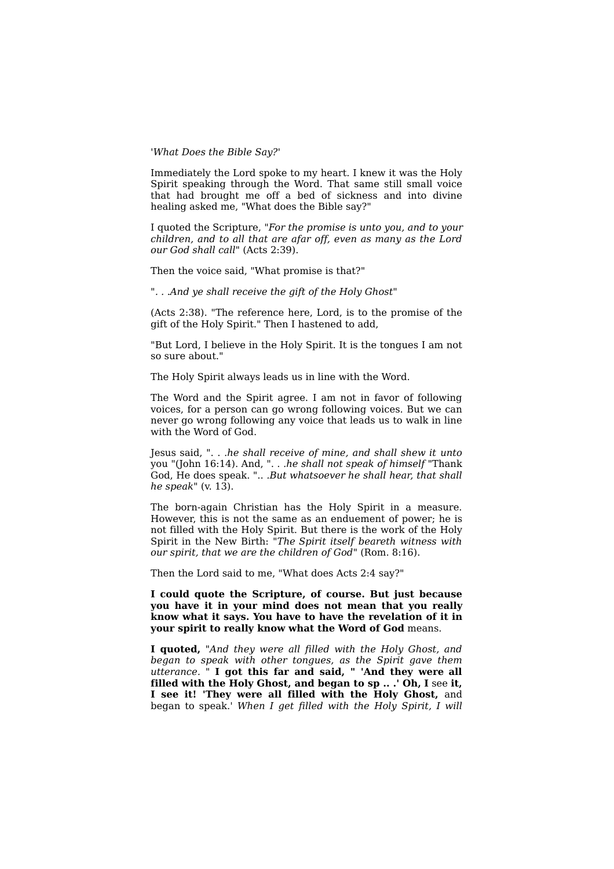### *'What Does the Bible Say?'*

Immediately the Lord spoke to my heart. I knew it was the Holy Spirit speaking through the Word. That same still small voice that had brought me off a bed of sickness and into divine healing asked me, "What does the Bible say?"

I quoted the Scripture, *"For the promise is unto you, and to your children, and to all that are afar off, even as many as the Lord our God shall call"* (Acts 2:39).

Then the voice said, "What promise is that?"

*". . .And ye shall receive the gift of the Holy Ghost"*

(Acts 2:38). "The reference here, Lord, is to the promise of the gift of the Holy Spirit." Then I hastened to add,

"But Lord, I believe in the Holy Spirit. It is the tongues I am not so sure about."

The Holy Spirit always leads us in line with the Word.

The Word and the Spirit agree. I am not in favor of following voices, for a person can go wrong following voices. But we can never go wrong following any voice that leads us to walk in line with the Word of God.

Jesus said, ". . *.he shall receive of mine, and shall shew it unto* you "(John 16:14). And, ". . *.he shall not speak of himself* "Thank God, He does speak. ".. *.But whatsoever he shall hear, that shall he speak"* (v. 13).

The born-again Christian has the Holy Spirit in a measure. However, this is not the same as an enduement of power; he is not filled with the Holy Spirit. But there is the work of the Holy Spirit in the New Birth: *"The Spirit itself beareth witness with our spirit, that we are the children of God"* (Rom. 8:16).

Then the Lord said to me, "What does Acts 2:4 say?"

**I could quote the Scripture, of course. But just because you have it in your mind does not mean that you really know what it says. You have to have the revelation of it in your spirit to really know what the Word of God** means.

**I quoted,** *"And they were all filled with the Holy Ghost, and began to speak with other tongues, as the Spirit gave them utterance.* " **I got this far and said, " 'And they were all filled with the Holy Ghost, and began to sp .. .' Oh, I** see **it, I see it! 'They were all filled with the Holy Ghost,** and began to speak.' *When I get filled with the Holy Spirit, I will*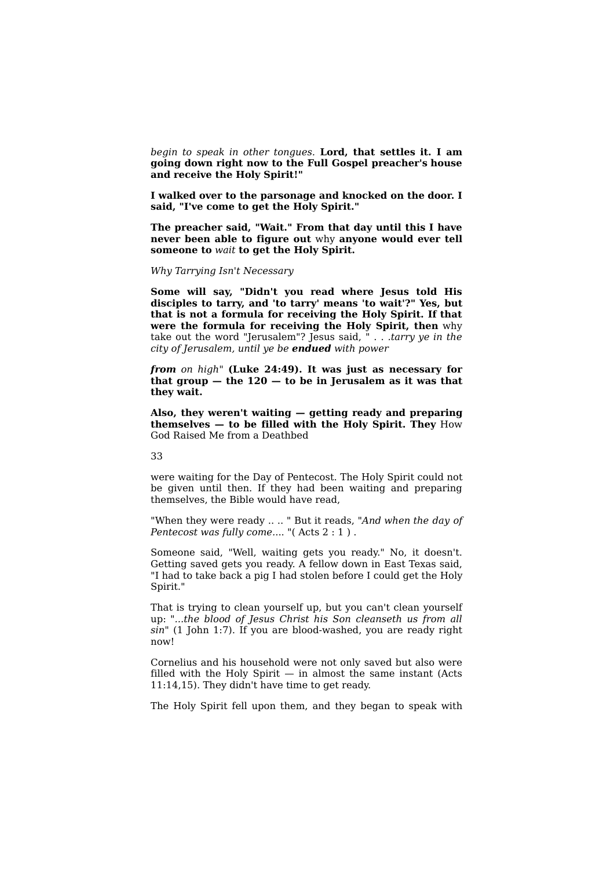*begin to speak in other tongues.* **Lord, that settles it. I am going down right now to the Full Gospel preacher's house and receive the Holy Spirit!"**

**I walked over to the parsonage and knocked on the door. I said, "I've come to get the Holy Spirit."**

**The preacher said, "Wait." From that day until this I have never been able to figure out** why **anyone would ever tell someone to** *wait* **to get the Holy Spirit.**

#### *Why Tarrying Isn't Necessary*

**Some will say, "Didn't you read where Jesus told His disciples to tarry, and 'to tarry' means 'to wait'?" Yes, but that is not a formula for receiving the Holy Spirit. If that were the formula for receiving the Holy Spirit, then** why take out the word "Jerusalem"? Jesus said, " . . *.tarry ye in the city of Jerusalem, until ye be endued with power*

*from on high"* **(Luke 24:49). It was just as necessary for that group — the 120 — to be in Jerusalem as it was that they wait.**

**Also, they weren't waiting — getting ready and preparing themselves — to be filled with the Holy Spirit. They** How God Raised Me from a Deathbed

33

were waiting for the Day of Pentecost. The Holy Spirit could not be given until then. If they had been waiting and preparing themselves, the Bible would have read,

"When they were ready .. .. " But it reads, *"And when the day of Pentecost was fully come.*... "( Acts 2 : 1 ) .

Someone said, "Well, waiting gets you ready." No, it doesn't. Getting saved gets you ready. A fellow down in East Texas said, "I had to take back a pig I had stolen before I could get the Holy Spirit."

That is trying to clean yourself up, but you can't clean yourself up: *"...the blood of Jesus Christ his Son cleanseth us from all sin"* (1 John 1:7). If you are blood-washed, you are ready right nowl

Cornelius and his household were not only saved but also were filled with the Holy Spirit  $-$  in almost the same instant (Acts 11:14,15). They didn't have time to get ready.

The Holy Spirit fell upon them, and they began to speak with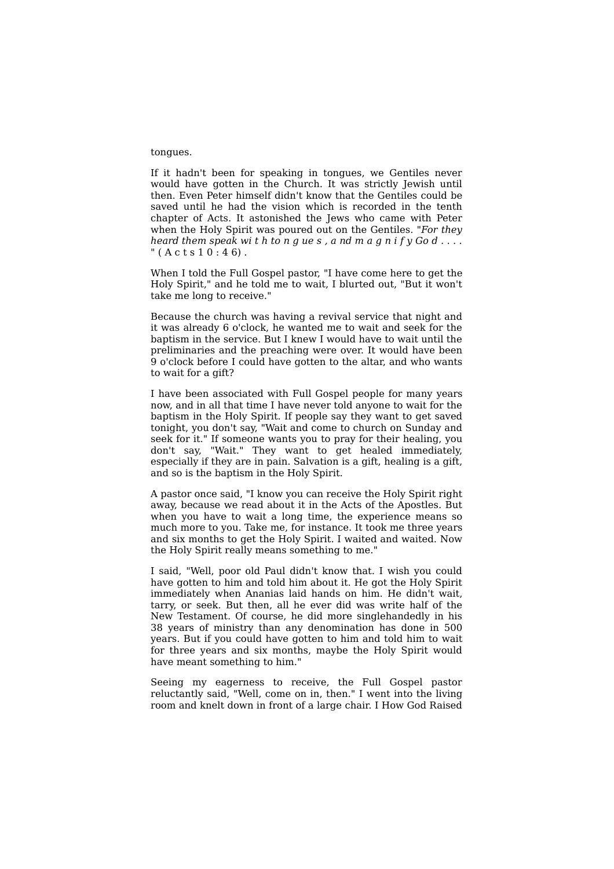#### tongues.

If it hadn't been for speaking in tongues, we Gentiles never would have gotten in the Church. It was strictly Jewish until then. Even Peter himself didn't know that the Gentiles could be saved until he had the vision which is recorded in the tenth chapter of Acts. It astonished the Jews who came with Peter when the Holy Spirit was poured out on the Gentiles. *"For they* heard them speak with to n g ue s, a nd m a g n if  $y$  Go d ....  $" (A c t s 1 0 : 4 6).$ 

When I told the Full Gospel pastor, "I have come here to get the Holy Spirit," and he told me to wait, I blurted out, "But it won't take me long to receive."

Because the church was having a revival service that night and it was already 6 o'clock, he wanted me to wait and seek for the baptism in the service. But I knew I would have to wait until the preliminaries and the preaching were over. It would have been 9 o'clock before I could have gotten to the altar, and who wants to wait for a gift?

I have been associated with Full Gospel people for many years now, and in all that time I have never told anyone to wait for the baptism in the Holy Spirit. If people say they want to get saved tonight, you don't say, "Wait and come to church on Sunday and seek for it." If someone wants you to pray for their healing, you don't say, "Wait." They want to get healed immediately, especially if they are in pain. Salvation is a gift, healing is a gift, and so is the baptism in the Holy Spirit.

A pastor once said, "I know you can receive the Holy Spirit right away, because we read about it in the Acts of the Apostles. But when you have to wait a long time, the experience means so much more to you. Take me, for instance. It took me three years and six months to get the Holy Spirit. I waited and waited. Now the Holy Spirit really means something to me."

I said, "Well, poor old Paul didn't know that. I wish you could have gotten to him and told him about it. He got the Holy Spirit immediately when Ananias laid hands on him. He didn't wait, tarry, or seek. But then, all he ever did was write half of the New Testament. Of course, he did more singlehandedly in his 38 years of ministry than any denomination has done in 500 years. But if you could have gotten to him and told him to wait for three years and six months, maybe the Holy Spirit would have meant something to him."

Seeing my eagerness to receive, the Full Gospel pastor reluctantly said, "Well, come on in, then." I went into the living room and knelt down in front of a large chair. I How God Raised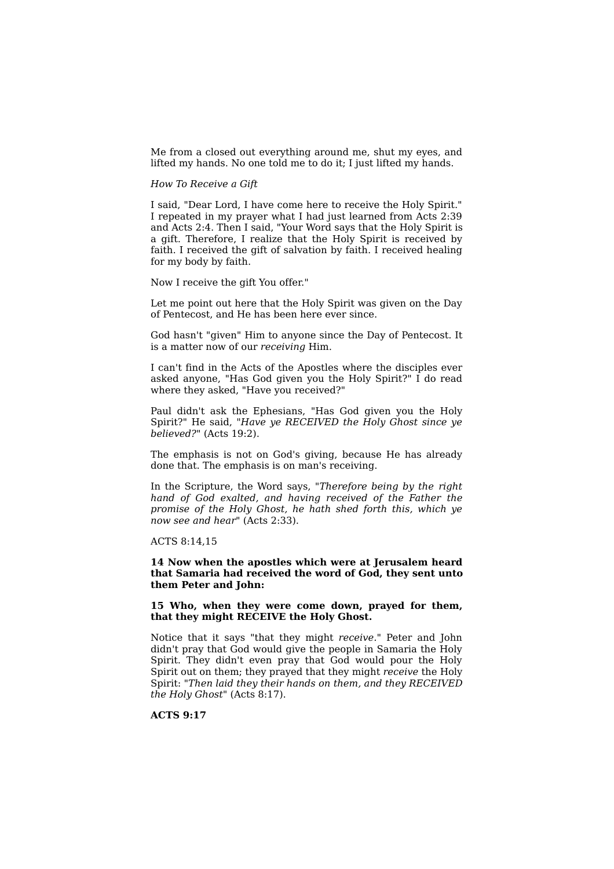Me from a closed out everything around me, shut my eyes, and lifted my hands. No one told me to do it; I just lifted my hands.

#### *How To Receive a Gift*

I said, "Dear Lord, I have come here to receive the Holy Spirit." I repeated in my prayer what I had just learned from Acts 2:39 and Acts 2:4. Then I said, "Your Word says that the Holy Spirit is a gift. Therefore, I realize that the Holy Spirit is received by faith. I received the gift of salvation by faith. I received healing for my body by faith.

Now I receive the gift You offer."

Let me point out here that the Holy Spirit was given on the Day of Pentecost, and He has been here ever since.

God hasn't "given" Him to anyone since the Day of Pentecost. It is a matter now of our *receiving* Him.

I can't find in the Acts of the Apostles where the disciples ever asked anyone, "Has God given you the Holy Spirit?" I do read where they asked, "Have you received?"

Paul didn't ask the Ephesians, "Has God given you the Holy Spirit?" He said, *"Have ye RECEIVED the Holy Ghost since ye believed?"* (Acts 19:2).

The emphasis is not on God's giving, because He has already done that. The emphasis is on man's receiving.

In the Scripture, the Word says, *"Therefore being by the right hand of God exalted, and having received of the Father the promise of the Holy Ghost, he hath shed forth this, which ye now see and hear"* (Acts 2:33).

ACTS 8:14,15

**14 Now when the apostles which were at Jerusalem heard that Samaria had received the word of God, they sent unto them Peter and John:**

**15 Who, when they were come down, prayed for them, that they might RECEIVE the Holy Ghost.**

Notice that it says "that they might *receive."* Peter and John didn't pray that God would give the people in Samaria the Holy Spirit. They didn't even pray that God would pour the Holy Spirit out on them; they prayed that they might *receive* the Holy Spirit: *"Then laid they their hands on them, and they RECEIVED the Holy Ghost"* (Acts 8:17).

# **ACTS 9:17**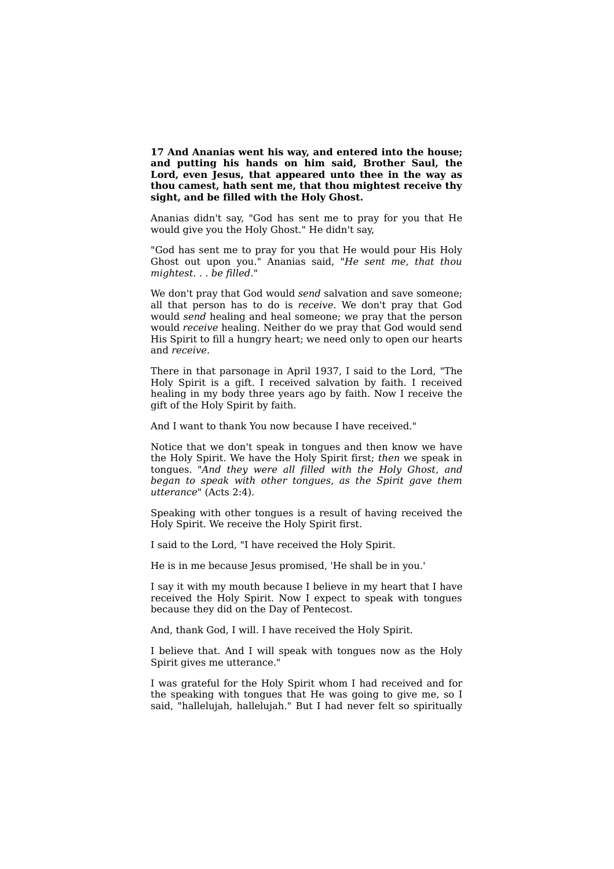**17 And Ananias went his way, and entered into the house; and putting his hands on him said, Brother Saul, the Lord, even Jesus, that appeared unto thee in the way as thou camest, hath sent me, that thou mightest receive thy sight, and be filled with the Holy Ghost.**

Ananias didn't say, "God has sent me to pray for you that He would give you the Holy Ghost." He didn't say,

"God has sent me to pray for you that He would pour His Holy Ghost out upon you." Ananias said, *"He sent me, that thou mightest.* . . *be filled."*

We don't pray that God would *send* salvation and save someone; all that person has to do is *receive.* We don't pray that God would *send* healing and heal someone; we pray that the person would *receive* healing. Neither do we pray that God would send His Spirit to fill a hungry heart; we need only to open our hearts and *receive.*

There in that parsonage in April 1937, I said to the Lord, "The Holy Spirit is a gift. I received salvation by faith. I received healing in my body three years ago by faith. Now I receive the gift of the Holy Spirit by faith.

And I want to thank You now because I have received."

Notice that we don't speak in tongues and then know we have the Holy Spirit. We have the Holy Spirit first; *then* we speak in tongues. *"And they were all filled with the Holy Ghost, and began to speak with other tongues, as the Spirit gave them utterance"* (Acts 2:4).

Speaking with other tongues is a result of having received the Holy Spirit. We receive the Holy Spirit first.

I said to the Lord, "I have received the Holy Spirit.

He is in me because Jesus promised, 'He shall be in you.'

I say it with my mouth because I believe in my heart that I have received the Holy Spirit. Now I expect to speak with tongues because they did on the Day of Pentecost.

And, thank God, I will. I have received the Holy Spirit.

I believe that. And I will speak with tongues now as the Holy Spirit gives me utterance."

I was grateful for the Holy Spirit whom I had received and for the speaking with tongues that He was going to give me, so I said, "hallelujah, hallelujah." But I had never felt so spiritually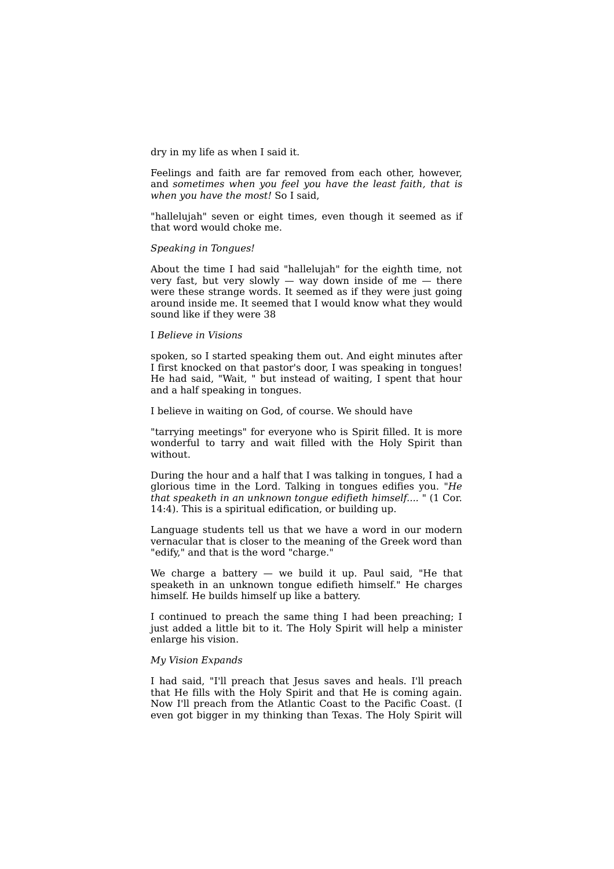dry in my life as when I said it.

Feelings and faith are far removed from each other, however, and *sometimes when you feel you have the least faith, that is when you have the most!* So I said,

"hallelujah" seven or eight times, even though it seemed as if that word would choke me.

# *Speaking in Tongues!*

About the time I had said "hallelujah" for the eighth time, not very fast, but very slowly  $-$  way down inside of me  $-$  there were these strange words. It seemed as if they were just going around inside me. It seemed that I would know what they would sound like if they were 38

#### I *Believe in Visions*

spoken, so I started speaking them out. And eight minutes after I first knocked on that pastor's door, I was speaking in tongues! He had said, "Wait, " but instead of waiting, I spent that hour and a half speaking in tongues.

I believe in waiting on God, of course. We should have

"tarrying meetings" for everyone who is Spirit filled. It is more wonderful to tarry and wait filled with the Holy Spirit than without.

During the hour and a half that I was talking in tongues, I had a glorious time in the Lord. Talking in tongues edifies you. *"He that speaketh in an unknown tongue edifieth himself....* " (1 Cor. 14:4). This is a spiritual edification, or building up.

Language students tell us that we have a word in our modern vernacular that is closer to the meaning of the Greek word than "edify," and that is the word "charge."

We charge a battery  $-$  we build it up. Paul said, "He that speaketh in an unknown tongue edifieth himself." He charges himself. He builds himself up like a battery.

I continued to preach the same thing I had been preaching; I just added a little bit to it. The Holy Spirit will help a minister enlarge his vision.

# *My Vision Expands*

I had said, "I'll preach that Jesus saves and heals. I'll preach that He fills with the Holy Spirit and that He is coming again. Now I'll preach from the Atlantic Coast to the Pacific Coast. (I even got bigger in my thinking than Texas. The Holy Spirit will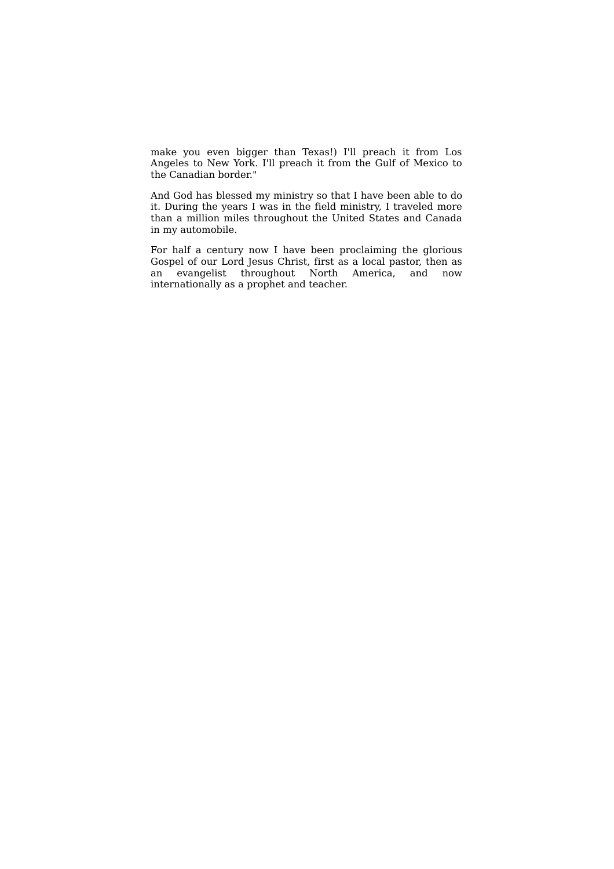make you even bigger than Texas!) I'll preach it from Los Angeles to New York. I'll preach it from the Gulf of Mexico to the Canadian border."

And God has blessed my ministry so that I have been able to do it. During the years I was in the field ministry, I traveled more than a million miles throughout the United States and Canada in my automobile.

For half a century now I have been proclaiming the glorious Gospel of our Lord Jesus Christ, first as a local pastor, then as an evangelist throughout North America, and now internationally as a prophet and teacher.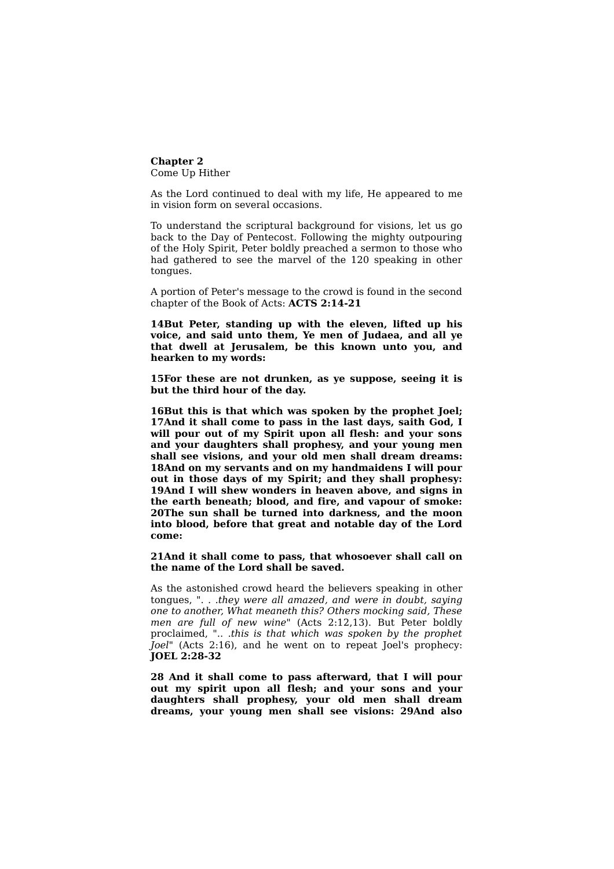**Chapter 2** Come Up Hither

As the Lord continued to deal with my life, He appeared to me in vision form on several occasions.

To understand the scriptural background for visions, let us go back to the Day of Pentecost. Following the mighty outpouring of the Holy Spirit, Peter boldly preached a sermon to those who had gathered to see the marvel of the 120 speaking in other tongues.

A portion of Peter's message to the crowd is found in the second chapter of the Book of Acts: **ACTS 2:14-21**

**14But Peter, standing up with the eleven, lifted up his voice, and said unto them, Ye men of Judaea, and all ye that dwell at Jerusalem, be this known unto you, and hearken to my words:**

**15For these are not drunken, as ye suppose, seeing it is but the third hour of the day.**

**16But this is that which was spoken by the prophet Joel; 17And it shall come to pass in the last days, saith God, I will pour out of my Spirit upon all flesh: and your sons and your daughters shall prophesy, and your young men shall see visions, and your old men shall dream dreams: 18And on my servants and on my handmaidens I will pour out in those days of my Spirit; and they shall prophesy: 19And I will shew wonders in heaven above, and signs in the earth beneath; blood, and fire, and vapour of smoke: 20The sun shall be turned into darkness, and the moon into blood, before that great and notable day of the Lord come:**

**21And it shall come to pass, that whosoever shall call on the name of the Lord shall be saved.**

As the astonished crowd heard the believers speaking in other tongues, ". . *.they were all amazed, and were in doubt, saying one to another, What meaneth this? Others mocking said, These men are full of new wine"* (Acts 2:12,13). But Peter boldly proclaimed, ".. *.this is that which was spoken by the prophet Joel"* (Acts 2:16), and he went on to repeat Joel's prophecy: **JOEL 2:28-32**

**28 And it shall come to pass afterward, that I will pour out my spirit upon all flesh; and your sons and your daughters shall prophesy, your old men shall dream dreams, your young men shall see visions: 29And also**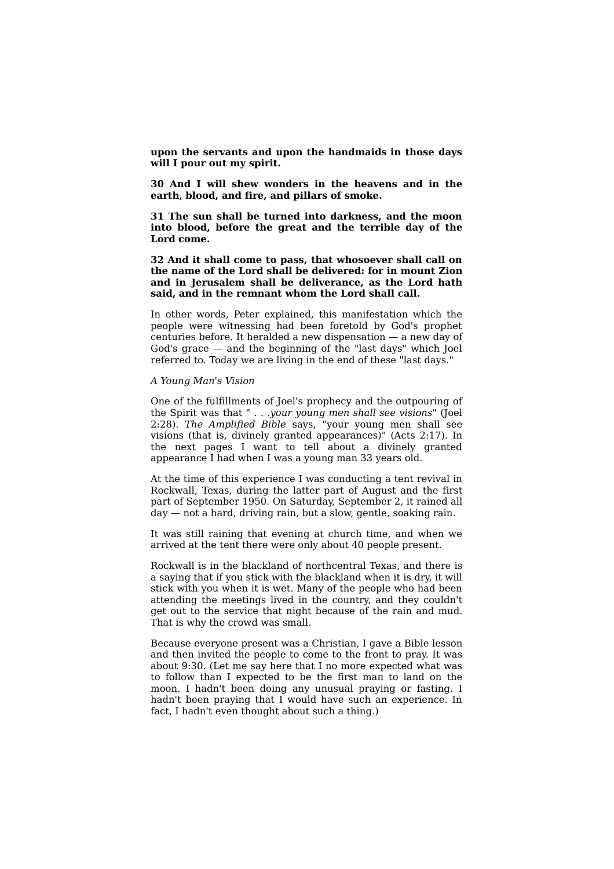**upon the servants and upon the handmaids in those days will I pour out my spirit.**

**30 And I will shew wonders in the heavens and in the earth, blood, and fire, and pillars of smoke.**

**31 The sun shall be turned into darkness, and the moon into blood, before the great and the terrible day of the Lord come.**

**32 And it shall come to pass, that whosoever shall call on the name of the Lord shall be delivered: for in mount Zion and in Jerusalem shall be deliverance, as the Lord hath said, and in the remnant whom the Lord shall call.**

In other words, Peter explained, this manifestation which the people were witnessing had been foretold by God's prophet centuries before. It heralded a new dispensation — a new day of God's grace — and the beginning of the "last days" which Joel referred to. Today we are living in the end of these "last days."

# *A Young Man's Vision*

One of the fulfillments of Joel's prophecy and the outpouring of the Spirit was that " . . *.your young men shall see visions"* (Joel 2:28). *The Amplified Bible* says, "your young men shall see visions (that is, divinely granted appearances)" (Acts 2:17). In the next pages I want to tell about a divinely granted appearance I had when I was a young man 33 years old.

At the time of this experience I was conducting a tent revival in Rockwall, Texas, during the latter part of August and the first part of September 1950. On Saturday, September 2, it rained all day — not a hard, driving rain, but a slow, gentle, soaking rain.

It was still raining that evening at church time, and when we arrived at the tent there were only about 40 people present.

Rockwall is in the blackland of northcentral Texas, and there is a saying that if you stick with the blackland when it is dry, it will stick with you when it is wet. Many of the people who had been attending the meetings lived in the country, and they couldn't get out to the service that night because of the rain and mud. That is why the crowd was small.

Because everyone present was a Christian, I gave a Bible lesson and then invited the people to come to the front to pray. It was about 9:30. (Let me say here that I no more expected what was to follow than I expected to be the first man to land on the moon. I hadn't been doing any unusual praying or fasting. I hadn't been praying that I would have such an experience. In fact, I hadn't even thought about such a thing.)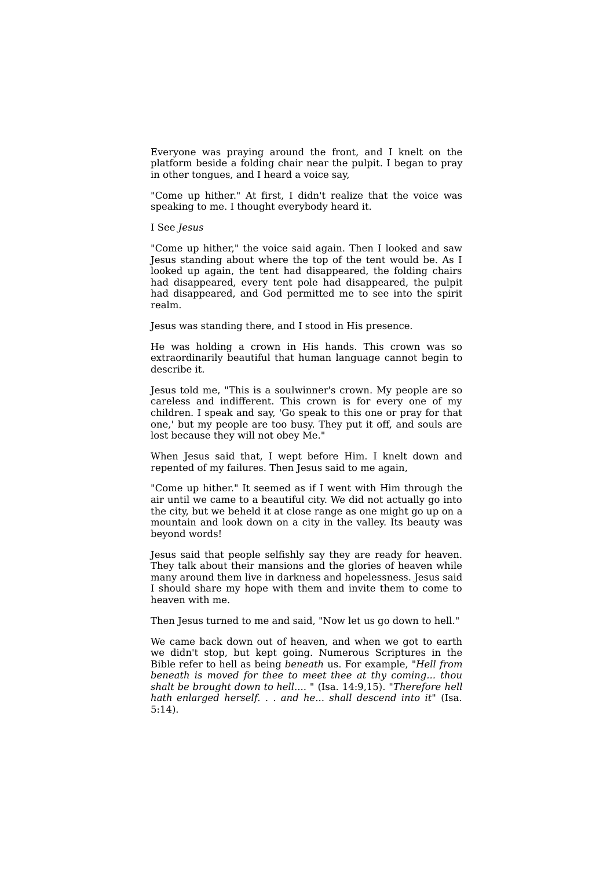Everyone was praying around the front, and I knelt on the platform beside a folding chair near the pulpit. I began to pray in other tongues, and I heard a voice say,

"Come up hither." At first, I didn't realize that the voice was speaking to me. I thought everybody heard it.

#### I See *Jesus*

"Come up hither," the voice said again. Then I looked and saw Jesus standing about where the top of the tent would be. As I looked up again, the tent had disappeared, the folding chairs had disappeared, every tent pole had disappeared, the pulpit had disappeared, and God permitted me to see into the spirit realm.

Jesus was standing there, and I stood in His presence.

He was holding a crown in His hands. This crown was so extraordinarily beautiful that human language cannot begin to describe it.

Jesus told me, "This is a soulwinner's crown. My people are so careless and indifferent. This crown is for every one of my children. I speak and say, 'Go speak to this one or pray for that one,' but my people are too busy. They put it off, and souls are lost because they will not obey Me."

When Jesus said that, I wept before Him. I knelt down and repented of my failures. Then Jesus said to me again,

"Come up hither." It seemed as if I went with Him through the air until we came to a beautiful city. We did not actually go into the city, but we beheld it at close range as one might go up on a mountain and look down on a city in the valley. Its beauty was beyond words!

Jesus said that people selfishly say they are ready for heaven. They talk about their mansions and the glories of heaven while many around them live in darkness and hopelessness. Jesus said I should share my hope with them and invite them to come to heaven with me.

Then Jesus turned to me and said. "Now let us go down to hell."

We came back down out of heaven, and when we got to earth we didn't stop, but kept going. Numerous Scriptures in the Bible refer to hell as being *beneath* us. For example, *"Hell from beneath is moved for thee to meet thee at thy coming... thou shalt be brought down to hell....* " (Isa. 14:9,15). *"Therefore hell hath enlarged herself. . . and he... shall descend into it"* (Isa. 5:14).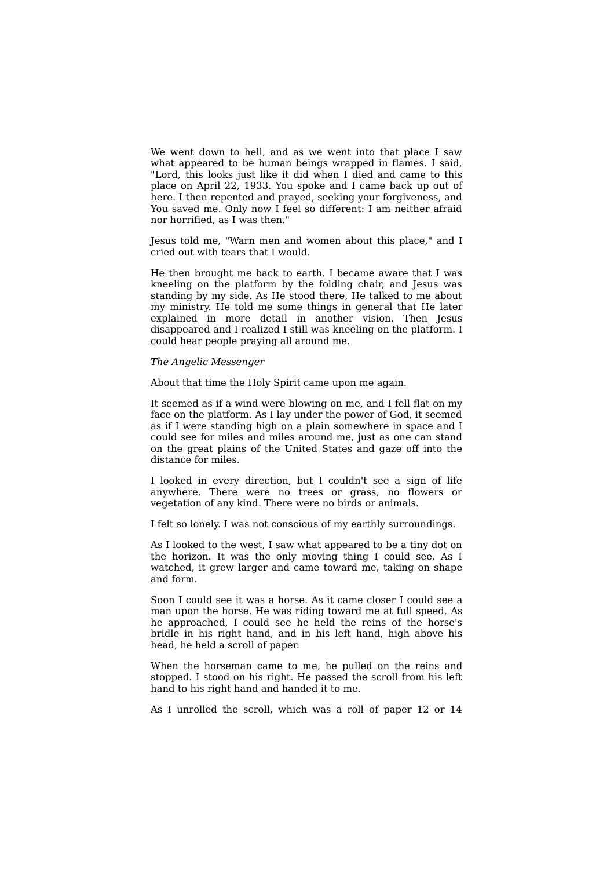We went down to hell, and as we went into that place I saw what appeared to be human beings wrapped in flames. I said, "Lord, this looks just like it did when I died and came to this place on April 22, 1933. You spoke and I came back up out of here. I then repented and prayed, seeking your forgiveness, and You saved me. Only now I feel so different: I am neither afraid nor horrified, as I was then."

Jesus told me, "Warn men and women about this place," and I cried out with tears that I would.

He then brought me back to earth. I became aware that I was kneeling on the platform by the folding chair, and Jesus was standing by my side. As He stood there, He talked to me about my ministry. He told me some things in general that He later explained in more detail in another vision. Then Jesus disappeared and I realized I still was kneeling on the platform. I could hear people praying all around me.

#### *The Angelic Messenger*

About that time the Holy Spirit came upon me again.

It seemed as if a wind were blowing on me, and I fell flat on my face on the platform. As I lay under the power of God, it seemed as if I were standing high on a plain somewhere in space and I could see for miles and miles around me, just as one can stand on the great plains of the United States and gaze off into the distance for miles.

I looked in every direction, but I couldn't see a sign of life anywhere. There were no trees or grass, no flowers or vegetation of any kind. There were no birds or animals.

I felt so lonely. I was not conscious of my earthly surroundings.

As I looked to the west, I saw what appeared to be a tiny dot on the horizon. It was the only moving thing I could see. As I watched, it grew larger and came toward me, taking on shape and form.

Soon I could see it was a horse. As it came closer I could see a man upon the horse. He was riding toward me at full speed. As he approached, I could see he held the reins of the horse's bridle in his right hand, and in his left hand, high above his head, he held a scroll of paper.

When the horseman came to me, he pulled on the reins and stopped. I stood on his right. He passed the scroll from his left hand to his right hand and handed it to me.

As I unrolled the scroll, which was a roll of paper 12 or 14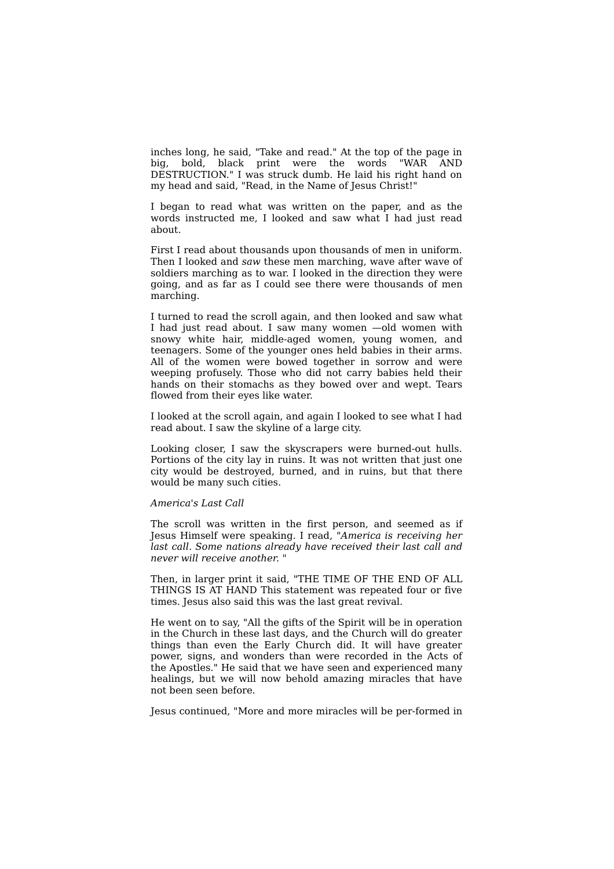inches long, he said, "Take and read." At the top of the page in big, bold, black print were the words "WAR AND DESTRUCTION." I was struck dumb. He laid his right hand on my head and said, "Read, in the Name of Jesus Christ!"

I began to read what was written on the paper, and as the words instructed me, I looked and saw what I had just read about.

First I read about thousands upon thousands of men in uniform. Then I looked and *saw* these men marching, wave after wave of soldiers marching as to war. I looked in the direction they were going, and as far as I could see there were thousands of men marching.

I turned to read the scroll again, and then looked and saw what I had just read about. I saw many women —old women with snowy white hair, middle-aged women, young women, and teenagers. Some of the younger ones held babies in their arms. All of the women were bowed together in sorrow and were weeping profusely. Those who did not carry babies held their hands on their stomachs as they bowed over and wept. Tears flowed from their eyes like water.

I looked at the scroll again, and again I looked to see what I had read about. I saw the skyline of a large city.

Looking closer, I saw the skyscrapers were burned-out hulls. Portions of the city lay in ruins. It was not written that just one city would be destroyed, burned, and in ruins, but that there would be many such cities.

#### *America's Last Call*

The scroll was written in the first person, and seemed as if Jesus Himself were speaking. I read, *"America is receiving her last call. Some nations already have received their last call and never will receive another.* "

Then, in larger print it said, "THE TIME OF THE END OF ALL THINGS IS AT HAND This statement was repeated four or five times. Jesus also said this was the last great revival.

He went on to say, "All the gifts of the Spirit will be in operation in the Church in these last days, and the Church will do greater things than even the Early Church did. It will have greater power, signs, and wonders than were recorded in the Acts of the Apostles." He said that we have seen and experienced many healings, but we will now behold amazing miracles that have not been seen before.

Jesus continued, "More and more miracles will be per-formed in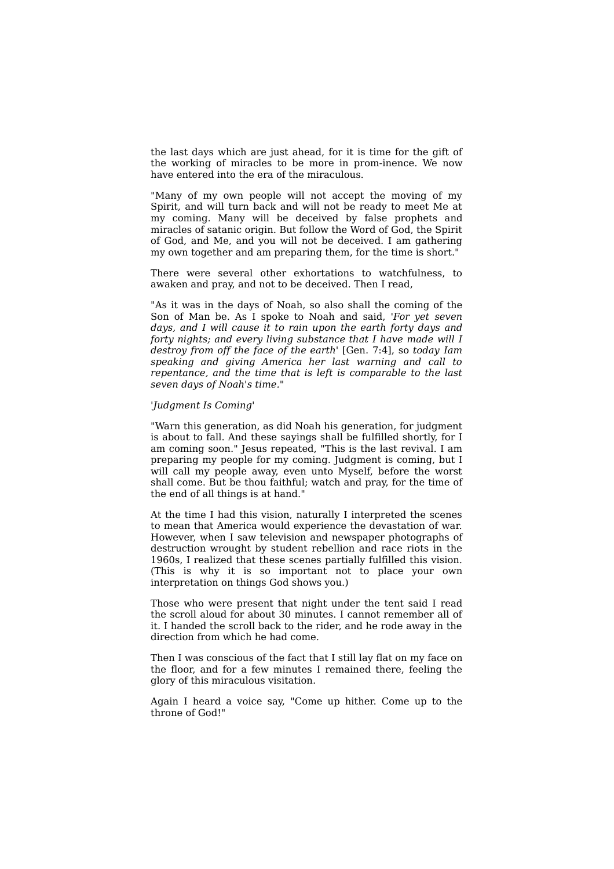the last days which are just ahead, for it is time for the gift of the working of miracles to be more in prom-inence. We now have entered into the era of the miraculous.

"Many of my own people will not accept the moving of my Spirit, and will turn back and will not be ready to meet Me at my coming. Many will be deceived by false prophets and miracles of satanic origin. But follow the Word of God, the Spirit of God, and Me, and you will not be deceived. I am gathering my own together and am preparing them, for the time is short."

There were several other exhortations to watchfulness, to awaken and pray, and not to be deceived. Then I read,

"As it was in the days of Noah, so also shall the coming of the Son of Man be. As I spoke to Noah and said, *'For yet seven days, and I will cause it to rain upon the earth forty days and forty nights; and every living substance that I have made will I destroy from off the face of the earth*' [Gen. 7:4], so *today Iam speaking and giving America her last warning and call to repentance, and the time that is left is comparable to the last seven days of Noah's time."*

#### *'Judgment Is Coming'*

"Warn this generation, as did Noah his generation, for judgment is about to fall. And these sayings shall be fulfilled shortly, for I am coming soon." Jesus repeated, "This is the last revival. I am preparing my people for my coming. Judgment is coming, but I will call my people away, even unto Myself, before the worst shall come. But be thou faithful; watch and pray, for the time of the end of all things is at hand."

At the time I had this vision, naturally I interpreted the scenes to mean that America would experience the devastation of war. However, when I saw television and newspaper photographs of destruction wrought by student rebellion and race riots in the 1960s, I realized that these scenes partially fulfilled this vision. (This is why it is so important not to place your own interpretation on things God shows you.)

Those who were present that night under the tent said I read the scroll aloud for about 30 minutes. I cannot remember all of it. I handed the scroll back to the rider, and he rode away in the direction from which he had come.

Then I was conscious of the fact that I still lay flat on my face on the floor, and for a few minutes I remained there, feeling the glory of this miraculous visitation.

Again I heard a voice say, "Come up hither. Come up to the throne of God!"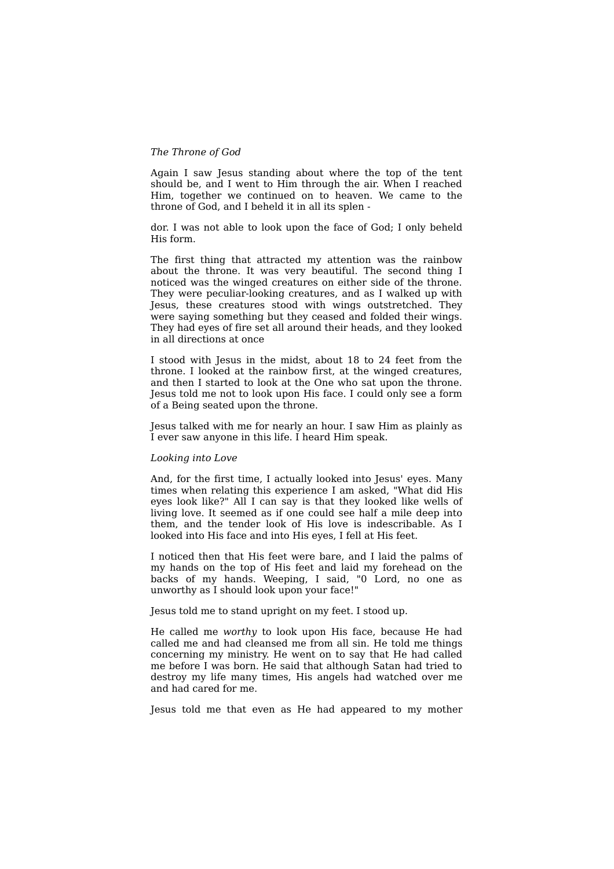## *The Throne of God*

Again I saw Jesus standing about where the top of the tent should be, and I went to Him through the air. When I reached Him, together we continued on to heaven. We came to the throne of God, and I beheld it in all its splen -

dor. I was not able to look upon the face of God; I only beheld His form.

The first thing that attracted my attention was the rainbow about the throne. It was very beautiful. The second thing I noticed was the winged creatures on either side of the throne. They were peculiar-looking creatures, and as I walked up with Jesus, these creatures stood with wings outstretched. They were saying something but they ceased and folded their wings. They had eyes of fire set all around their heads, and they looked in all directions at once

I stood with Jesus in the midst, about 18 to 24 feet from the throne. I looked at the rainbow first, at the winged creatures, and then I started to look at the One who sat upon the throne. Jesus told me not to look upon His face. I could only see a form of a Being seated upon the throne.

Jesus talked with me for nearly an hour. I saw Him as plainly as I ever saw anyone in this life. I heard Him speak.

# *Looking into Love*

And, for the first time, I actually looked into Jesus' eyes. Many times when relating this experience I am asked, "What did His eyes look like?" All I can say is that they looked like wells of living love. It seemed as if one could see half a mile deep into them, and the tender look of His love is indescribable. As I looked into His face and into His eyes, I fell at His feet.

I noticed then that His feet were bare, and I laid the palms of my hands on the top of His feet and laid my forehead on the backs of my hands. Weeping, I said, "0 Lord, no one as unworthy as I should look upon your face!"

Jesus told me to stand upright on my feet. I stood up.

He called me *worthy* to look upon His face, because He had called me and had cleansed me from all sin. He told me things concerning my ministry. He went on to say that He had called me before I was born. He said that although Satan had tried to destroy my life many times, His angels had watched over me and had cared for me.

Jesus told me that even as He had appeared to my mother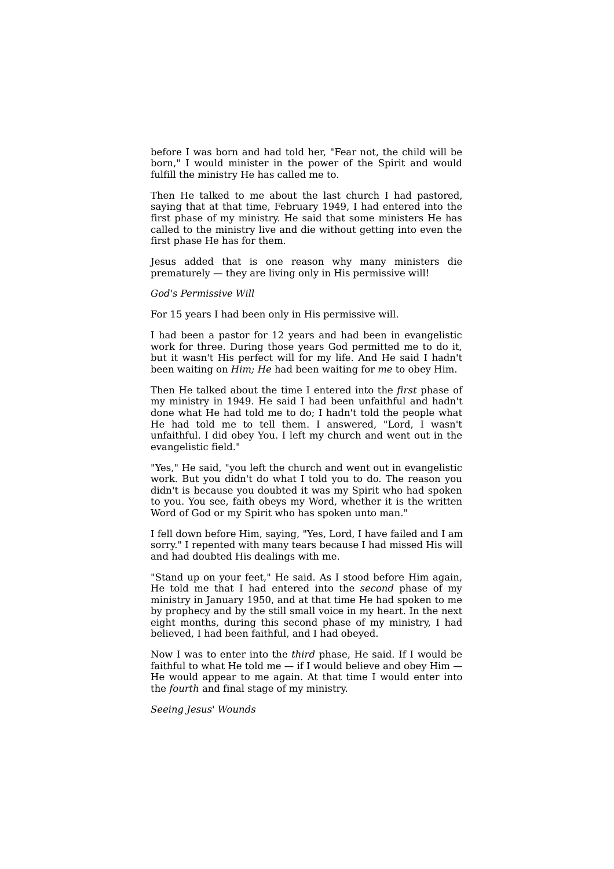before I was born and had told her, "Fear not, the child will be born," I would minister in the power of the Spirit and would fulfill the ministry He has called me to.

Then He talked to me about the last church I had pastored, saying that at that time, February 1949, I had entered into the first phase of my ministry. He said that some ministers He has called to the ministry live and die without getting into even the first phase He has for them.

Jesus added that is one reason why many ministers die prematurely — they are living only in His permissive will!

## *God's Permissive Will*

For 15 years I had been only in His permissive will.

I had been a pastor for 12 years and had been in evangelistic work for three. During those years God permitted me to do it, but it wasn't His perfect will for my life. And He said I hadn't been waiting on *Him; He* had been waiting for *me* to obey Him.

Then He talked about the time I entered into the *first* phase of my ministry in 1949. He said I had been unfaithful and hadn't done what He had told me to do; I hadn't told the people what He had told me to tell them. I answered, "Lord, I wasn't unfaithful. I did obey You. I left my church and went out in the evangelistic field."

"Yes," He said, "you left the church and went out in evangelistic work. But you didn't do what I told you to do. The reason you didn't is because you doubted it was my Spirit who had spoken to you. You see, faith obeys my Word, whether it is the written Word of God or my Spirit who has spoken unto man."

I fell down before Him, saying, "Yes, Lord, I have failed and I am sorry." I repented with many tears because I had missed His will and had doubted His dealings with me.

"Stand up on your feet," He said. As I stood before Him again, He told me that I had entered into the *second* phase of my ministry in January 1950, and at that time He had spoken to me by prophecy and by the still small voice in my heart. In the next eight months, during this second phase of my ministry, I had believed, I had been faithful, and I had obeyed.

Now I was to enter into the *third* phase, He said. If I would be faithful to what He told me  $-$  if I would believe and obey Him  $-$ He would appear to me again. At that time I would enter into the *fourth* and final stage of my ministry.

## *Seeing Jesus' Wounds*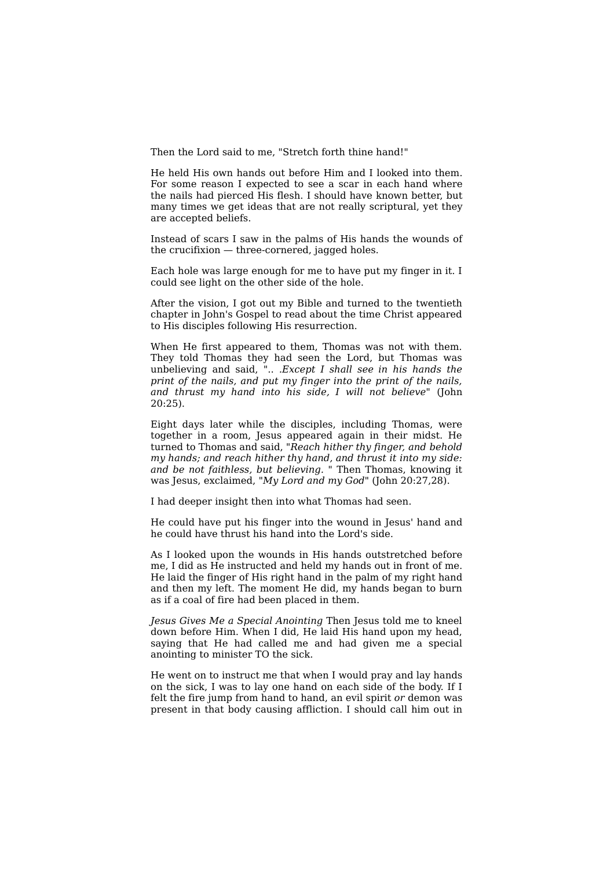Then the Lord said to me, "Stretch forth thine hand!"

He held His own hands out before Him and I looked into them. For some reason I expected to see a scar in each hand where the nails had pierced His flesh. I should have known better, but many times we get ideas that are not really scriptural, yet they are accepted beliefs.

Instead of scars I saw in the palms of His hands the wounds of the crucifixion — three-cornered, jagged holes.

Each hole was large enough for me to have put my finger in it. I could see light on the other side of the hole.

After the vision, I got out my Bible and turned to the twentieth chapter in John's Gospel to read about the time Christ appeared to His disciples following His resurrection.

When He first appeared to them, Thomas was not with them. They told Thomas they had seen the Lord, but Thomas was unbelieving and said, ".. *.Except I shall see in his hands the print of the nails, and put my finger into the print of the nails, and thrust my hand into his side, I will not believe"* (John 20:25).

Eight days later while the disciples, including Thomas, were together in a room, Jesus appeared again in their midst. He turned to Thomas and said, *"Reach hither thy finger, and behold my hands; and reach hither thy hand, and thrust it into my side: and be not faithless, but believing. "* Then Thomas, knowing it was Jesus, exclaimed, *"My Lord and my God"* (John 20:27,28).

I had deeper insight then into what Thomas had seen.

He could have put his finger into the wound in Jesus' hand and he could have thrust his hand into the Lord's side.

As I looked upon the wounds in His hands outstretched before me, I did as He instructed and held my hands out in front of me. He laid the finger of His right hand in the palm of my right hand and then my left. The moment He did, my hands began to burn as if a coal of fire had been placed in them.

*Jesus Gives Me a Special Anointing* Then Jesus told me to kneel down before Him. When I did, He laid His hand upon my head, saying that He had called me and had given me a special anointing to minister TO the sick.

He went on to instruct me that when I would pray and lay hands on the sick, I was to lay one hand on each side of the body. If I felt the fire jump from hand to hand, an evil spirit *or* demon was present in that body causing affliction. I should call him out in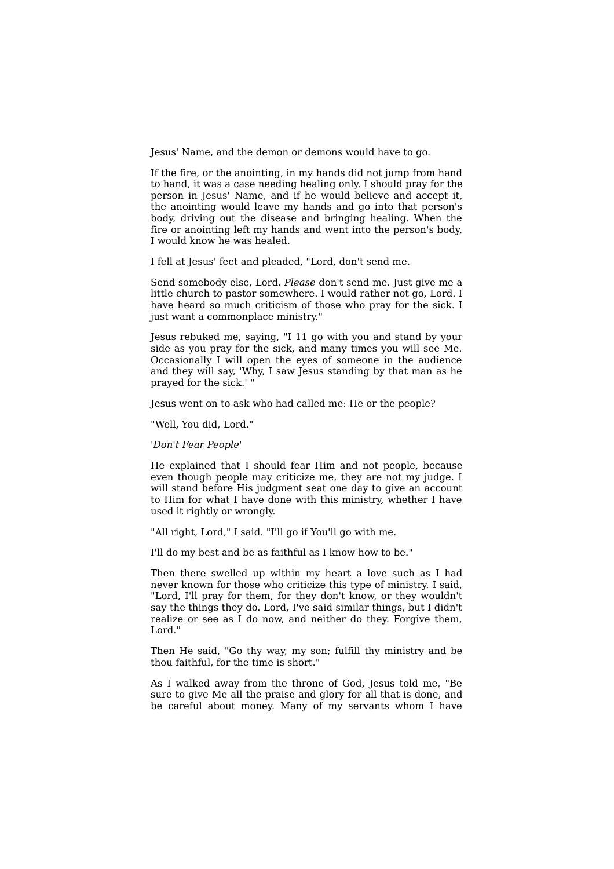Jesus' Name, and the demon or demons would have to go.

If the fire, or the anointing, in my hands did not jump from hand to hand, it was a case needing healing only. I should pray for the person in Jesus' Name, and if he would believe and accept it, the anointing would leave my hands and go into that person's body, driving out the disease and bringing healing. When the fire or anointing left my hands and went into the person's body, I would know he was healed.

I fell at Jesus' feet and pleaded, "Lord, don't send me.

Send somebody else, Lord. *Please* don't send me. Just give me a little church to pastor somewhere. I would rather not go, Lord. I have heard so much criticism of those who pray for the sick. I just want a commonplace ministry."

Jesus rebuked me, saying, "I 11 go with you and stand by your side as you pray for the sick, and many times you will see Me. Occasionally I will open the eyes of someone in the audience and they will say, 'Why, I saw Jesus standing by that man as he prayed for the sick.' "

Jesus went on to ask who had called me: He or the people?

"Well, You did, Lord."

*'Don't Fear People'*

He explained that I should fear Him and not people, because even though people may criticize me, they are not my judge. I will stand before His judgment seat one day to give an account to Him for what I have done with this ministry, whether I have used it rightly or wrongly.

"All right, Lord," I said. "I'll go if You'll go with me.

I'll do my best and be as faithful as I know how to be."

Then there swelled up within my heart a love such as I had never known for those who criticize this type of ministry. I said, "Lord, I'll pray for them, for they don't know, or they wouldn't say the things they do. Lord, I've said similar things, but I didn't realize or see as I do now, and neither do they. Forgive them, Lord."

Then He said, "Go thy way, my son; fulfill thy ministry and be thou faithful, for the time is short."

As I walked away from the throne of God, Jesus told me, "Be sure to give Me all the praise and glory for all that is done, and be careful about money. Many of my servants whom I have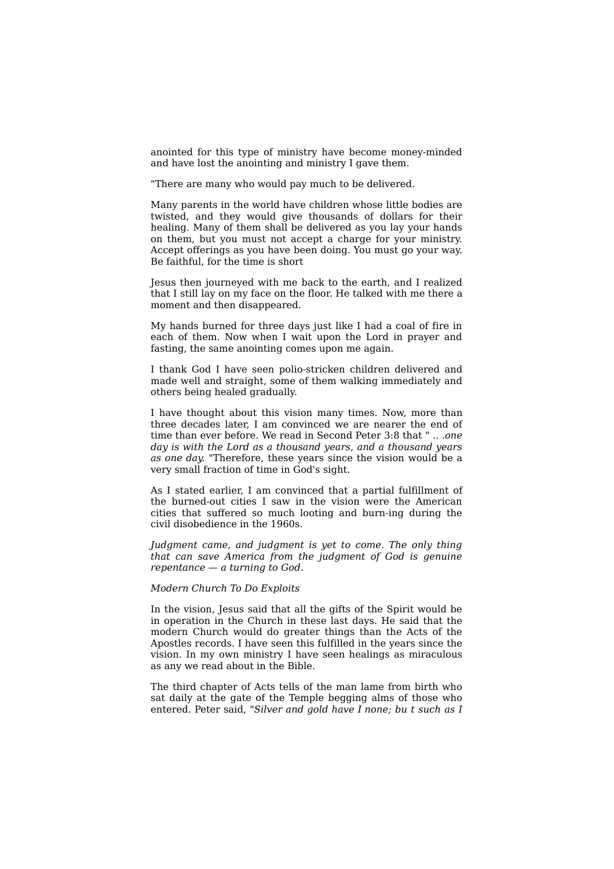anointed for this type of ministry have become money-minded and have lost the anointing and ministry I gave them.

"There are many who would pay much to be delivered.

Many parents in the world have children whose little bodies are twisted, and they would give thousands of dollars for their healing. Many of them shall be delivered as you lay your hands on them, but you must not accept a charge for your ministry. Accept offerings as you have been doing. You must go your way. Be faithful, for the time is short

Jesus then journeyed with me back to the earth, and I realized that I still lay on my face on the floor. He talked with me there a moment and then disappeared.

My hands burned for three days just like I had a coal of fire in each of them. Now when I wait upon the Lord in prayer and fasting, the same anointing comes upon me again.

I thank God I have seen polio-stricken children delivered and made well and straight, some of them walking immediately and others being healed gradually.

I have thought about this vision many times. Now, more than three decades later, I am convinced we are nearer the end of time than ever before. We read in Second Peter 3:8 that " .. *.one day is with the Lord as a thousand years, and a thousand years as one day.* "Therefore, these years since the vision would be a very small fraction of time in God's sight.

As I stated earlier, I am convinced that a partial fulfillment of the burned-out cities I saw in the vision were the American cities that suffered so much looting and burn-ing during the civil disobedience in the 1960s.

*Judgment came, and judgment is yet to come. The only thing that can save America from the judgment of God is genuine repentance* — *a turning to God.*

## *Modern Church To Do Exploits*

In the vision, Jesus said that all the gifts of the Spirit would be in operation in the Church in these last days. He said that the modern Church would do greater things than the Acts of the Apostles records. I have seen this fulfilled in the years since the vision. In my own ministry I have seen healings as miraculous as any we read about in the Bible.

The third chapter of Acts tells of the man lame from birth who sat daily at the gate of the Temple begging alms of those who entered. Peter said, *"Silver and gold have I none; bu t such as I*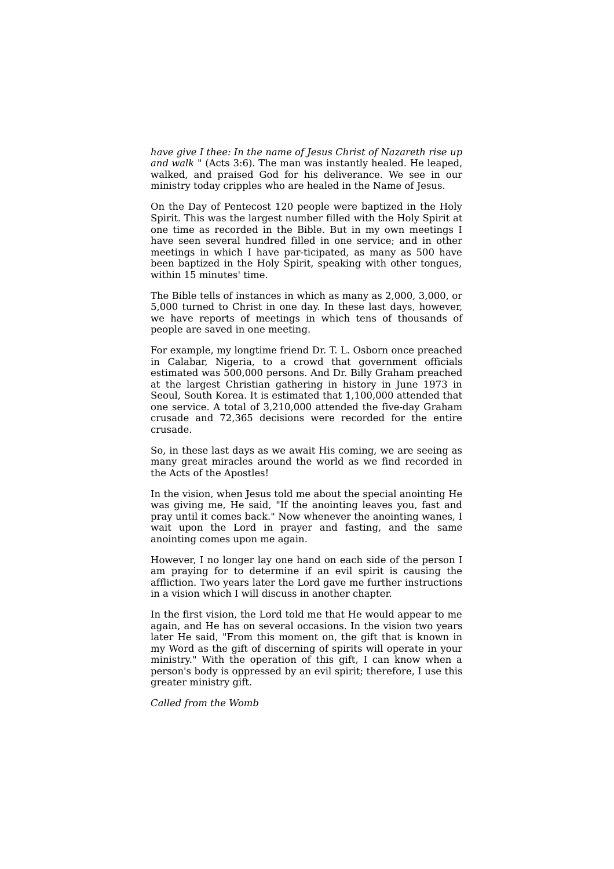*have give I thee: In the name of Jesus Christ of Nazareth rise up and walk* " (Acts 3:6). The man was instantly healed. He leaped, walked, and praised God for his deliverance. We see in our ministry today cripples who are healed in the Name of Jesus.

On the Day of Pentecost 120 people were baptized in the Holy Spirit. This was the largest number filled with the Holy Spirit at one time as recorded in the Bible. But in my own meetings I have seen several hundred filled in one service; and in other meetings in which I have par-ticipated, as many as 500 have been baptized in the Holy Spirit, speaking with other tongues, within 15 minutes' time.

The Bible tells of instances in which as many as 2,000, 3,000, or 5,000 turned to Christ in one day. In these last days, however, we have reports of meetings in which tens of thousands of people are saved in one meeting.

For example, my longtime friend Dr. T. L. Osborn once preached in Calabar, Nigeria, to a crowd that government officials estimated was 500,000 persons. And Dr. Billy Graham preached at the largest Christian gathering in history in June 1973 in Seoul, South Korea. It is estimated that 1,100,000 attended that one service. A total of 3,210,000 attended the five-day Graham crusade and 72,365 decisions were recorded for the entire crusade.

So, in these last days as we await His coming, we are seeing as many great miracles around the world as we find recorded in the Acts of the Apostles!

In the vision, when Jesus told me about the special anointing He was giving me, He said, "If the anointing leaves you, fast and pray until it comes back." Now whenever the anointing wanes, I wait upon the Lord in prayer and fasting, and the same anointing comes upon me again.

However, I no longer lay one hand on each side of the person I am praying for to determine if an evil spirit is causing the affliction. Two years later the Lord gave me further instructions in a vision which I will discuss in another chapter.

In the first vision, the Lord told me that He would appear to me again, and He has on several occasions. In the vision two years later He said, "From this moment on, the gift that is known in my Word as the gift of discerning of spirits will operate in your ministry." With the operation of this gift, I can know when a person's body is oppressed by an evil spirit; therefore, I use this greater ministry gift.

*Called from the Womb*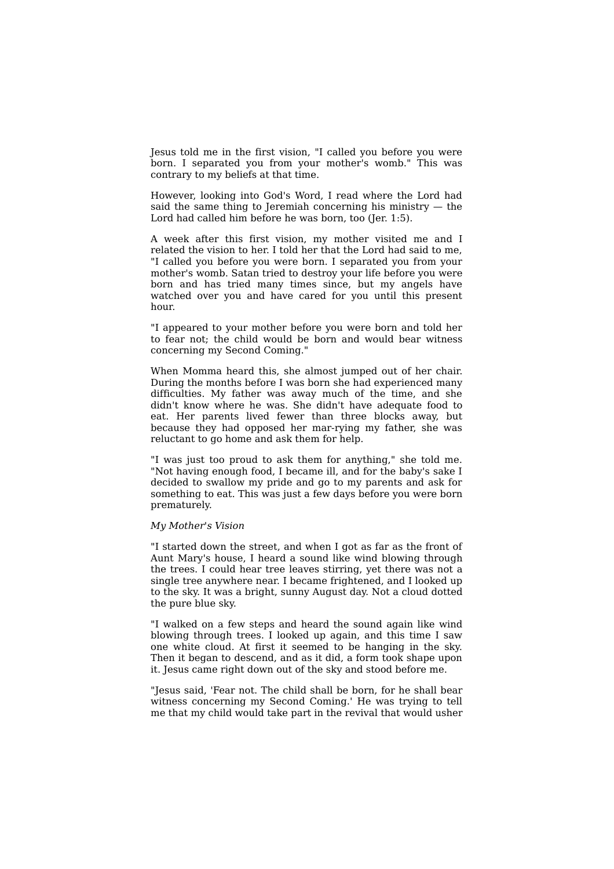Jesus told me in the first vision, "I called you before you were born. I separated you from your mother's womb." This was contrary to my beliefs at that time.

However, looking into God's Word, I read where the Lord had said the same thing to Jeremiah concerning his ministry — the Lord had called him before he was born, too (Jer. 1:5).

A week after this first vision, my mother visited me and I related the vision to her. I told her that the Lord had said to me, "I called you before you were born. I separated you from your mother's womb. Satan tried to destroy your life before you were born and has tried many times since, but my angels have watched over you and have cared for you until this present hour.

"I appeared to your mother before you were born and told her to fear not; the child would be born and would bear witness concerning my Second Coming."

When Momma heard this, she almost jumped out of her chair. During the months before I was born she had experienced many difficulties. My father was away much of the time, and she didn't know where he was. She didn't have adequate food to eat. Her parents lived fewer than three blocks away, but because they had opposed her mar-rying my father, she was reluctant to go home and ask them for help.

"I was just too proud to ask them for anything," she told me. "Not having enough food, I became ill, and for the baby's sake I decided to swallow my pride and go to my parents and ask for something to eat. This was just a few days before you were born prematurely.

# *My Mother's Vision*

"I started down the street, and when I got as far as the front of Aunt Mary's house, I heard a sound like wind blowing through the trees. I could hear tree leaves stirring, yet there was not a single tree anywhere near. I became frightened, and I looked up to the sky. It was a bright, sunny August day. Not a cloud dotted the pure blue sky.

"I walked on a few steps and heard the sound again like wind blowing through trees. I looked up again, and this time I saw one white cloud. At first it seemed to be hanging in the sky. Then it began to descend, and as it did, a form took shape upon it. Jesus came right down out of the sky and stood before me.

"Jesus said, 'Fear not. The child shall be born, for he shall bear witness concerning my Second Coming.' He was trying to tell me that my child would take part in the revival that would usher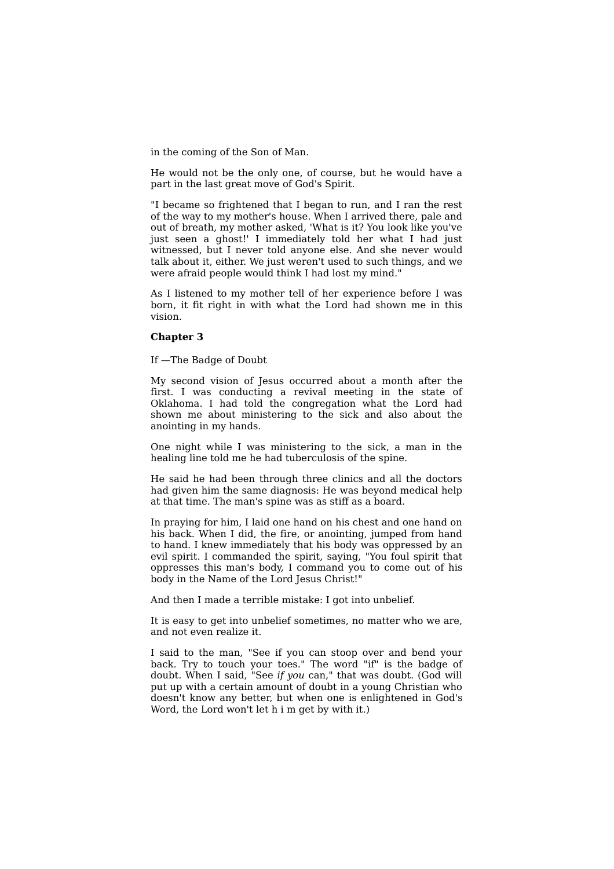in the coming of the Son of Man.

He would not be the only one, of course, but he would have a part in the last great move of God's Spirit.

"I became so frightened that I began to run, and I ran the rest of the way to my mother's house. When I arrived there, pale and out of breath, my mother asked, 'What is it? You look like you've just seen a ghost!' I immediately told her what I had just witnessed, but I never told anyone else. And she never would talk about it, either. We just weren't used to such things, and we were afraid people would think I had lost my mind."

As I listened to my mother tell of her experience before I was born, it fit right in with what the Lord had shown me in this vision.

# **Chapter 3**

If —The Badge of Doubt

My second vision of Jesus occurred about a month after the first. I was conducting a revival meeting in the state of Oklahoma. I had told the congregation what the Lord had shown me about ministering to the sick and also about the anointing in my hands.

One night while I was ministering to the sick, a man in the healing line told me he had tuberculosis of the spine.

He said he had been through three clinics and all the doctors had given him the same diagnosis: He was beyond medical help at that time. The man's spine was as stiff as a board.

In praying for him, I laid one hand on his chest and one hand on his back. When I did, the fire, or anointing, jumped from hand to hand. I knew immediately that his body was oppressed by an evil spirit. I commanded the spirit, saying, "You foul spirit that oppresses this man's body, I command you to come out of his body in the Name of the Lord Jesus Christ!"

And then I made a terrible mistake: I got into unbelief.

It is easy to get into unbelief sometimes, no matter who we are, and not even realize it.

I said to the man, "See if you can stoop over and bend your back. Try to touch your toes." The word "if" is the badge of doubt. When I said, "See *if you* can," that was doubt. (God will put up with a certain amount of doubt in a young Christian who doesn't know any better, but when one is enlightened in God's Word, the Lord won't let h i m get by with it.)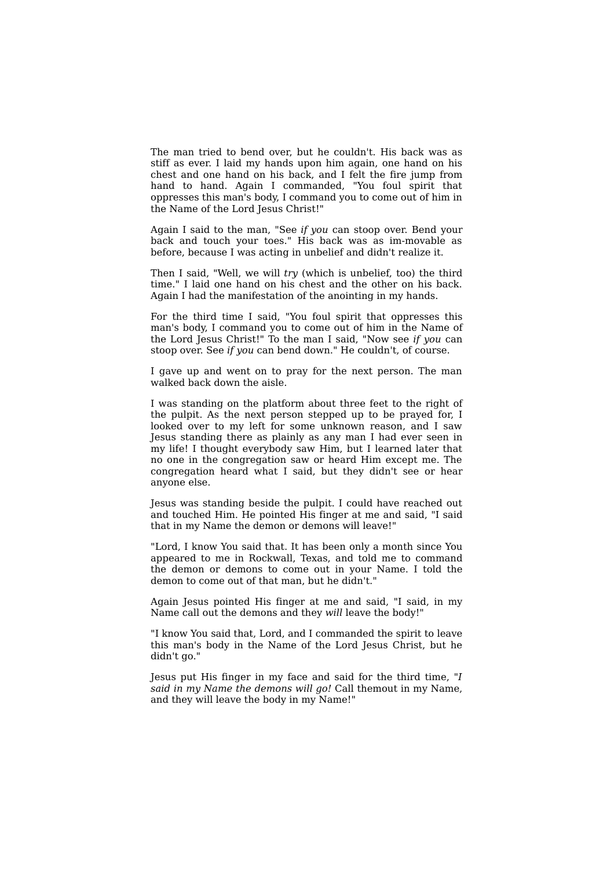The man tried to bend over, but he couldn't. His back was as stiff as ever. I laid my hands upon him again, one hand on his chest and one hand on his back, and I felt the fire jump from hand to hand. Again I commanded, "You foul spirit that oppresses this man's body, I command you to come out of him in the Name of the Lord Jesus Christ!"

Again I said to the man, "See *if you* can stoop over. Bend your back and touch your toes." His back was as im-movable as before, because I was acting in unbelief and didn't realize it.

Then I said, "Well, we will *try* (which is unbelief, too) the third time." I laid one hand on his chest and the other on his back. Again I had the manifestation of the anointing in my hands.

For the third time I said, "You foul spirit that oppresses this man's body, I command you to come out of him in the Name of the Lord Jesus Christ!" To the man I said, "Now see *if you* can stoop over. See *if you* can bend down." He couldn't, of course.

I gave up and went on to pray for the next person. The man walked back down the aisle.

I was standing on the platform about three feet to the right of the pulpit. As the next person stepped up to be prayed for, I looked over to my left for some unknown reason, and I saw Jesus standing there as plainly as any man I had ever seen in my life! I thought everybody saw Him, but I learned later that no one in the congregation saw or heard Him except me. The congregation heard what I said, but they didn't see or hear anyone else.

Jesus was standing beside the pulpit. I could have reached out and touched Him. He pointed His finger at me and said, "I said that in my Name the demon or demons will leave!"

"Lord, I know You said that. It has been only a month since You appeared to me in Rockwall, Texas, and told me to command the demon or demons to come out in your Name. I told the demon to come out of that man, but he didn't."

Again Jesus pointed His finger at me and said, "I said, in my Name call out the demons and they *will* leave the body!"

"I know You said that, Lord, and I commanded the spirit to leave this man's body in the Name of the Lord Jesus Christ, but he didn't go."

Jesus put His finger in my face and said for the third time, *"I said in my Name the demons will go!* Call themout in my Name, and they will leave the body in my Name!"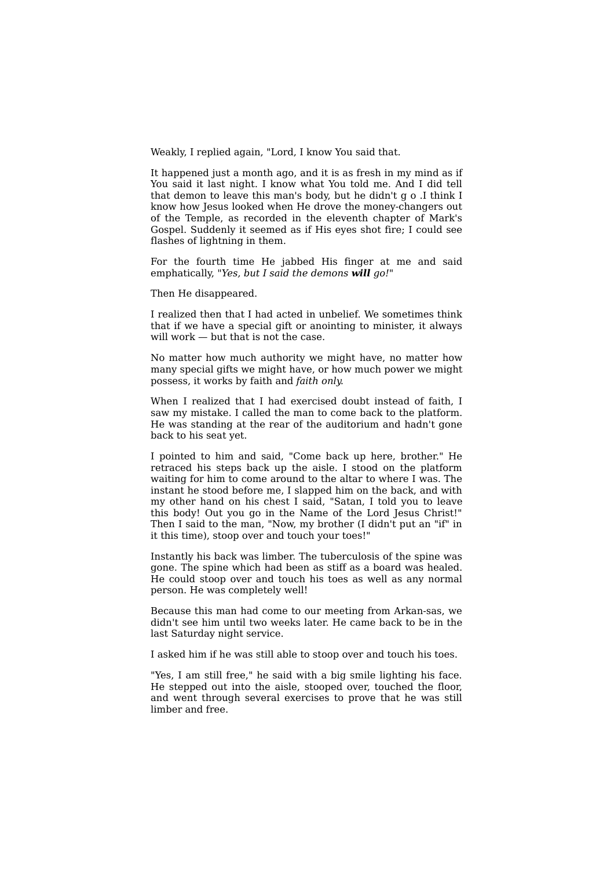Weakly, I replied again, "Lord, I know You said that.

It happened just a month ago, and it is as fresh in my mind as if You said it last night. I know what You told me. And I did tell that demon to leave this man's body, but he didn't g o .I think I know how Jesus looked when He drove the money-changers out of the Temple, as recorded in the eleventh chapter of Mark's Gospel. Suddenly it seemed as if His eyes shot fire; I could see flashes of lightning in them.

For the fourth time He jabbed His finger at me and said emphatically, *"Yes, but I said the demons will go!"*

Then He disappeared.

I realized then that I had acted in unbelief. We sometimes think that if we have a special gift or anointing to minister, it always will work — but that is not the case.

No matter how much authority we might have, no matter how many special gifts we might have, or how much power we might possess, it works by faith and *faith only.*

When I realized that I had exercised doubt instead of faith, I saw my mistake. I called the man to come back to the platform. He was standing at the rear of the auditorium and hadn't gone back to his seat yet.

I pointed to him and said, "Come back up here, brother." He retraced his steps back up the aisle. I stood on the platform waiting for him to come around to the altar to where I was. The instant he stood before me, I slapped him on the back, and with my other hand on his chest I said, "Satan, I told you to leave this body! Out you go in the Name of the Lord Jesus Christ!" Then I said to the man, "Now, my brother (I didn't put an "if" in it this time), stoop over and touch your toes!"

Instantly his back was limber. The tuberculosis of the spine was gone. The spine which had been as stiff as a board was healed. He could stoop over and touch his toes as well as any normal person. He was completely well!

Because this man had come to our meeting from Arkan-sas, we didn't see him until two weeks later. He came back to be in the last Saturday night service.

I asked him if he was still able to stoop over and touch his toes.

"Yes, I am still free," he said with a big smile lighting his face. He stepped out into the aisle, stooped over, touched the floor, and went through several exercises to prove that he was still limber and free.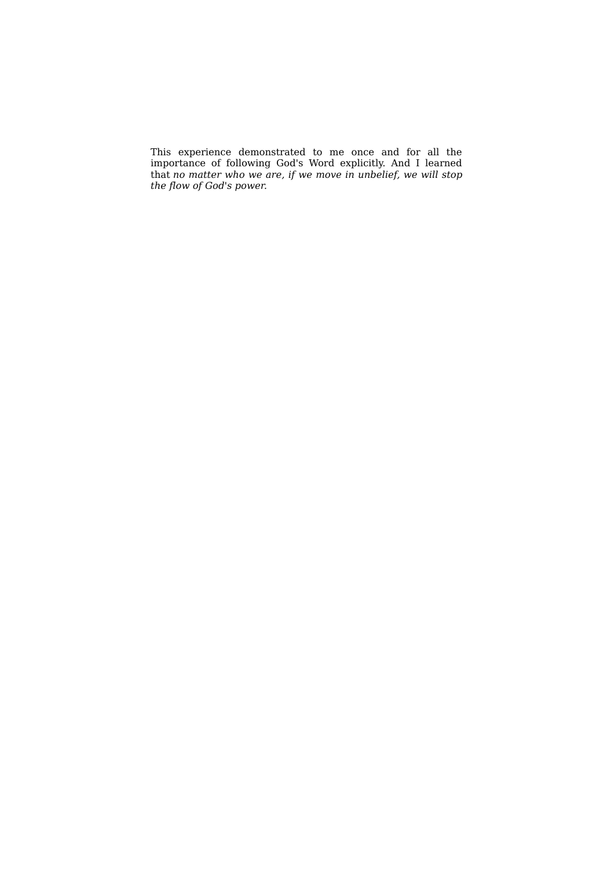This experience demonstrated to me once and for all the importance of following God's Word explicitly. And I learned that *no matter who we are, if we move in unbelief, we will stop the flow of God's power.*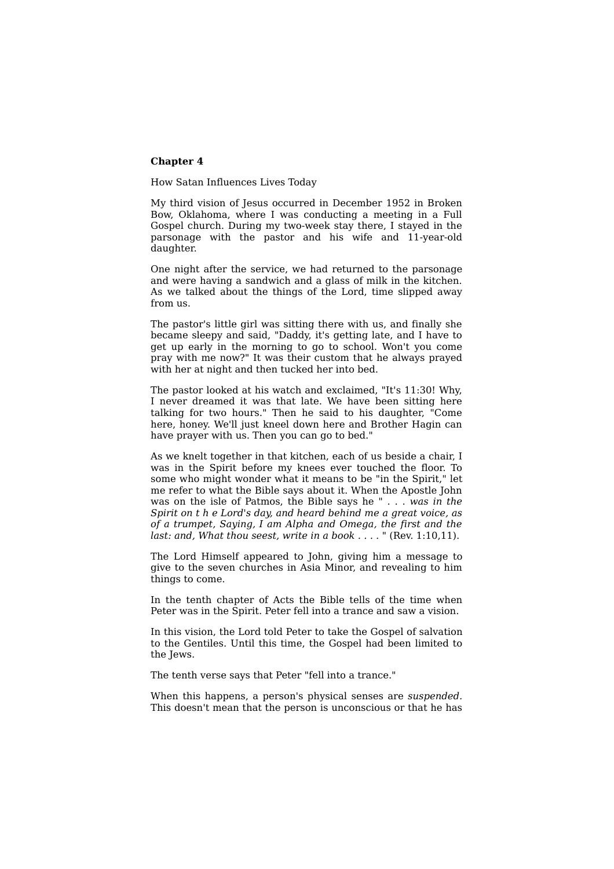# **Chapter 4**

How Satan Influences Lives Today

My third vision of Jesus occurred in December 1952 in Broken Bow, Oklahoma, where I was conducting a meeting in a Full Gospel church. During my two-week stay there, I stayed in the parsonage with the pastor and his wife and 11-year-old daughter.

One night after the service, we had returned to the parsonage and were having a sandwich and a glass of milk in the kitchen. As we talked about the things of the Lord, time slipped away from us.

The pastor's little girl was sitting there with us, and finally she became sleepy and said, "Daddy, it's getting late, and I have to get up early in the morning to go to school. Won't you come pray with me now?" It was their custom that he always prayed with her at night and then tucked her into bed.

The pastor looked at his watch and exclaimed, "It's 11:30! Why, I never dreamed it was that late. We have been sitting here talking for two hours." Then he said to his daughter, "Come here, honey. We'll just kneel down here and Brother Hagin can have prayer with us. Then you can go to bed."

As we knelt together in that kitchen, each of us beside a chair, I was in the Spirit before my knees ever touched the floor. To some who might wonder what it means to be "in the Spirit," let me refer to what the Bible says about it. When the Apostle John was on the isle of Patmos, the Bible says he " . . . *was in the Spirit on t h e Lord's day, and heard behind me a great voice, as of a trumpet, Saying, I am Alpha and Omega, the first and the last: and, What thou seest, write in a book . . . . "* (Rev. 1:10,11).

The Lord Himself appeared to John, giving him a message to give to the seven churches in Asia Minor, and revealing to him things to come.

In the tenth chapter of Acts the Bible tells of the time when Peter was in the Spirit. Peter fell into a trance and saw a vision.

In this vision, the Lord told Peter to take the Gospel of salvation to the Gentiles. Until this time, the Gospel had been limited to the Jews.

The tenth verse says that Peter "fell into a trance."

When this happens, a person's physical senses are *suspended.* This doesn't mean that the person is unconscious or that he has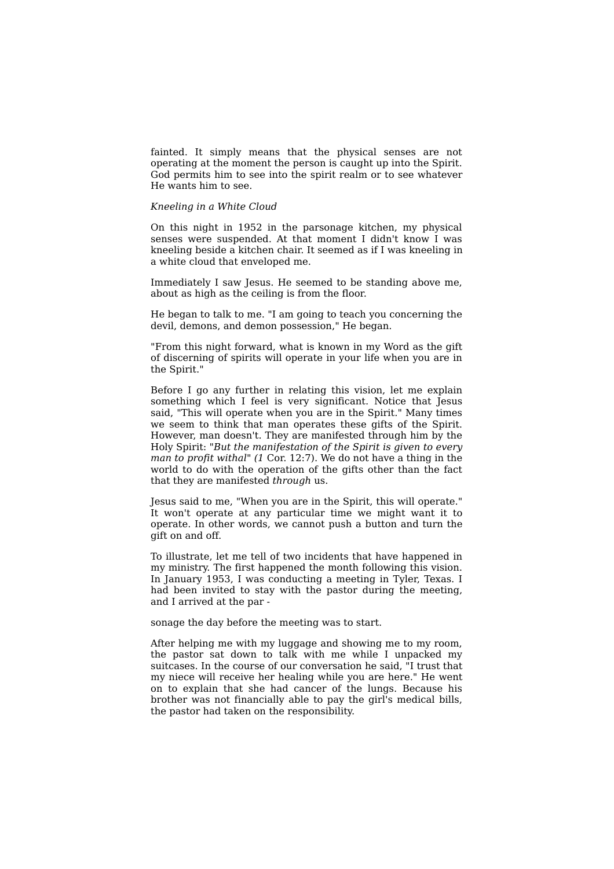fainted. It simply means that the physical senses are not operating at the moment the person is caught up into the Spirit. God permits him to see into the spirit realm or to see whatever He wants him to see.

## *Kneeling in a White Cloud*

On this night in 1952 in the parsonage kitchen, my physical senses were suspended. At that moment I didn't know I was kneeling beside a kitchen chair. It seemed as if I was kneeling in a white cloud that enveloped me.

Immediately I saw Jesus. He seemed to be standing above me, about as high as the ceiling is from the floor.

He began to talk to me. "I am going to teach you concerning the devil, demons, and demon possession," He began.

"From this night forward, what is known in my Word as the gift of discerning of spirits will operate in your life when you are in the Spirit."

Before I go any further in relating this vision, let me explain something which I feel is very significant. Notice that Jesus said, "This will operate when you are in the Spirit." Many times we seem to think that man operates these gifts of the Spirit. However, man doesn't. They are manifested through him by the Holy Spirit: *"But the manifestation of the Spirit is given to every man to profit withal" (1* Cor. 12:7). We do not have a thing in the world to do with the operation of the gifts other than the fact that they are manifested *through* us.

Jesus said to me, "When you are in the Spirit, this will operate." It won't operate at any particular time we might want it to operate. In other words, we cannot push a button and turn the gift on and off.

To illustrate, let me tell of two incidents that have happened in my ministry. The first happened the month following this vision. In January 1953, I was conducting a meeting in Tyler, Texas. I had been invited to stay with the pastor during the meeting, and I arrived at the par -

sonage the day before the meeting was to start.

After helping me with my luggage and showing me to my room, the pastor sat down to talk with me while I unpacked my suitcases. In the course of our conversation he said, "I trust that my niece will receive her healing while you are here." He went on to explain that she had cancer of the lungs. Because his brother was not financially able to pay the girl's medical bills, the pastor had taken on the responsibility.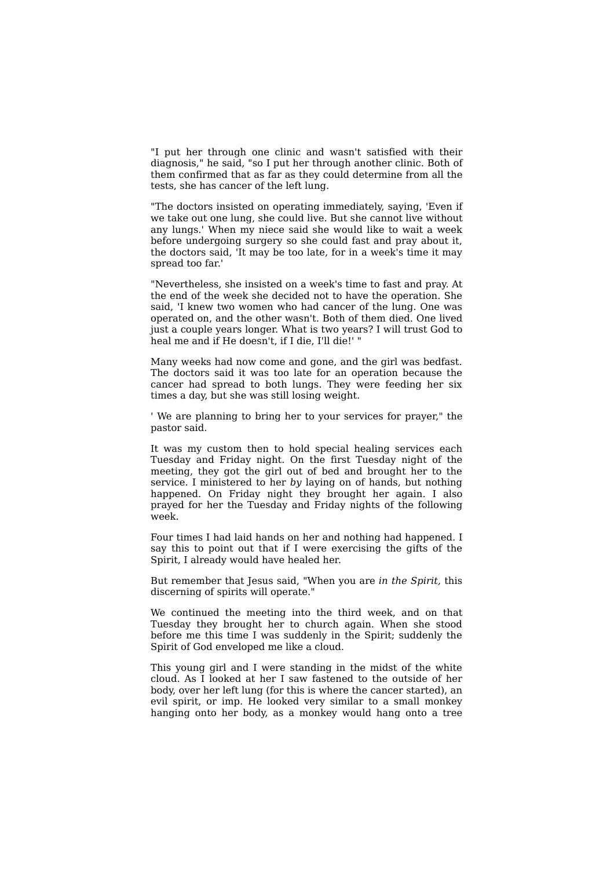"I put her through one clinic and wasn't satisfied with their diagnosis," he said, "so I put her through another clinic. Both of them confirmed that as far as they could determine from all the tests, she has cancer of the left lung.

"The doctors insisted on operating immediately, saying, 'Even if we take out one lung, she could live. But she cannot live without any lungs.' When my niece said she would like to wait a week before undergoing surgery so she could fast and pray about it, the doctors said, 'It may be too late, for in a week's time it may spread too far.'

"Nevertheless, she insisted on a week's time to fast and pray. At the end of the week she decided not to have the operation. She said, 'I knew two women who had cancer of the lung. One was operated on, and the other wasn't. Both of them died. One lived just a couple years longer. What is two years? I will trust God to heal me and if He doesn't, if I die, I'll die!' "

Many weeks had now come and gone, and the girl was bedfast. The doctors said it was too late for an operation because the cancer had spread to both lungs. They were feeding her six times a day, but she was still losing weight.

' We are planning to bring her to your services for prayer," the pastor said.

It was my custom then to hold special healing services each Tuesday and Friday night. On the first Tuesday night of the meeting, they got the girl out of bed and brought her to the service. I ministered to her *by* laying on of hands, but nothing happened. On Friday night they brought her again. I also prayed for her the Tuesday and Friday nights of the following week.

Four times I had laid hands on her and nothing had happened. I say this to point out that if I were exercising the gifts of the Spirit, I already would have healed her.

But remember that Jesus said, "When you are *in the Spirit,* this discerning of spirits will operate."

We continued the meeting into the third week, and on that Tuesday they brought her to church again. When she stood before me this time I was suddenly in the Spirit; suddenly the Spirit of God enveloped me like a cloud.

This young girl and I were standing in the midst of the white cloud. As I looked at her I saw fastened to the outside of her body, over her left lung (for this is where the cancer started), an evil spirit, or imp. He looked very similar to a small monkey hanging onto her body, as a monkey would hang onto a tree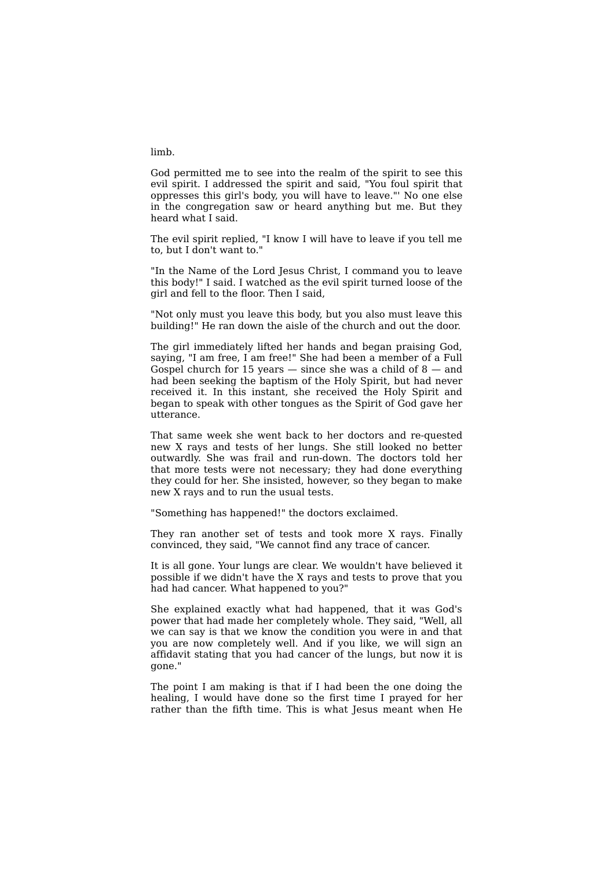# limb.

God permitted me to see into the realm of the spirit to see this evil spirit. I addressed the spirit and said, "You foul spirit that oppresses this girl's body, you will have to leave."' No one else in the congregation saw or heard anything but me. But they heard what I said.

The evil spirit replied, "I know I will have to leave if you tell me to, but I don't want to."

"In the Name of the Lord Jesus Christ, I command you to leave this body!" I said. I watched as the evil spirit turned loose of the girl and fell to the floor. Then I said,

"Not only must you leave this body, but you also must leave this building!" He ran down the aisle of the church and out the door.

The girl immediately lifted her hands and began praising God, saying, "I am free, I am free!" She had been a member of a Full Gospel church for 15 years  $-$  since she was a child of  $8 -$  and had been seeking the baptism of the Holy Spirit, but had never received it. In this instant, she received the Holy Spirit and began to speak with other tongues as the Spirit of God gave her utterance.

That same week she went back to her doctors and re-quested new X rays and tests of her lungs. She still looked no better outwardly. She was frail and run-down. The doctors told her that more tests were not necessary; they had done everything they could for her. She insisted, however, so they began to make new X rays and to run the usual tests.

"Something has happened!" the doctors exclaimed.

They ran another set of tests and took more X rays. Finally convinced, they said, "We cannot find any trace of cancer.

It is all gone. Your lungs are clear. We wouldn't have believed it possible if we didn't have the X rays and tests to prove that you had had cancer. What happened to you?"

She explained exactly what had happened, that it was God's power that had made her completely whole. They said, "Well, all we can say is that we know the condition you were in and that you are now completely well. And if you like, we will sign an affidavit stating that you had cancer of the lungs, but now it is gone."

The point I am making is that if I had been the one doing the healing, I would have done so the first time I prayed for her rather than the fifth time. This is what Jesus meant when He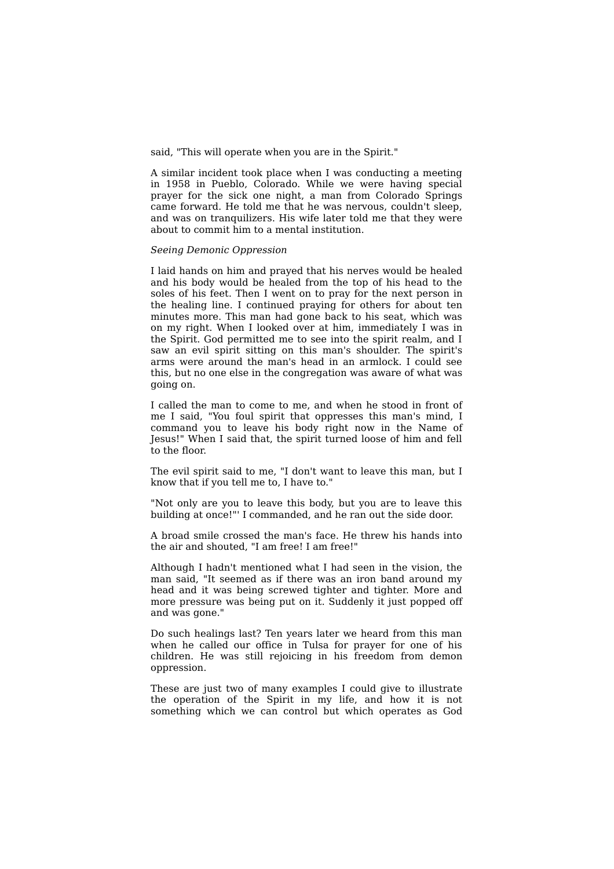said, "This will operate when you are in the Spirit."

A similar incident took place when I was conducting a meeting in 1958 in Pueblo, Colorado. While we were having special prayer for the sick one night, a man from Colorado Springs came forward. He told me that he was nervous, couldn't sleep, and was on tranquilizers. His wife later told me that they were about to commit him to a mental institution.

## *Seeing Demonic Oppression*

I laid hands on him and prayed that his nerves would be healed and his body would be healed from the top of his head to the soles of his feet. Then I went on to pray for the next person in the healing line. I continued praying for others for about ten minutes more. This man had gone back to his seat, which was on my right. When I looked over at him, immediately I was in the Spirit. God permitted me to see into the spirit realm, and I saw an evil spirit sitting on this man's shoulder. The spirit's arms were around the man's head in an armlock. I could see this, but no one else in the congregation was aware of what was going on.

I called the man to come to me, and when he stood in front of me I said, "You foul spirit that oppresses this man's mind, I command you to leave his body right now in the Name of Jesus!" When I said that, the spirit turned loose of him and fell to the floor.

The evil spirit said to me, "I don't want to leave this man, but I know that if you tell me to, I have to."

"Not only are you to leave this body, but you are to leave this building at once!"' I commanded, and he ran out the side door.

A broad smile crossed the man's face. He threw his hands into the air and shouted, "I am free! I am free!"

Although I hadn't mentioned what I had seen in the vision, the man said, "It seemed as if there was an iron band around my head and it was being screwed tighter and tighter. More and more pressure was being put on it. Suddenly it just popped off and was gone."

Do such healings last? Ten years later we heard from this man when he called our office in Tulsa for prayer for one of his children. He was still rejoicing in his freedom from demon oppression.

These are just two of many examples I could give to illustrate the operation of the Spirit in my life, and how it is not something which we can control but which operates as God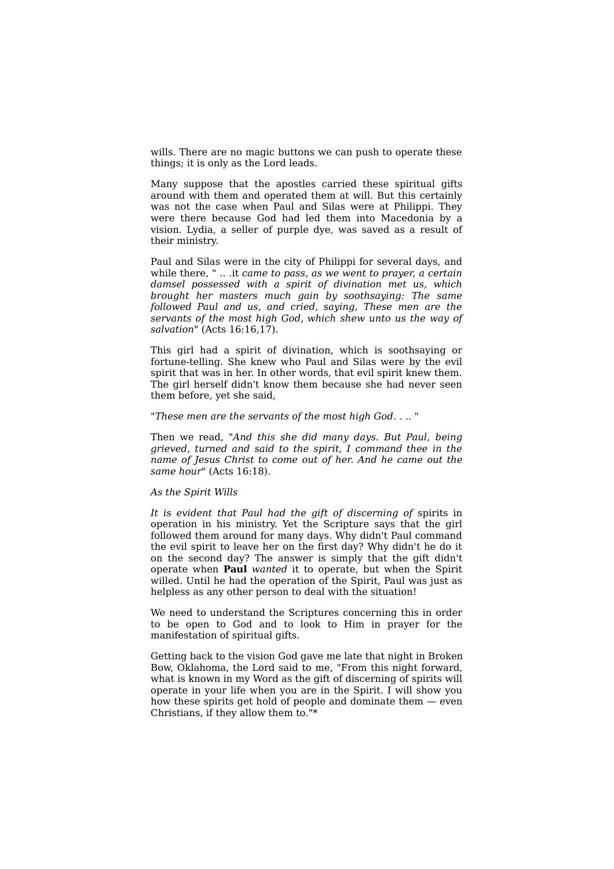wills. There are no magic buttons we can push to operate these things; it is only as the Lord leads.

Many suppose that the apostles carried these spiritual gifts around with them and operated them at will. But this certainly was not the case when Paul and Silas were at Philippi. They were there because God had led them into Macedonia by a vision. Lydia, a seller of purple dye, was saved as a result of their ministry.

Paul and Silas were in the city of Philippi for several days, and while there, " .. .it *came to pass, as we went to prayer, a certain damsel possessed with a spirit of divination met us, which brought her masters much gain by soothsaying: The same followed Paul and us, and cried, saying, These men are the servants of the most high God, which shew unto us the way of salvation"* (Acts 16:16,17).

This girl had a spirit of divination, which is soothsaying or fortune-telling. She knew who Paul and Silas were by the evil spirit that was in her. In other words, that evil spirit knew them. The girl herself didn't know them because she had never seen them before, yet she said,

#### *"These men are the servants of the most high God. . .. "*

Then we read, *"And this she did many days. But Paul, being grieved, turned and said to the spirit, I command thee in the name of Jesus Christ to come out of her. And he came out the same hour"* (Acts 16:18).

# *As the Spirit Wills*

*It is evident that Paul had the gift of discerning of* spirits in operation in his ministry. Yet the Scripture says that the girl followed them around for many days. Why didn't Paul command the evil spirit to leave her on the first day? Why didn't he do it on the second day? The answer is simply that the gift didn't operate when **Paul** *wanted* it to operate, but when the Spirit willed. Until he had the operation of the Spirit, Paul was just as helpless as any other person to deal with the situation!

We need to understand the Scriptures concerning this in order to be open to God and to look to Him in prayer for the manifestation of spiritual gifts.

Getting back to the vision God gave me late that night in Broken Bow, Oklahoma, the Lord said to me, "From this night forward, what is known in my Word as the gift of discerning of spirits will operate in your life when you are in the Spirit. I will show you how these spirits get hold of people and dominate them — even Christians, if they allow them to."\*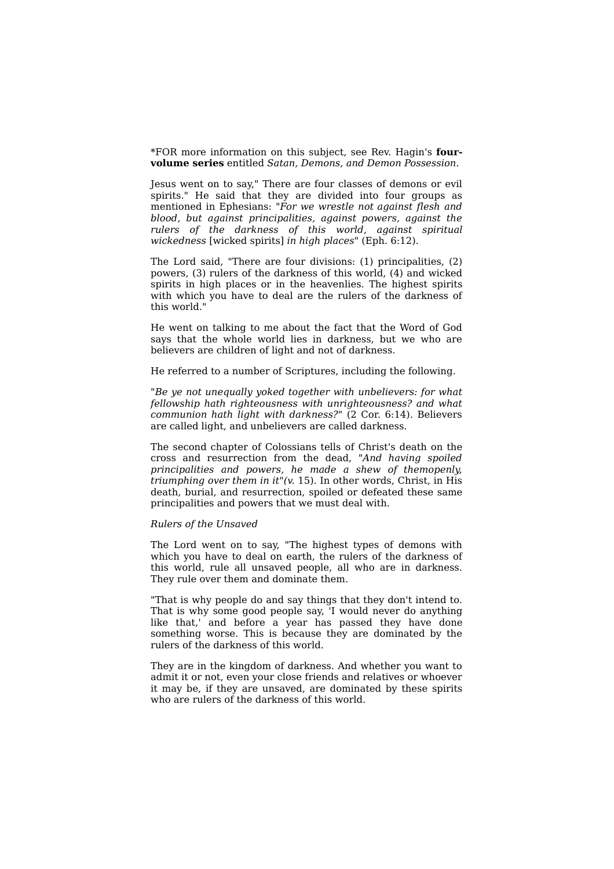\*FOR more information on this subject, see Rev. Hagin's **fourvolume series** entitled *Satan, Demons, and Demon Possession.*

Jesus went on to say," There are four classes of demons or evil spirits." He said that they are divided into four groups as mentioned in Ephesians: *"For we wrestle not against flesh and blood, but against principalities, against powers, against the rulers of the darkness of this world, against spiritual wickedness* [wicked spirits] *in high places"* (Eph. 6:12).

The Lord said, "There are four divisions: (1) principalities, (2) powers, (3) rulers of the darkness of this world, (4) and wicked spirits in high places or in the heavenlies. The highest spirits with which you have to deal are the rulers of the darkness of this world."

He went on talking to me about the fact that the Word of God says that the whole world lies in darkness, but we who are believers are children of light and not of darkness.

He referred to a number of Scriptures, including the following.

*"Be ye not unequally yoked together with unbelievers: for what fellowship hath righteousness with unrighteousness? and what communion hath light with darkness?"* (2 Cor. 6:14). Believers are called light, and unbelievers are called darkness.

The second chapter of Colossians tells of Christ's death on the cross and resurrection from the dead, *"And having spoiled principalities and powers, he made a shew of themopenly, triumphing over them in it"(v.* 15). In other words, Christ, in His death, burial, and resurrection, spoiled or defeated these same principalities and powers that we must deal with.

## *Rulers of the Unsaved*

The Lord went on to say, "The highest types of demons with which you have to deal on earth, the rulers of the darkness of this world, rule all unsaved people, all who are in darkness. They rule over them and dominate them.

"That is why people do and say things that they don't intend to. That is why some good people say, 'I would never do anything like that,' and before a year has passed they have done something worse. This is because they are dominated by the rulers of the darkness of this world.

They are in the kingdom of darkness. And whether you want to admit it or not, even your close friends and relatives or whoever it may be, if they are unsaved, are dominated by these spirits who are rulers of the darkness of this world.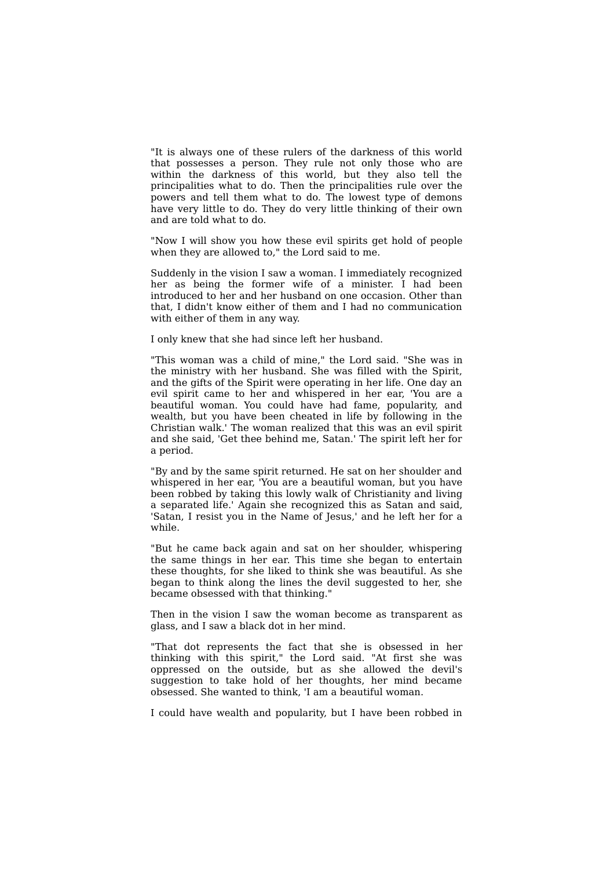"It is always one of these rulers of the darkness of this world that possesses a person. They rule not only those who are within the darkness of this world, but they also tell the principalities what to do. Then the principalities rule over the powers and tell them what to do. The lowest type of demons have very little to do. They do very little thinking of their own and are told what to do.

"Now I will show you how these evil spirits get hold of people when they are allowed to," the Lord said to me.

Suddenly in the vision I saw a woman. I immediately recognized her as being the former wife of a minister. I had been introduced to her and her husband on one occasion. Other than that, I didn't know either of them and I had no communication with either of them in any way.

I only knew that she had since left her husband.

"This woman was a child of mine," the Lord said. "She was in the ministry with her husband. She was filled with the Spirit, and the gifts of the Spirit were operating in her life. One day an evil spirit came to her and whispered in her ear, 'You are a beautiful woman. You could have had fame, popularity, and wealth, but you have been cheated in life by following in the Christian walk.' The woman realized that this was an evil spirit and she said, 'Get thee behind me, Satan.' The spirit left her for a period.

"By and by the same spirit returned. He sat on her shoulder and whispered in her ear, 'You are a beautiful woman, but you have been robbed by taking this lowly walk of Christianity and living a separated life.' Again she recognized this as Satan and said, 'Satan, I resist you in the Name of Jesus,' and he left her for a while.

"But he came back again and sat on her shoulder, whispering the same things in her ear. This time she began to entertain these thoughts, for she liked to think she was beautiful. As she began to think along the lines the devil suggested to her, she became obsessed with that thinking."

Then in the vision I saw the woman become as transparent as glass, and I saw a black dot in her mind.

"That dot represents the fact that she is obsessed in her thinking with this spirit," the Lord said. "At first she was oppressed on the outside, but as she allowed the devil's suggestion to take hold of her thoughts, her mind became obsessed. She wanted to think, 'I am a beautiful woman.

I could have wealth and popularity, but I have been robbed in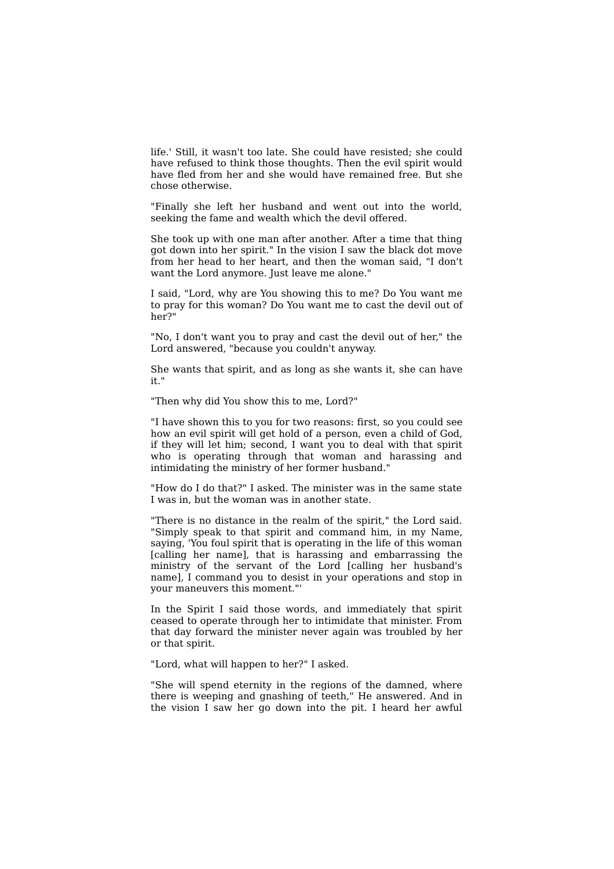life.' Still, it wasn't too late. She could have resisted; she could have refused to think those thoughts. Then the evil spirit would have fled from her and she would have remained free. But she chose otherwise.

"Finally she left her husband and went out into the world, seeking the fame and wealth which the devil offered.

She took up with one man after another. After a time that thing got down into her spirit." In the vision I saw the black dot move from her head to her heart, and then the woman said, "I don't want the Lord anymore. Just leave me alone."

I said, "Lord, why are You showing this to me? Do You want me to pray for this woman? Do You want me to cast the devil out of her?"

"No, I don't want you to pray and cast the devil out of her," the Lord answered, "because you couldn't anyway.

She wants that spirit, and as long as she wants it, she can have it."

"Then why did You show this to me, Lord?"

"I have shown this to you for two reasons: first, so you could see how an evil spirit will get hold of a person, even a child of God, if they will let him; second, I want you to deal with that spirit who is operating through that woman and harassing and intimidating the ministry of her former husband."

"How do I do that?" I asked. The minister was in the same state I was in, but the woman was in another state.

"There is no distance in the realm of the spirit," the Lord said. "Simply speak to that spirit and command him, in my Name, saying, 'You foul spirit that is operating in the life of this woman [calling her name], that is harassing and embarrassing the ministry of the servant of the Lord [calling her husband's name], I command you to desist in your operations and stop in your maneuvers this moment."'

In the Spirit I said those words, and immediately that spirit ceased to operate through her to intimidate that minister. From that day forward the minister never again was troubled by her or that spirit.

"Lord, what will happen to her?" I asked.

"She will spend eternity in the regions of the damned, where there is weeping and gnashing of teeth," He answered. And in the vision I saw her go down into the pit. I heard her awful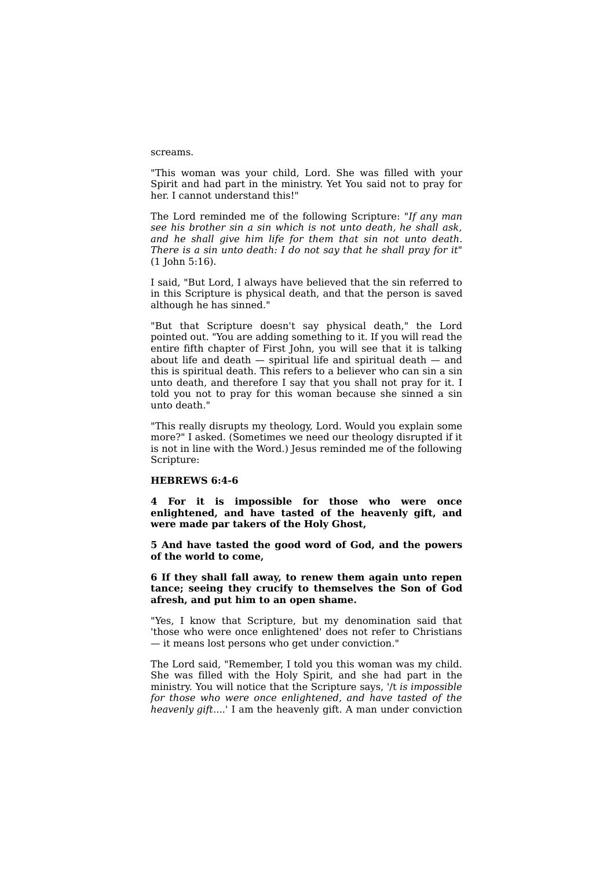#### screams.

"This woman was your child, Lord. She was filled with your Spirit and had part in the ministry. Yet You said not to pray for her. I cannot understand this!"

The Lord reminded me of the following Scripture: *"If any man see his brother sin a sin which is not unto death, he shall ask, and he shall give him life for them that sin not unto death. There is a sin unto death: I do not say that he shall pray for it"* (1 John 5:16).

I said, "But Lord, I always have believed that the sin referred to in this Scripture is physical death, and that the person is saved although he has sinned."

"But that Scripture doesn't say physical death," the Lord pointed out. "You are adding something to it. If you will read the entire fifth chapter of First John, you will see that it is talking about life and death — spiritual life and spiritual death — and this is spiritual death. This refers to a believer who can sin a sin unto death, and therefore I say that you shall not pray for it. I told you not to pray for this woman because she sinned a sin unto death."

"This really disrupts my theology, Lord. Would you explain some more?" I asked. (Sometimes we need our theology disrupted if it is not in line with the Word.) Jesus reminded me of the following Scripture:

## **HEBREWS 6:4-6**

**4 For it is impossible for those who were once enlightened, and have tasted of the heavenly gift, and were made par takers of the Holy Ghost,**

**5 And have tasted the good word of God, and the powers of the world to come,**

**6 If they shall fall away, to renew them again unto repen tance; seeing they crucify to themselves the Son of God afresh, and put him to an open shame.**

"Yes, I know that Scripture, but my denomination said that 'those who were once enlightened' does not refer to Christians — it means lost persons who get under conviction."

The Lord said, "Remember, I told you this woman was my child. She was filled with the Holy Spirit, and she had part in the ministry. You will notice that the Scripture says, '/t *is impossible for those who were once enlightened, and have tasted of the heavenly gift....'* I am the heavenly gift. A man under conviction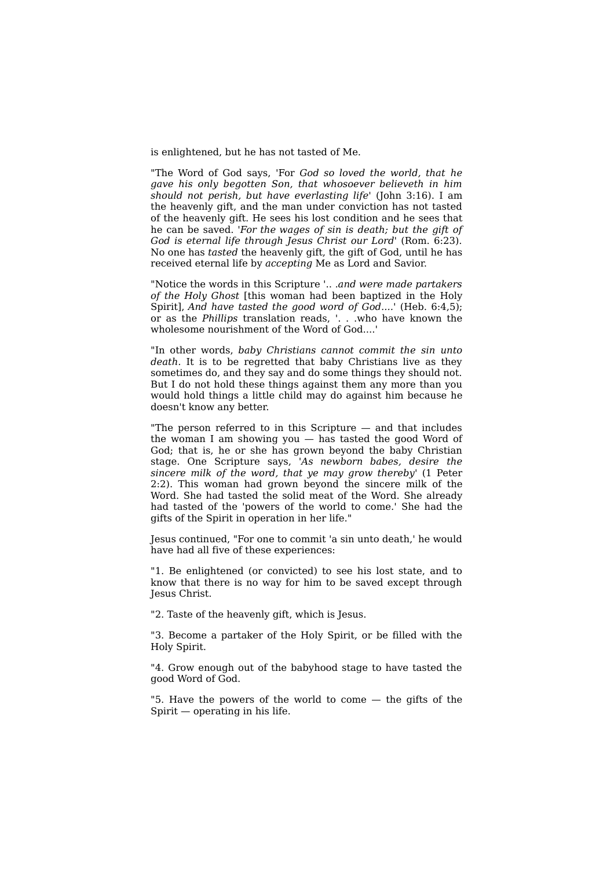is enlightened, but he has not tasted of Me.

"The Word of God says, 'For *God so loved the world, that he gave his only begotten Son, that whosoever believeth in him should not perish, but have everlasting life'* (John 3:16). I am the heavenly gift, and the man under conviction has not tasted of the heavenly gift. He sees his lost condition and he sees that he can be saved. *'For the wages of sin is death; but the gift of God is eternal life through Jesus Christ our Lord'* (Rom. 6:23). No one has *tasted* the heavenly gift, the gift of God, until he has received eternal life by *accepting* Me as Lord and Savior.

"Notice the words in this Scripture '.. *.and were made partakers of the Holy Ghost* [this woman had been baptized in the Holy Spirit], *And have tasted the good word of God....'* (Heb. 6:4,5); or as the *Phillips* translation reads, '. . .who have known the wholesome nourishment of the Word of God....'

"In other words, *baby Christians cannot commit the sin unto death.* It is to be regretted that baby Christians live as they sometimes do, and they say and do some things they should not. But I do not hold these things against them any more than you would hold things a little child may do against him because he doesn't know any better.

"The person referred to in this Scripture — and that includes the woman I am showing you — has tasted the good Word of God; that is, he or she has grown beyond the baby Christian stage. One Scripture says, *'As newborn babes, desire the sincere milk of the word, that ye may grow thereby'* (1 Peter 2:2). This woman had grown beyond the sincere milk of the Word. She had tasted the solid meat of the Word. She already had tasted of the 'powers of the world to come.' She had the gifts of the Spirit in operation in her life."

Jesus continued, "For one to commit 'a sin unto death,' he would have had all five of these experiences:

"1. Be enlightened (or convicted) to see his lost state, and to know that there is no way for him to be saved except through Jesus Christ.

"2. Taste of the heavenly gift, which is Jesus.

"3. Become a partaker of the Holy Spirit, or be filled with the Holy Spirit.

"4. Grow enough out of the babyhood stage to have tasted the good Word of God.

"5. Have the powers of the world to come — the gifts of the Spirit — operating in his life.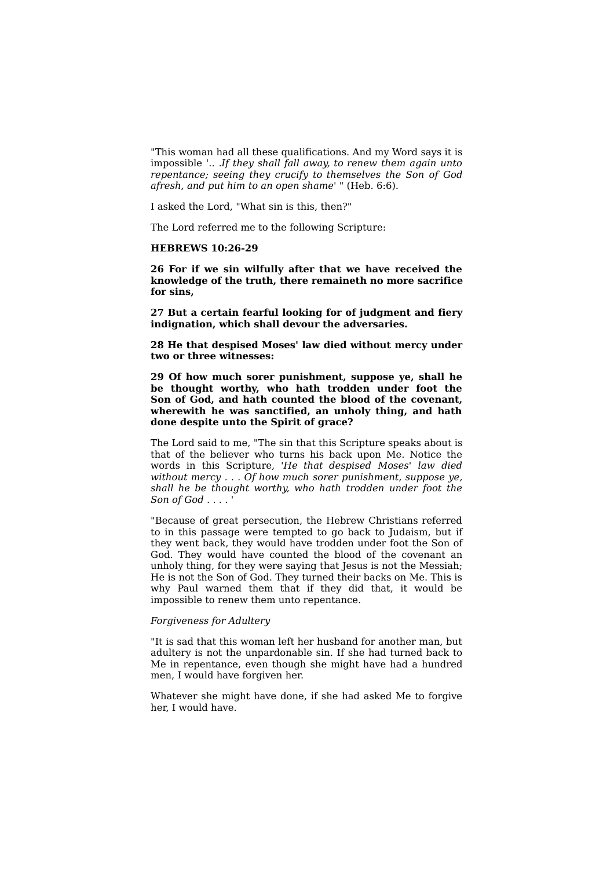"This woman had all these qualifications. And my Word says it is impossible '.. *.If they shall fall away, to renew them again unto repentance; seeing they crucify to themselves the Son of God afresh, and put him to an open shame'* " (Heb. 6:6).

I asked the Lord, "What sin is this, then?"

The Lord referred me to the following Scripture:

## **HEBREWS 10:26-29**

**26 For if we sin wilfully after that we have received the knowledge of the truth, there remaineth no more sacrifice for sins,**

**27 But a certain fearful looking for of judgment and fiery indignation, which shall devour the adversaries.**

**28 He that despised Moses' law died without mercy under two or three witnesses:**

**29 Of how much sorer punishment, suppose ye, shall he be thought worthy, who hath trodden under foot the Son of God, and hath counted the blood of the covenant, wherewith he was sanctified, an unholy thing, and hath done despite unto the Spirit of grace?**

The Lord said to me, "The sin that this Scripture speaks about is that of the believer who turns his back upon Me. Notice the words in this Scripture, *'He that despised Moses' law died without mercy . . . Of how much sorer punishment, suppose ye, shall he be thought worthy, who hath trodden under foot the Son of God* . . . . '

"Because of great persecution, the Hebrew Christians referred to in this passage were tempted to go back to Judaism, but if they went back, they would have trodden under foot the Son of God. They would have counted the blood of the covenant an unholy thing, for they were saying that Jesus is not the Messiah; He is not the Son of God. They turned their backs on Me. This is why Paul warned them that if they did that, it would be impossible to renew them unto repentance.

## *Forgiveness for Adultery*

"It is sad that this woman left her husband for another man, but adultery is not the unpardonable sin. If she had turned back to Me in repentance, even though she might have had a hundred men, I would have forgiven her.

Whatever she might have done, if she had asked Me to forgive her, I would have.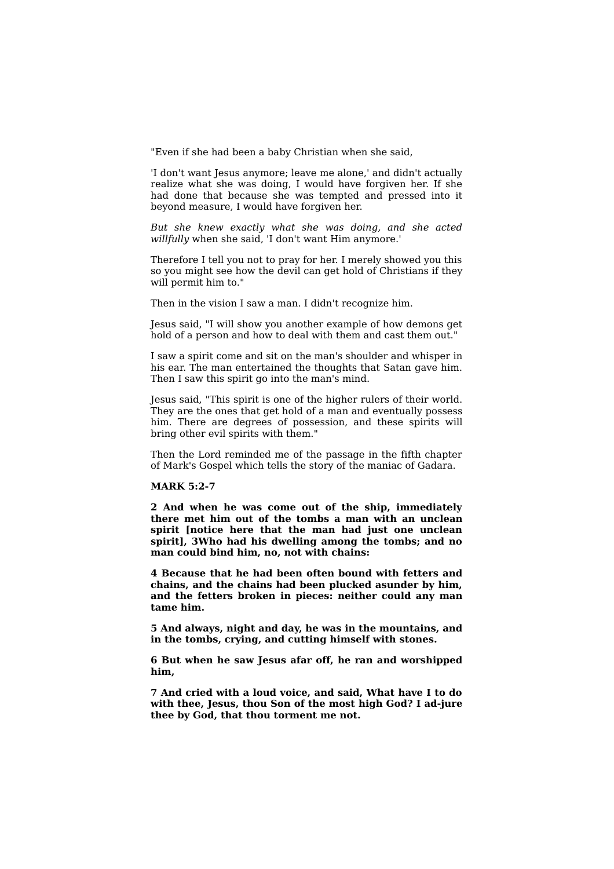"Even if she had been a baby Christian when she said,

'I don't want Jesus anymore; leave me alone,' and didn't actually realize what she was doing, I would have forgiven her. If she had done that because she was tempted and pressed into it beyond measure, I would have forgiven her.

*But she knew exactly what she was doing, and she acted willfully* when she said, 'I don't want Him anymore.'

Therefore I tell you not to pray for her. I merely showed you this so you might see how the devil can get hold of Christians if they will permit him to."

Then in the vision I saw a man. I didn't recognize him.

Jesus said, "I will show you another example of how demons get hold of a person and how to deal with them and cast them out."

I saw a spirit come and sit on the man's shoulder and whisper in his ear. The man entertained the thoughts that Satan gave him. Then I saw this spirit go into the man's mind.

Jesus said, "This spirit is one of the higher rulers of their world. They are the ones that get hold of a man and eventually possess him. There are degrees of possession, and these spirits will bring other evil spirits with them."

Then the Lord reminded me of the passage in the fifth chapter of Mark's Gospel which tells the story of the maniac of Gadara.

## **MARK 5:2-7**

**2 And when he was come out of the ship, immediately there met him out of the tombs a man with an unclean spirit [notice here that the man had just one unclean spirit], 3Who had his dwelling among the tombs; and no man could bind him, no, not with chains:**

**4 Because that he had been often bound with fetters and chains, and the chains had been plucked asunder by him, and the fetters broken in pieces: neither could any man tame him.**

**5 And always, night and day, he was in the mountains, and in the tombs, crying, and cutting himself with stones.**

**6 But when he saw Jesus afar off, he ran and worshipped him,**

**7 And cried with a loud voice, and said, What have I to do with thee, Jesus, thou Son of the most high God? I ad-jure thee by God, that thou torment me not.**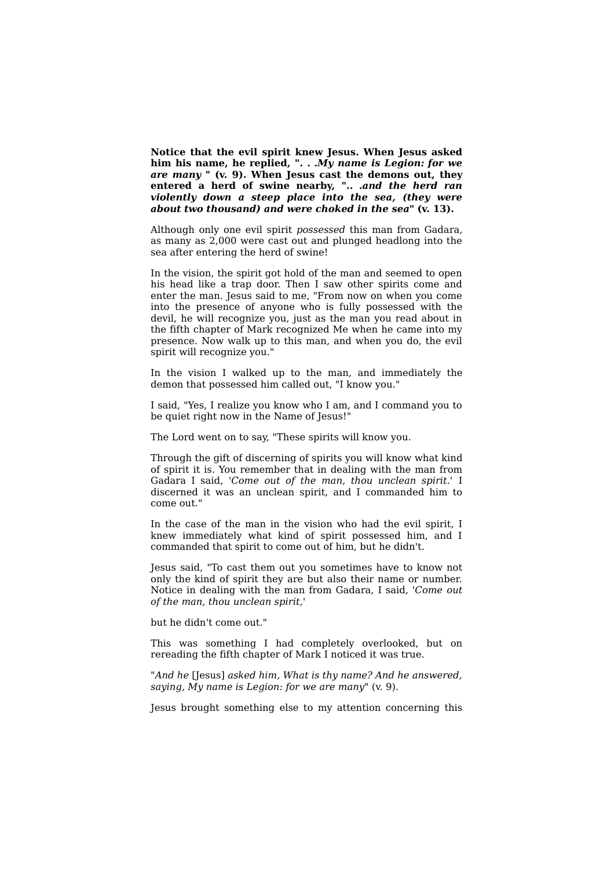**Notice that the evil spirit knew Jesus. When Jesus asked him his name, he replied, ". .** *.My name is Legion: for we are many* **" (v. 9). When Jesus cast the demons out, they entered a herd of swine nearby, "..** *.and the herd ran violently down a steep place into the sea, (they were about two thousand) and were choked in the sea"* **(v. 13).**

Although only one evil spirit *possessed* this man from Gadara, as many as 2,000 were cast out and plunged headlong into the sea after entering the herd of swine!

In the vision, the spirit got hold of the man and seemed to open his head like a trap door. Then I saw other spirits come and enter the man. Jesus said to me, "From now on when you come into the presence of anyone who is fully possessed with the devil, he will recognize you, just as the man you read about in the fifth chapter of Mark recognized Me when he came into my presence. Now walk up to this man, and when you do, the evil spirit will recognize you."

In the vision I walked up to the man, and immediately the demon that possessed him called out, "I know you."

I said, "Yes, I realize you know who I am, and I command you to be quiet right now in the Name of Jesus!"

The Lord went on to say, "These spirits will know you.

Through the gift of discerning of spirits you will know what kind of spirit it is. You remember that in dealing with the man from Gadara I said, *'Come out of the man, thou unclean spirit.'* I discerned it was an unclean spirit, and I commanded him to come out."

In the case of the man in the vision who had the evil spirit, I knew immediately what kind of spirit possessed him, and I commanded that spirit to come out of him, but he didn't.

Jesus said, "To cast them out you sometimes have to know not only the kind of spirit they are but also their name or number. Notice in dealing with the man from Gadara, I said, *'Come out of the man, thou unclean spirit,*'

but he didn't come out."

This was something I had completely overlooked, but on rereading the fifth chapter of Mark I noticed it was true.

*"And he* [Jesus] *asked him, What is thy name? And he answered, saying, My name is Legion: for we are many"* (v. 9).

Jesus brought something else to my attention concerning this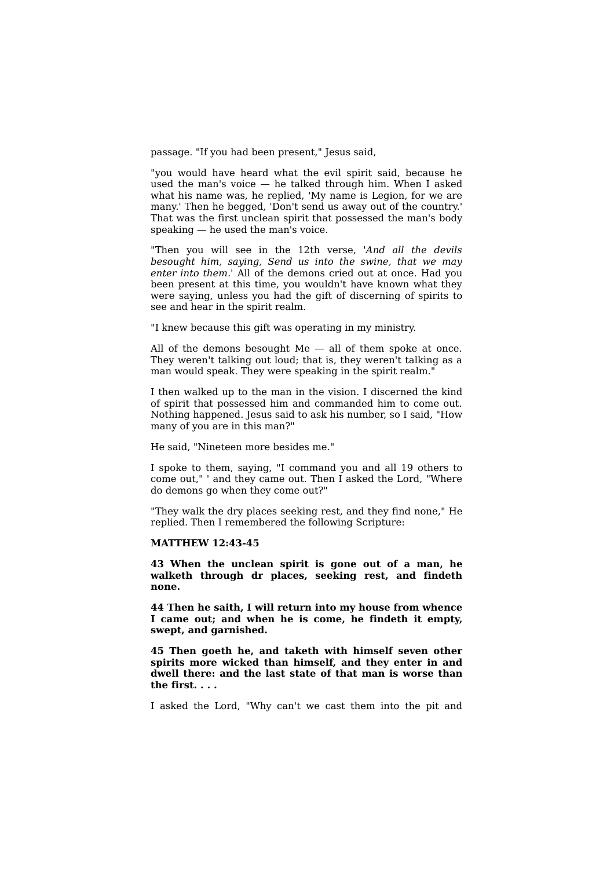passage. "If you had been present," Jesus said,

"you would have heard what the evil spirit said, because he used the man's voice — he talked through him. When I asked what his name was, he replied, 'My name is Legion, for we are many.' Then he begged, 'Don't send us away out of the country.' That was the first unclean spirit that possessed the man's body speaking — he used the man's voice.

"Then you will see in the 12th verse, *'And all the devils besought him, saying, Send us into the swine, that we may enter into them.'* All of the demons cried out at once. Had you been present at this time, you wouldn't have known what they were saying, unless you had the gift of discerning of spirits to see and hear in the spirit realm.

"I knew because this gift was operating in my ministry.

All of the demons besought  $Me$  — all of them spoke at once. They weren't talking out loud; that is, they weren't talking as a man would speak. They were speaking in the spirit realm."

I then walked up to the man in the vision. I discerned the kind of spirit that possessed him and commanded him to come out. Nothing happened. Jesus said to ask his number, so I said, "How many of you are in this man?"

He said, "Nineteen more besides me."

I spoke to them, saying, "I command you and all 19 others to come out," *'* and they came out. Then I asked the Lord, "Where do demons go when they come out?"

"They walk the dry places seeking rest, and they find none," He replied. Then I remembered the following Scripture:

## **MATTHEW 12:43-45**

**43 When the unclean spirit is gone out of a man, he walketh through dr places, seeking rest, and findeth none.**

**44 Then he saith, I will return into my house from whence I came out; and when he is come, he findeth it empty, swept, and garnished.**

**45 Then goeth he, and taketh with himself seven other spirits more wicked than himself, and they enter in and dwell there: and the last state of that man is worse than the first. . . .**

I asked the Lord, "Why can't we cast them into the pit and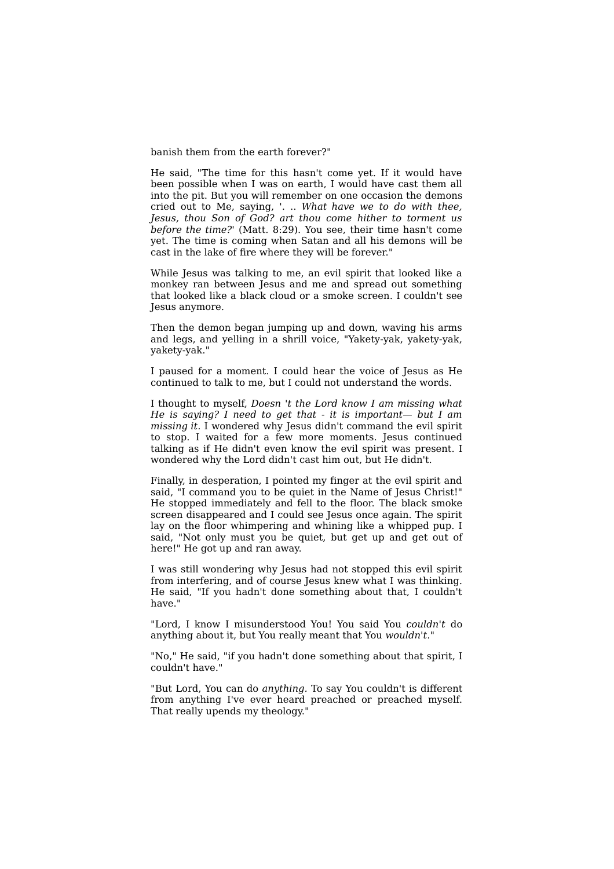banish them from the earth forever?"

He said, "The time for this hasn't come yet. If it would have been possible when I was on earth, I would have cast them all into the pit. But you will remember on one occasion the demons cried out to Me, saying, '. .. *What have we to do with thee, Jesus, thou Son of God? art thou come hither to torment us before the time?'* (Matt. 8:29). You see, their time hasn't come yet. The time is coming when Satan and all his demons will be cast in the lake of fire where they will be forever."

While Jesus was talking to me, an evil spirit that looked like a monkey ran between Jesus and me and spread out something that looked like a black cloud or a smoke screen. I couldn't see Jesus anymore.

Then the demon began jumping up and down, waving his arms and legs, and yelling in a shrill voice, "Yakety-yak, yakety-yak, yakety-yak."

I paused for a moment. I could hear the voice of Jesus as He continued to talk to me, but I could not understand the words.

I thought to myself, *Doesn 't the Lord know I am missing what He is saying? I need to get that - it is important— but I am missing it.* I wondered why Jesus didn't command the evil spirit to stop. I waited for a few more moments. Jesus continued talking as if He didn't even know the evil spirit was present. I wondered why the Lord didn't cast him out, but He didn't.

Finally, in desperation, I pointed my finger at the evil spirit and said, "I command you to be quiet in the Name of Jesus Christ!" He stopped immediately and fell to the floor. The black smoke screen disappeared and I could see Jesus once again. The spirit lay on the floor whimpering and whining like a whipped pup. I said, "Not only must you be quiet, but get up and get out of here!" He got up and ran away.

I was still wondering why Jesus had not stopped this evil spirit from interfering, and of course Jesus knew what I was thinking. He said, "If you hadn't done something about that, I couldn't have."

"Lord, I know I misunderstood You! You said You *couldn't* do anything about it, but You really meant that You *wouldn't."*

"No," He said, "if you hadn't done something about that spirit, I couldn't have."

"But Lord, You can do *anything.* To say You couldn't is different from anything I've ever heard preached or preached myself. That really upends my theology."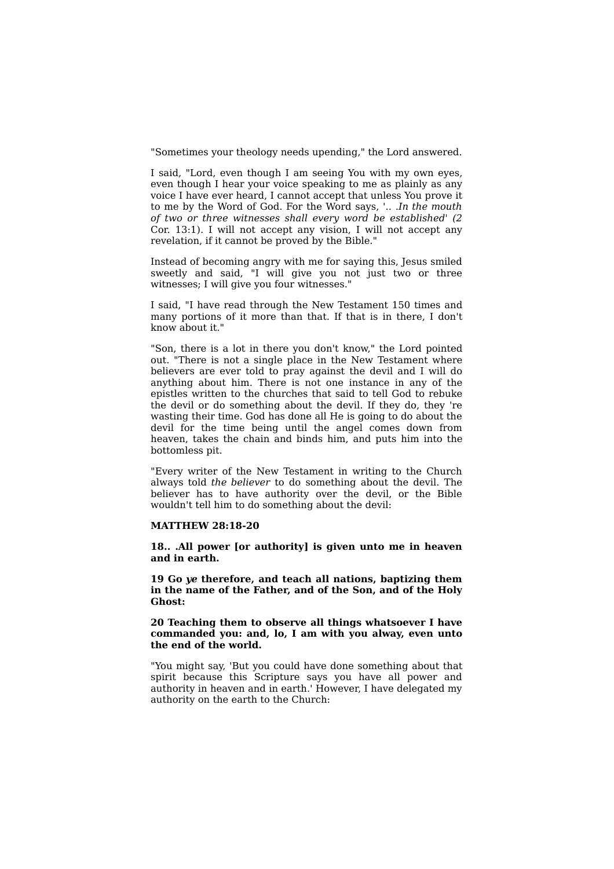"Sometimes your theology needs upending," the Lord answered.

I said, "Lord, even though I am seeing You with my own eyes, even though I hear your voice speaking to me as plainly as any voice I have ever heard, I cannot accept that unless You prove it to me by the Word of God. For the Word says, '.. *.In the mouth of two or three witnesses shall every word be established' (2* Cor. 13:1). I will not accept any vision, I will not accept any revelation, if it cannot be proved by the Bible."

Instead of becoming angry with me for saying this, Jesus smiled sweetly and said, "I will give you not just two or three witnesses; I will give you four witnesses."

I said, "I have read through the New Testament 150 times and many portions of it more than that. If that is in there, I don't know about it."

"Son, there is a lot in there you don't know," the Lord pointed out. "There is not a single place in the New Testament where believers are ever told to pray against the devil and I will do anything about him. There is not one instance in any of the epistles written to the churches that said to tell God to rebuke the devil or do something about the devil. If they do, they 're wasting their time. God has done all He is going to do about the devil for the time being until the angel comes down from heaven, takes the chain and binds him, and puts him into the bottomless pit.

"Every writer of the New Testament in writing to the Church always told *the believer* to do something about the devil. The believer has to have authority over the devil, or the Bible wouldn't tell him to do something about the devil:

# **MATTHEW 28:18-20**

**18.. .All power [or authority] is given unto me in heaven and in earth.**

**19 Go** *ye* **therefore, and teach all nations, baptizing them in the name of the Father, and of the Son, and of the Holy Ghost:**

**20 Teaching them to observe all things whatsoever I have commanded you: and, lo, I am with you alway, even unto the end of the world.**

"You might say, 'But you could have done something about that spirit because this Scripture says you have all power and authority in heaven and in earth.' However, I have delegated my authority on the earth to the Church: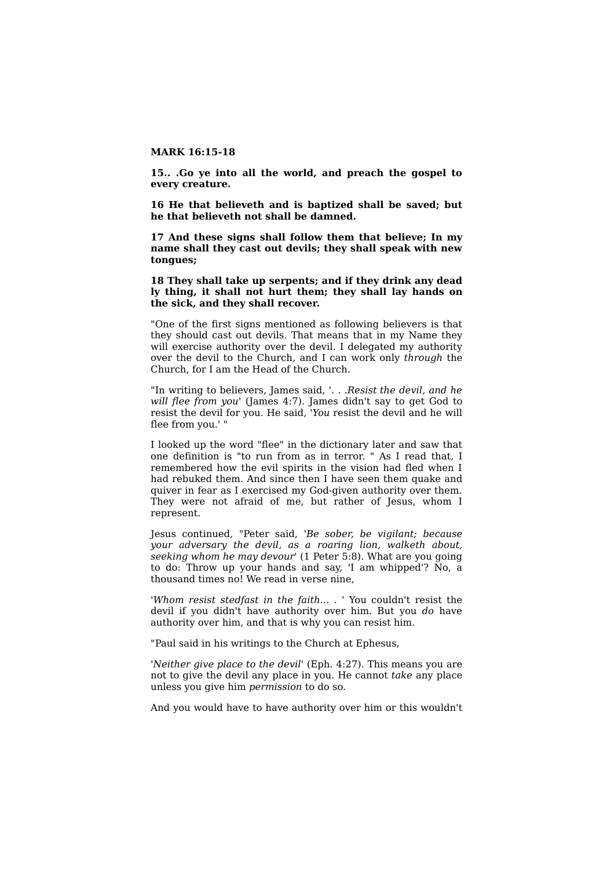## **MARK 16:15-18**

**15.. .Go ye into all the world, and preach the gospel to every creature.**

**16 He that believeth and is baptized shall be saved; but he that believeth not shall be damned.**

**17 And these signs shall follow them that believe; In my name shall they cast out devils; they shall speak with new tongues;**

**18 They shall take up serpents; and if they drink any dead ly thing, it shall not hurt them; they shall lay hands on the sick, and they shall recover.**

"One of the first signs mentioned as following believers is that they should cast out devils. That means that in my Name they will exercise authority over the devil. I delegated my authority over the devil to the Church, and I can work only *through* the Church, for I am the Head of the Church.

"In writing to believers, James said, '. . *.Resist the devil, and he will flee from you'* (James 4:7). James didn't say to get God to resist the devil for you. He said, *'You* resist the devil and he will flee from you.' "

I looked up the word "flee" in the dictionary later and saw that one definition is "to run from as in terror. " As I read that, I remembered how the evil spirits in the vision had fled when I had rebuked them. And since then I have seen them quake and quiver in fear as I exercised my God-given authority over them. They were not afraid of me, but rather of Jesus, whom I represent.

Jesus continued, "Peter said, *'Be sober, be vigilant; because your adversary the devil, as a roaring lion, walketh about, seeking whom he may devour'* (1 Peter 5:8). What are you going to do: Throw up your hands and say, 'I am whipped'? No, a thousand times no! We read in verse nine,

*'Whom resist stedfast in the faith...* . ' You couldn't resist the devil if you didn't have authority over him. But you *do* have authority over him, and that is why you can resist him.

"Paul said in his writings to the Church at Ephesus,

*'Neither give place to the devil'* (Eph. 4:27). This means you are not to give the devil any place in you. He cannot *take* any place unless you give him *permission* to do so.

And you would have to have authority over him or this wouldn't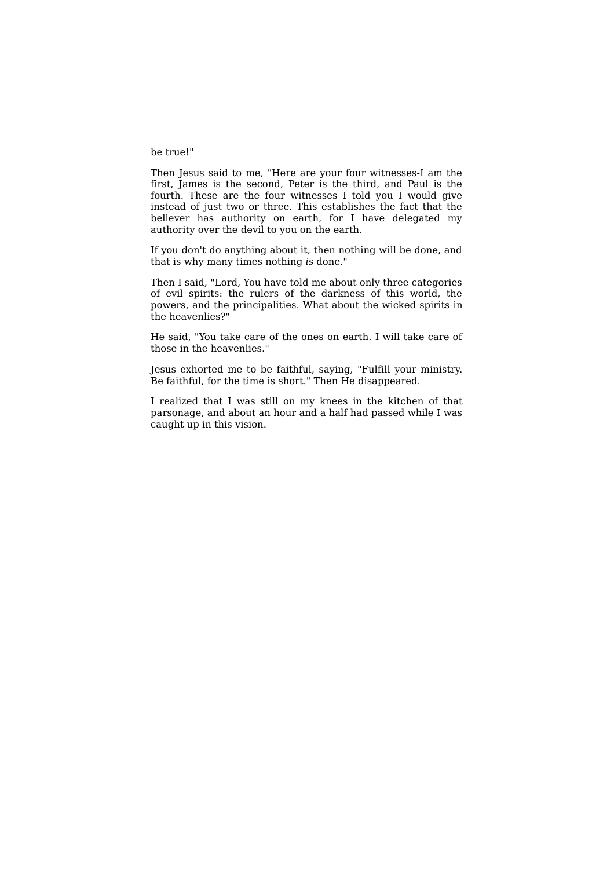# be true!"

Then Jesus said to me, "Here are your four witnesses-I am the first, James is the second, Peter is the third, and Paul is the fourth. These are the four witnesses I told you I would give instead of just two or three. This establishes the fact that the believer has authority on earth, for I have delegated my authority over the devil to you on the earth.

If you don't do anything about it, then nothing will be done, and that is why many times nothing *is* done."

Then I said, "Lord, You have told me about only three categories of evil spirits: the rulers of the darkness of this world, the powers, and the principalities. What about the wicked spirits in the heavenlies?"

He said, "You take care of the ones on earth. I will take care of those in the heavenlies."

Jesus exhorted me to be faithful, saying, "Fulfill your ministry. Be faithful, for the time is short." Then He disappeared.

I realized that I was still on my knees in the kitchen of that parsonage, and about an hour and a half had passed while I was caught up in this vision.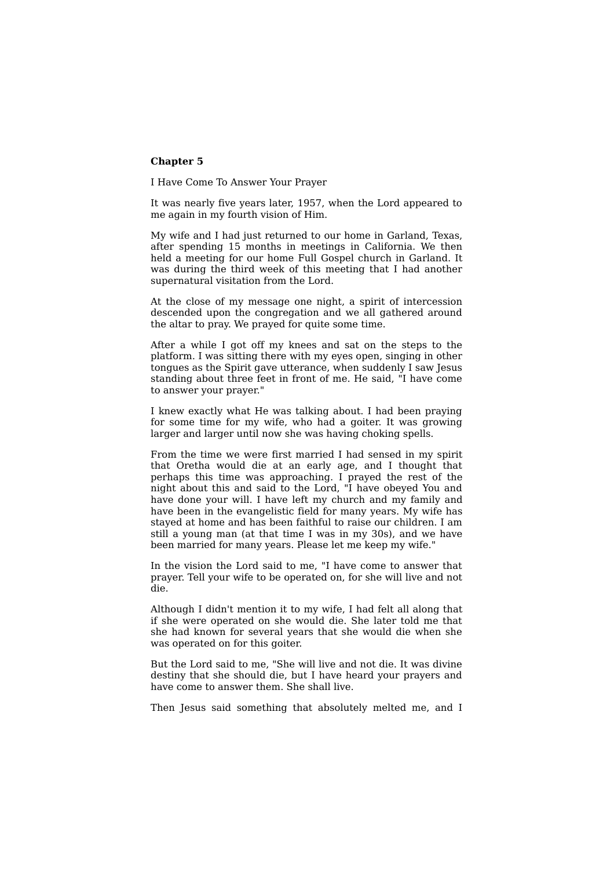# **Chapter 5**

I Have Come To Answer Your Prayer

It was nearly five years later, 1957, when the Lord appeared to me again in my fourth vision of Him.

My wife and I had just returned to our home in Garland, Texas, after spending 15 months in meetings in California. We then held a meeting for our home Full Gospel church in Garland. It was during the third week of this meeting that I had another supernatural visitation from the Lord.

At the close of my message one night, a spirit of intercession descended upon the congregation and we all gathered around the altar to pray. We prayed for quite some time.

After a while I got off my knees and sat on the steps to the platform. I was sitting there with my eyes open, singing in other tongues as the Spirit gave utterance, when suddenly I saw Jesus standing about three feet in front of me. He said, "I have come to answer your prayer."

I knew exactly what He was talking about. I had been praying for some time for my wife, who had a goiter. It was growing larger and larger until now she was having choking spells.

From the time we were first married I had sensed in my spirit that Oretha would die at an early age, and I thought that perhaps this time was approaching. I prayed the rest of the night about this and said to the Lord, "I have obeyed You and have done your will. I have left my church and my family and have been in the evangelistic field for many years. My wife has stayed at home and has been faithful to raise our children. I am still a young man (at that time I was in my 30s), and we have been married for many years. Please let me keep my wife."

In the vision the Lord said to me, "I have come to answer that prayer. Tell your wife to be operated on, for she will live and not die.

Although I didn't mention it to my wife, I had felt all along that if she were operated on she would die. She later told me that she had known for several years that she would die when she was operated on for this goiter.

But the Lord said to me, "She will live and not die. It was divine destiny that she should die, but I have heard your prayers and have come to answer them. She shall live.

Then Jesus said something that absolutely melted me, and I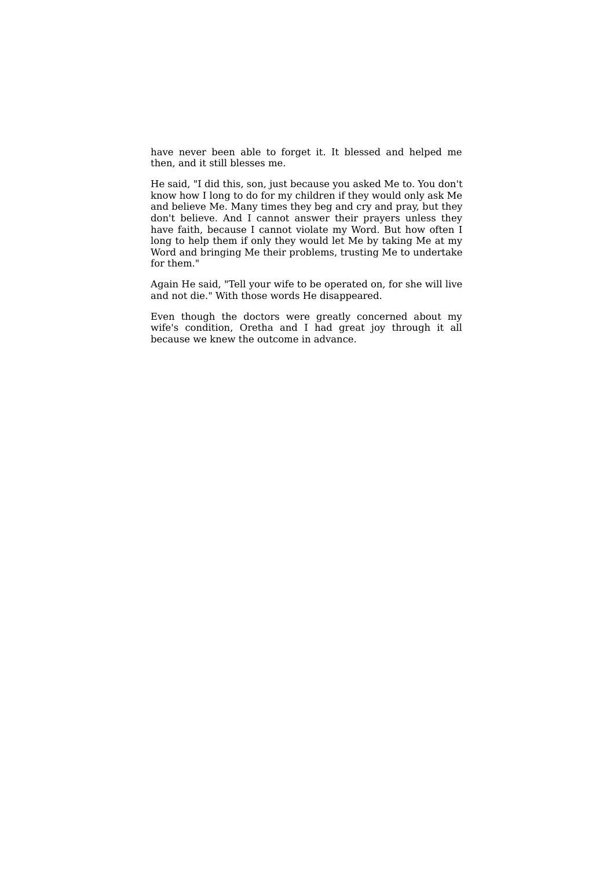have never been able to forget it. It blessed and helped me then, and it still blesses me.

He said, "I did this, son, just because you asked Me to. You don't know how I long to do for my children if they would only ask Me and believe Me. Many times they beg and cry and pray, but they don't believe. And I cannot answer their prayers unless they have faith, because I cannot violate my Word. But how often I long to help them if only they would let Me by taking Me at my Word and bringing Me their problems, trusting Me to undertake for them."

Again He said, "Tell your wife to be operated on, for she will live and not die." With those words He disappeared.

Even though the doctors were greatly concerned about my wife's condition, Oretha and I had great joy through it all because we knew the outcome in advance.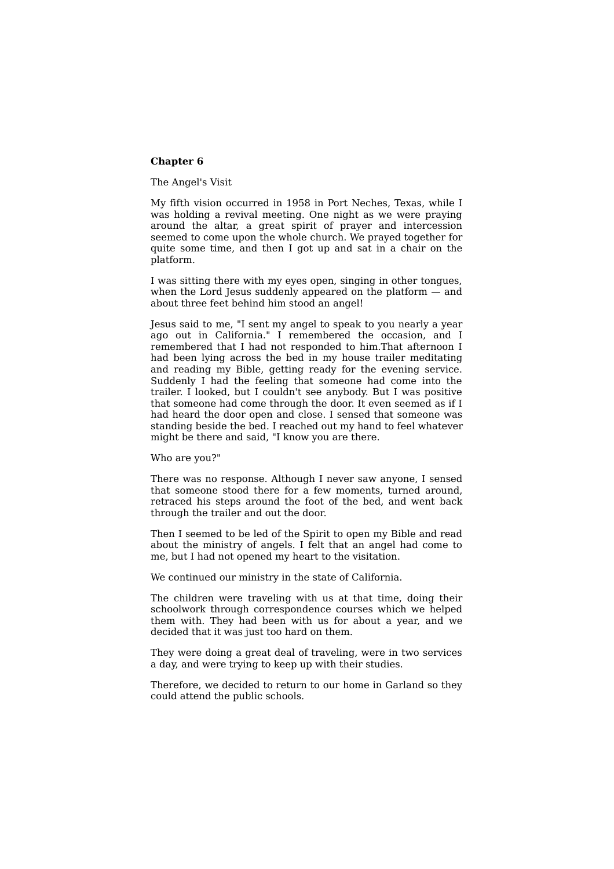# **Chapter 6**

## The Angel's Visit

My fifth vision occurred in 1958 in Port Neches, Texas, while I was holding a revival meeting. One night as we were praying around the altar, a great spirit of prayer and intercession seemed to come upon the whole church. We prayed together for quite some time, and then I got up and sat in a chair on the platform.

I was sitting there with my eyes open, singing in other tongues, when the Lord Jesus suddenly appeared on the platform — and about three feet behind him stood an angel!

Jesus said to me, "I sent my angel to speak to you nearly a year ago out in California." I remembered the occasion, and I remembered that I had not responded to him.That afternoon I had been lying across the bed in my house trailer meditating and reading my Bible, getting ready for the evening service. Suddenly I had the feeling that someone had come into the trailer. I looked, but I couldn't see anybody. But I was positive that someone had come through the door. It even seemed as if I had heard the door open and close. I sensed that someone was standing beside the bed. I reached out my hand to feel whatever might be there and said, "I know you are there.

Who are you?"

There was no response. Although I never saw anyone, I sensed that someone stood there for a few moments, turned around, retraced his steps around the foot of the bed, and went back through the trailer and out the door.

Then I seemed to be led of the Spirit to open my Bible and read about the ministry of angels. I felt that an angel had come to me, but I had not opened my heart to the visitation.

We continued our ministry in the state of California.

The children were traveling with us at that time, doing their schoolwork through correspondence courses which we helped them with. They had been with us for about a year, and we decided that it was just too hard on them.

They were doing a great deal of traveling, were in two services a day, and were trying to keep up with their studies.

Therefore, we decided to return to our home in Garland so they could attend the public schools.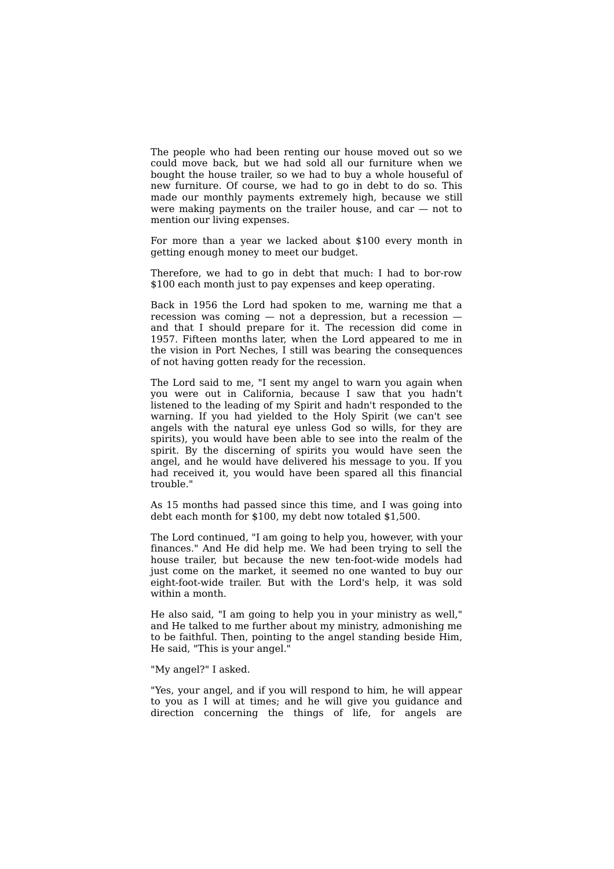The people who had been renting our house moved out so we could move back, but we had sold all our furniture when we bought the house trailer, so we had to buy a whole houseful of new furniture. Of course, we had to go in debt to do so. This made our monthly payments extremely high, because we still were making payments on the trailer house, and  $car - not$  to mention our living expenses.

For more than a year we lacked about \$100 every month in getting enough money to meet our budget.

Therefore, we had to go in debt that much: I had to bor-row \$100 each month just to pay expenses and keep operating.

Back in 1956 the Lord had spoken to me, warning me that a recession was coming  $-$  not a depression, but a recession  $$ and that I should prepare for it. The recession did come in 1957. Fifteen months later, when the Lord appeared to me in the vision in Port Neches, I still was bearing the consequences of not having gotten ready for the recession.

The Lord said to me, "I sent my angel to warn you again when you were out in California, because I saw that you hadn't listened to the leading of my Spirit and hadn't responded to the warning. If you had yielded to the Holy Spirit (we can't see angels with the natural eye unless God so wills, for they are spirits), you would have been able to see into the realm of the spirit. By the discerning of spirits you would have seen the angel, and he would have delivered his message to you. If you had received it, you would have been spared all this financial trouble."

As 15 months had passed since this time, and I was going into debt each month for \$100, my debt now totaled \$1,500.

The Lord continued, "I am going to help you, however, with your finances." And He did help me. We had been trying to sell the house trailer, but because the new ten-foot-wide models had just come on the market, it seemed no one wanted to buy our eight-foot-wide trailer. But with the Lord's help, it was sold within a month.

He also said, "I am going to help you in your ministry as well," and He talked to me further about my ministry, admonishing me to be faithful. Then, pointing to the angel standing beside Him, He said, "This is your angel."

"My angel?" I asked.

"Yes, your angel, and if you will respond to him, he will appear to you as I will at times; and he will give you guidance and direction concerning the things of life, for angels are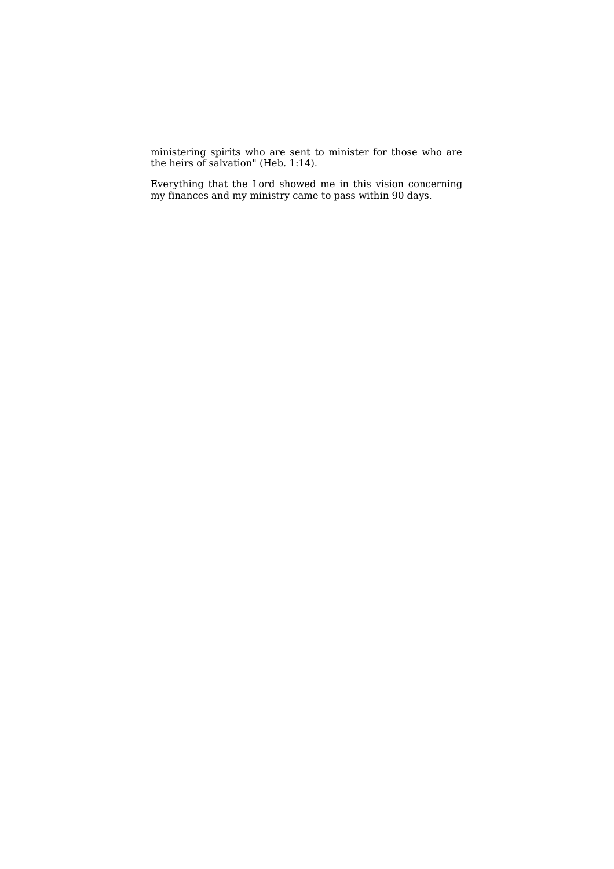ministering spirits who are sent to minister for those who are the heirs of salvation" (Heb. 1:14).

Everything that the Lord showed me in this vision concerning my finances and my ministry came to pass within 90 days.